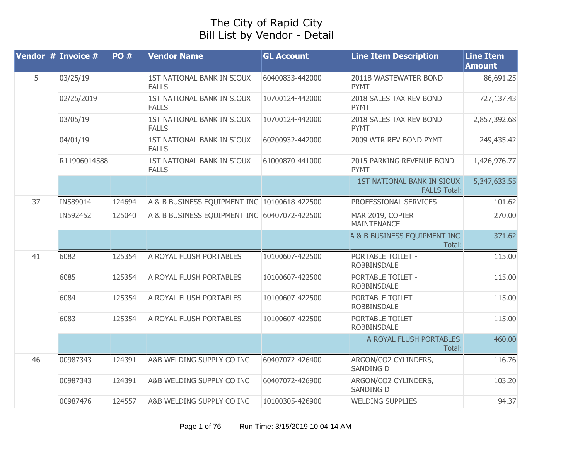## The City of Rapid City Bill List by Vendor - Detail

|    | Vendor $#$ Invoice $#$ | <b>PO#</b> | <b>Vendor Name</b>                           | <b>GL Account</b> | <b>Line Item Description</b>                             | <b>Line Item</b><br><b>Amount</b> |
|----|------------------------|------------|----------------------------------------------|-------------------|----------------------------------------------------------|-----------------------------------|
| 5  | 03/25/19               |            | 1ST NATIONAL BANK IN SIOUX<br><b>FALLS</b>   | 60400833-442000   | 2011B WASTEWATER BOND<br><b>PYMT</b>                     | 86,691.25                         |
|    | 02/25/2019             |            | 1ST NATIONAL BANK IN SIOUX<br><b>FALLS</b>   | 10700124-442000   | 2018 SALES TAX REV BOND<br><b>PYMT</b>                   | 727,137.43                        |
|    | 03/05/19               |            | 1ST NATIONAL BANK IN SIOUX<br><b>FALLS</b>   | 10700124-442000   | 2018 SALES TAX REV BOND<br><b>PYMT</b>                   | 2,857,392.68                      |
|    | 04/01/19               |            | 1ST NATIONAL BANK IN SIOUX<br><b>FALLS</b>   | 60200932-442000   | 2009 WTR REV BOND PYMT                                   | 249,435.42                        |
|    | R11906014588           |            | 1ST NATIONAL BANK IN SIOUX<br><b>FALLS</b>   | 61000870-441000   | 2015 PARKING REVENUE BOND<br><b>PYMT</b>                 | 1,426,976.77                      |
|    |                        |            |                                              |                   | <b>1ST NATIONAL BANK IN SIOUX</b><br><b>FALLS Total:</b> | 5,347,633.55                      |
| 37 | IN589014               | 124694     | A & B BUSINESS EQUIPMENT INC 10100618-422500 |                   | PROFESSIONAL SERVICES                                    | 101.62                            |
|    | IN592452               | 125040     | A & B BUSINESS EQUIPMENT INC 60407072-422500 |                   | MAR 2019, COPIER<br><b>MAINTENANCE</b>                   | 270.00                            |
|    |                        |            |                                              |                   | <b>4 &amp; B BUSINESS EQUIPMENT INC</b><br>Total:        | 371.62                            |
| 41 | 6082                   | 125354     | A ROYAL FLUSH PORTABLES                      | 10100607-422500   | PORTABLE TOILET -<br><b>ROBBINSDALE</b>                  | 115.00                            |
|    | 6085                   | 125354     | A ROYAL FLUSH PORTABLES                      | 10100607-422500   | PORTABLE TOILET -<br><b>ROBBINSDALE</b>                  | 115.00                            |
|    | 6084                   | 125354     | A ROYAL FLUSH PORTABLES                      | 10100607-422500   | PORTABLE TOILET -<br>ROBBINSDALE                         | 115.00                            |
|    | 6083                   | 125354     | A ROYAL FLUSH PORTABLES                      | 10100607-422500   | <b>PORTABLE TOILET -</b><br><b>ROBBINSDALE</b>           | 115.00                            |
|    |                        |            |                                              |                   | A ROYAL FLUSH PORTABLES<br>Total:                        | 460.00                            |
| 46 | 00987343               | 124391     | A&B WELDING SUPPLY CO INC                    | 60407072-426400   | ARGON/CO2 CYLINDERS,<br><b>SANDING D</b>                 | 116.76                            |
|    | 00987343               | 124391     | A&B WELDING SUPPLY CO INC                    | 60407072-426900   | ARGON/CO2 CYLINDERS,<br><b>SANDING D</b>                 | 103.20                            |
|    | 00987476               | 124557     | A&B WELDING SUPPLY CO INC                    | 10100305-426900   | <b>WELDING SUPPLIES</b>                                  | 94.37                             |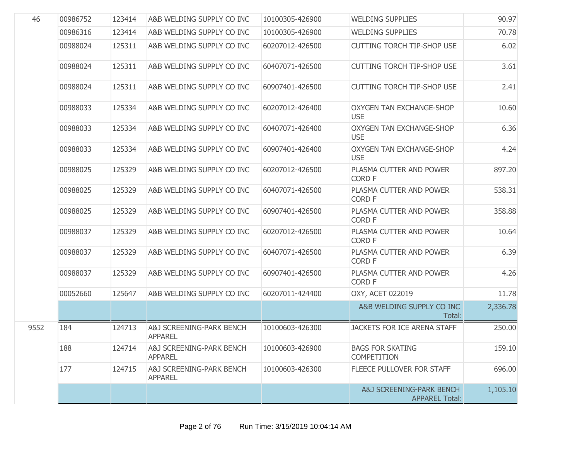| 46   | 00986752 | 123414 | A&B WELDING SUPPLY CO INC                  | 10100305-426900 | <b>WELDING SUPPLIES</b>                           | 90.97    |
|------|----------|--------|--------------------------------------------|-----------------|---------------------------------------------------|----------|
|      | 00986316 | 123414 | A&B WELDING SUPPLY CO INC                  | 10100305-426900 | <b>WELDING SUPPLIES</b>                           | 70.78    |
|      | 00988024 | 125311 | A&B WELDING SUPPLY CO INC                  | 60207012-426500 | <b>CUTTING TORCH TIP-SHOP USE</b>                 | 6.02     |
|      | 00988024 | 125311 | A&B WELDING SUPPLY CO INC                  | 60407071-426500 | <b>CUTTING TORCH TIP-SHOP USE</b>                 | 3.61     |
|      | 00988024 | 125311 | A&B WELDING SUPPLY CO INC                  | 60907401-426500 | <b>CUTTING TORCH TIP-SHOP USE</b>                 | 2.41     |
|      | 00988033 | 125334 | A&B WELDING SUPPLY CO INC                  | 60207012-426400 | <b>OXYGEN TAN EXCHANGE-SHOP</b><br><b>USE</b>     | 10.60    |
|      | 00988033 | 125334 | A&B WELDING SUPPLY CO INC                  | 60407071-426400 | <b>OXYGEN TAN EXCHANGE-SHOP</b><br><b>USE</b>     | 6.36     |
|      | 00988033 | 125334 | A&B WELDING SUPPLY CO INC                  | 60907401-426400 | <b>OXYGEN TAN EXCHANGE-SHOP</b><br><b>USE</b>     | 4.24     |
|      | 00988025 | 125329 | A&B WELDING SUPPLY CO INC                  | 60207012-426500 | PLASMA CUTTER AND POWER<br><b>CORD F</b>          | 897.20   |
|      | 00988025 | 125329 | A&B WELDING SUPPLY CO INC                  | 60407071-426500 | PLASMA CUTTER AND POWER<br><b>CORD F</b>          | 538.31   |
|      | 00988025 | 125329 | A&B WELDING SUPPLY CO INC                  | 60907401-426500 | PLASMA CUTTER AND POWER<br><b>CORD F</b>          | 358.88   |
|      | 00988037 | 125329 | A&B WELDING SUPPLY CO INC                  | 60207012-426500 | PLASMA CUTTER AND POWER<br><b>CORD F</b>          | 10.64    |
|      | 00988037 | 125329 | A&B WELDING SUPPLY CO INC                  | 60407071-426500 | PLASMA CUTTER AND POWER<br><b>CORD F</b>          | 6.39     |
|      | 00988037 | 125329 | A&B WELDING SUPPLY CO INC                  | 60907401-426500 | PLASMA CUTTER AND POWER<br><b>CORD F</b>          | 4.26     |
|      | 00052660 | 125647 | A&B WELDING SUPPLY CO INC                  | 60207011-424400 | OXY, ACET 022019                                  | 11.78    |
|      |          |        |                                            |                 | A&B WELDING SUPPLY CO INC<br>Total:               | 2,336.78 |
| 9552 | 184      | 124713 | A&J SCREENING-PARK BENCH<br><b>APPAREL</b> | 10100603-426300 | <b>JACKETS FOR ICE ARENA STAFF</b>                | 250.00   |
|      | 188      | 124714 | A&J SCREENING-PARK BENCH<br><b>APPAREL</b> | 10100603-426900 | <b>BAGS FOR SKATING</b><br><b>COMPETITION</b>     | 159.10   |
|      | 177      | 124715 | A&J SCREENING-PARK BENCH<br><b>APPAREL</b> | 10100603-426300 | FLEECE PULLOVER FOR STAFF                         | 696.00   |
|      |          |        |                                            |                 | A&J SCREENING-PARK BENCH<br><b>APPAREL Total:</b> | 1,105.10 |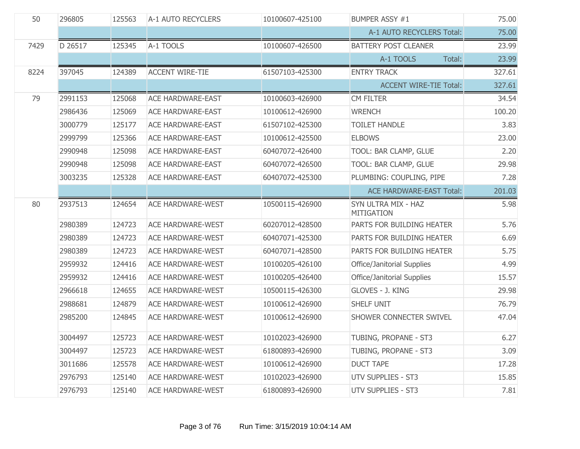| 50   | 296805  | 125563 | A-1 AUTO RECYCLERS       | 10100607-425100 | <b>BUMPER ASSY #1</b>                    | 75.00  |
|------|---------|--------|--------------------------|-----------------|------------------------------------------|--------|
|      |         |        |                          |                 | A-1 AUTO RECYCLERS Total:                | 75.00  |
| 7429 | D 26517 | 125345 | A-1 TOOLS                | 10100607-426500 | <b>BATTERY POST CLEANER</b>              | 23.99  |
|      |         |        |                          |                 | A-1 TOOLS<br>Total:                      | 23.99  |
| 8224 | 397045  | 124389 | <b>ACCENT WIRE-TIE</b>   | 61507103-425300 | <b>ENTRY TRACK</b>                       | 327.61 |
|      |         |        |                          |                 | <b>ACCENT WIRE-TIE Total:</b>            | 327.61 |
| 79   | 2991153 | 125068 | <b>ACE HARDWARE-EAST</b> | 10100603-426900 | <b>CM FILTER</b>                         | 34.54  |
|      | 2986436 | 125069 | <b>ACE HARDWARE-EAST</b> | 10100612-426900 | <b>WRENCH</b>                            | 100.20 |
|      | 3000779 | 125177 | <b>ACE HARDWARE-EAST</b> | 61507102-425300 | <b>TOILET HANDLE</b>                     | 3.83   |
|      | 2999799 | 125366 | <b>ACE HARDWARE-EAST</b> | 10100612-425500 | <b>ELBOWS</b>                            | 23.00  |
|      | 2990948 | 125098 | <b>ACE HARDWARE-EAST</b> | 60407072-426400 | TOOL: BAR CLAMP, GLUE                    | 2.20   |
|      | 2990948 | 125098 | <b>ACE HARDWARE-EAST</b> | 60407072-426500 | TOOL: BAR CLAMP, GLUE                    | 29.98  |
|      | 3003235 | 125328 | <b>ACE HARDWARE-EAST</b> | 60407072-425300 | PLUMBING: COUPLING, PIPE                 | 7.28   |
|      |         |        |                          |                 | <b>ACE HARDWARE-EAST Total:</b>          | 201.03 |
| 80   | 2937513 | 124654 | <b>ACE HARDWARE-WEST</b> | 10500115-426900 | SYN ULTRA MIX - HAZ<br><b>MITIGATION</b> | 5.98   |
|      | 2980389 | 124723 | <b>ACE HARDWARE-WEST</b> | 60207012-428500 | PARTS FOR BUILDING HEATER                | 5.76   |
|      | 2980389 | 124723 | <b>ACE HARDWARE-WEST</b> | 60407071-425300 | PARTS FOR BUILDING HEATER                | 6.69   |
|      | 2980389 | 124723 | <b>ACE HARDWARE-WEST</b> | 60407071-428500 | PARTS FOR BUILDING HEATER                | 5.75   |
|      | 2959932 | 124416 | <b>ACE HARDWARE-WEST</b> | 10100205-426100 | Office/Janitorial Supplies               | 4.99   |
|      | 2959932 | 124416 | <b>ACE HARDWARE-WEST</b> | 10100205-426400 | Office/Janitorial Supplies               | 15.57  |
|      | 2966618 | 124655 | <b>ACE HARDWARE-WEST</b> | 10500115-426300 | GLOVES - J. KING                         | 29.98  |
|      | 2988681 | 124879 | <b>ACE HARDWARE-WEST</b> | 10100612-426900 | SHELF UNIT                               | 76.79  |
|      | 2985200 | 124845 | ACE HARDWARE-WEST        | 10100612-426900 | SHOWER CONNECTER SWIVEL                  | 47.04  |
|      | 3004497 | 125723 | <b>ACE HARDWARE-WEST</b> | 10102023-426900 | TUBING, PROPANE - ST3                    | 6.27   |
|      | 3004497 | 125723 | <b>ACE HARDWARE-WEST</b> | 61800893-426900 | TUBING, PROPANE - ST3                    | 3.09   |
|      | 3011686 | 125578 | <b>ACE HARDWARE-WEST</b> | 10100612-426900 | <b>DUCT TAPE</b>                         | 17.28  |
|      | 2976793 | 125140 | <b>ACE HARDWARE-WEST</b> | 10102023-426900 | <b>UTV SUPPLIES - ST3</b>                | 15.85  |
|      | 2976793 | 125140 | ACE HARDWARE-WEST        | 61800893-426900 | <b>UTV SUPPLIES - ST3</b>                | 7.81   |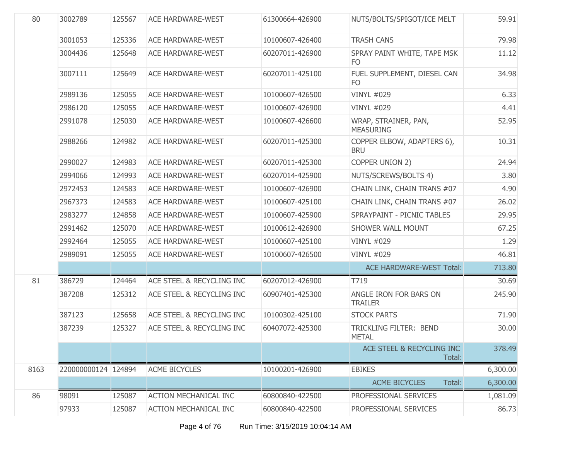| 80   | 3002789             | 125567 | <b>ACE HARDWARE-WEST</b>     | 61300664-426900 | NUTS/BOLTS/SPIGOT/ICE MELT               | 59.91    |
|------|---------------------|--------|------------------------------|-----------------|------------------------------------------|----------|
|      | 3001053             | 125336 | <b>ACE HARDWARE-WEST</b>     | 10100607-426400 | <b>TRASH CANS</b>                        | 79.98    |
|      | 3004436             | 125648 | <b>ACE HARDWARE-WEST</b>     | 60207011-426900 | SPRAY PAINT WHITE, TAPE MSK<br>FO        | 11.12    |
|      | 3007111             | 125649 | <b>ACE HARDWARE-WEST</b>     | 60207011-425100 | FUEL SUPPLEMENT, DIESEL CAN<br>FO        | 34.98    |
|      | 2989136             | 125055 | <b>ACE HARDWARE-WEST</b>     | 10100607-426500 | <b>VINYL #029</b>                        | 6.33     |
|      | 2986120             | 125055 | <b>ACE HARDWARE-WEST</b>     | 10100607-426900 | <b>VINYL #029</b>                        | 4.41     |
|      | 2991078             | 125030 | <b>ACE HARDWARE-WEST</b>     | 10100607-426600 | WRAP, STRAINER, PAN,<br><b>MEASURING</b> | 52.95    |
|      | 2988266             | 124982 | <b>ACE HARDWARE-WEST</b>     | 60207011-425300 | COPPER ELBOW, ADAPTERS 6),<br><b>BRU</b> | 10.31    |
|      | 2990027             | 124983 | <b>ACE HARDWARE-WEST</b>     | 60207011-425300 | COPPER UNION 2)                          | 24.94    |
|      | 2994066             | 124993 | <b>ACE HARDWARE-WEST</b>     | 60207014-425900 | NUTS/SCREWS/BOLTS 4)                     | 3.80     |
|      | 2972453             | 124583 | <b>ACE HARDWARE-WEST</b>     | 10100607-426900 | CHAIN LINK, CHAIN TRANS #07              | 4.90     |
|      | 2967373             | 124583 | <b>ACE HARDWARE-WEST</b>     | 10100607-425100 | CHAIN LINK, CHAIN TRANS #07              | 26.02    |
|      | 2983277             | 124858 | <b>ACE HARDWARE-WEST</b>     | 10100607-425900 | SPRAYPAINT - PICNIC TABLES               | 29.95    |
|      | 2991462             | 125070 | <b>ACE HARDWARE-WEST</b>     | 10100612-426900 | <b>SHOWER WALL MOUNT</b>                 | 67.25    |
|      | 2992464             | 125055 | <b>ACE HARDWARE-WEST</b>     | 10100607-425100 | <b>VINYL #029</b>                        | 1.29     |
|      | 2989091             | 125055 | <b>ACE HARDWARE-WEST</b>     | 10100607-426500 | <b>VINYL #029</b>                        | 46.81    |
|      |                     |        |                              |                 | <b>ACE HARDWARE-WEST Total:</b>          | 713.80   |
| 81   | 386729              | 124464 | ACE STEEL & RECYCLING INC    | 60207012-426900 | T719                                     | 30.69    |
|      | 387208              | 125312 | ACE STEEL & RECYCLING INC    | 60907401-425300 | ANGLE IRON FOR BARS ON<br><b>TRAILER</b> | 245.90   |
|      | 387123              | 125658 | ACE STEEL & RECYCLING INC    | 10100302-425100 | <b>STOCK PARTS</b>                       | 71.90    |
|      | 387239              | 125327 | ACE STEEL & RECYCLING INC    | 60407072-425300 | TRICKLING FILTER: BEND<br><b>METAL</b>   | 30.00    |
|      |                     |        |                              |                 | ACE STEEL & RECYCLING INC<br>Total:      | 378.49   |
| 8163 | 220000000124 124894 |        | <b>ACME BICYCLES</b>         | 10100201-426900 | <b>EBIKES</b>                            | 6,300.00 |
|      |                     |        |                              |                 | Total:<br><b>ACME BICYCLES</b>           | 6,300.00 |
| 86   | 98091               | 125087 | <b>ACTION MECHANICAL INC</b> | 60800840-422500 | PROFESSIONAL SERVICES                    | 1,081.09 |
|      | 97933               | 125087 | <b>ACTION MECHANICAL INC</b> | 60800840-422500 | PROFESSIONAL SERVICES                    | 86.73    |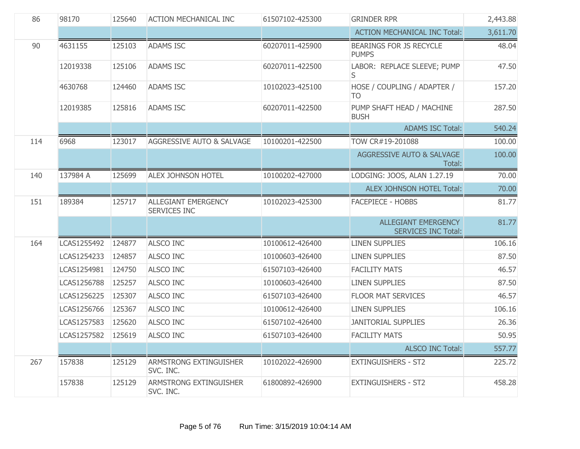| 86  | 98170       | 125640 | <b>ACTION MECHANICAL INC</b>               | 61507102-425300 | <b>GRINDER RPR</b>                                       | 2,443.88 |
|-----|-------------|--------|--------------------------------------------|-----------------|----------------------------------------------------------|----------|
|     |             |        |                                            |                 | <b>ACTION MECHANICAL INC Total:</b>                      | 3,611.70 |
| 90  | 4631155     | 125103 | <b>ADAMS ISC</b>                           | 60207011-425900 | <b>BEARINGS FOR JS RECYCLE</b><br><b>PUMPS</b>           | 48.04    |
|     | 12019338    | 125106 | <b>ADAMS ISC</b>                           | 60207011-422500 | LABOR: REPLACE SLEEVE; PUMP<br>S                         | 47.50    |
|     | 4630768     | 124460 | <b>ADAMS ISC</b>                           | 10102023-425100 | HOSE / COUPLING / ADAPTER /<br><b>TO</b>                 | 157.20   |
|     | 12019385    | 125816 | <b>ADAMS ISC</b>                           | 60207011-422500 | PUMP SHAFT HEAD / MACHINE<br><b>BUSH</b>                 | 287.50   |
|     |             |        |                                            |                 | <b>ADAMS ISC Total:</b>                                  | 540.24   |
| 114 | 6968        | 123017 | AGGRESSIVE AUTO & SALVAGE                  | 10100201-422500 | TOW CR#19-201088                                         | 100.00   |
|     |             |        |                                            |                 | AGGRESSIVE AUTO & SALVAGE<br>Total:                      | 100.00   |
| 140 | 137984 A    | 125699 | <b>ALEX JOHNSON HOTEL</b>                  | 10100202-427000 | LODGING: JOOS, ALAN 1.27.19                              | 70.00    |
|     |             |        |                                            |                 | ALEX JOHNSON HOTEL Total:                                | 70.00    |
| 151 | 189384      | 125717 | ALLEGIANT EMERGENCY<br><b>SERVICES INC</b> | 10102023-425300 | <b>FACEPIECE - HOBBS</b>                                 | 81.77    |
|     |             |        |                                            |                 | <b>ALLEGIANT EMERGENCY</b><br><b>SERVICES INC Total:</b> | 81.77    |
| 164 | LCAS1255492 | 124877 | <b>ALSCO INC</b>                           | 10100612-426400 | <b>LINEN SUPPLIES</b>                                    | 106.16   |
|     | LCAS1254233 | 124857 | <b>ALSCO INC</b>                           | 10100603-426400 | <b>LINEN SUPPLIES</b>                                    | 87.50    |
|     | LCAS1254981 | 124750 | ALSCO INC                                  | 61507103-426400 | <b>FACILITY MATS</b>                                     | 46.57    |
|     | LCAS1256788 | 125257 | <b>ALSCO INC</b>                           | 10100603-426400 | <b>LINEN SUPPLIES</b>                                    | 87.50    |
|     | LCAS1256225 | 125307 | ALSCO INC                                  | 61507103-426400 | <b>FLOOR MAT SERVICES</b>                                | 46.57    |
|     | LCAS1256766 | 125367 | <b>ALSCO INC</b>                           | 10100612-426400 | <b>LINEN SUPPLIES</b>                                    | 106.16   |
|     | LCAS1257583 | 125620 | <b>ALSCO INC</b>                           | 61507102-426400 | <b>JANITORIAL SUPPLIES</b>                               | 26.36    |
|     | LCAS1257582 | 125619 | <b>ALSCO INC</b>                           | 61507103-426400 | <b>FACILITY MATS</b>                                     | 50.95    |
|     |             |        |                                            |                 | <b>ALSCO INC Total:</b>                                  | 557.77   |
| 267 | 157838      | 125129 | ARMSTRONG EXTINGUISHER<br>SVC. INC.        | 10102022-426900 | <b>EXTINGUISHERS - ST2</b>                               | 225.72   |
|     | 157838      | 125129 | ARMSTRONG EXTINGUISHER<br>SVC. INC.        | 61800892-426900 | <b>EXTINGUISHERS - ST2</b>                               | 458.28   |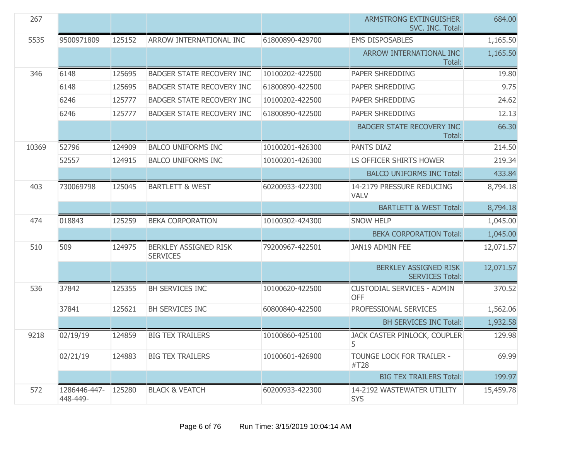| 267   |                          |        |                                          |                 | <b>ARMSTRONG EXTINGUISHER</b><br>SVC. INC. Total: | 684.00    |
|-------|--------------------------|--------|------------------------------------------|-----------------|---------------------------------------------------|-----------|
| 5535  | 9500971809               | 125152 | ARROW INTERNATIONAL INC                  | 61800890-429700 | <b>EMS DISPOSABLES</b>                            | 1,165.50  |
|       |                          |        |                                          |                 | ARROW INTERNATIONAL INC<br>Total:                 | 1,165.50  |
| 346   | 6148                     | 125695 | <b>BADGER STATE RECOVERY INC</b>         | 10100202-422500 | PAPER SHREDDING                                   | 19.80     |
|       | 6148                     | 125695 | <b>BADGER STATE RECOVERY INC</b>         | 61800890-422500 | PAPER SHREDDING                                   | 9.75      |
|       | 6246                     | 125777 | <b>BADGER STATE RECOVERY INC</b>         | 10100202-422500 | PAPER SHREDDING                                   | 24.62     |
|       | 6246                     | 125777 | <b>BADGER STATE RECOVERY INC</b>         | 61800890-422500 | PAPER SHREDDING                                   | 12.13     |
|       |                          |        |                                          |                 | <b>BADGER STATE RECOVERY INC</b><br>Total:        | 66.30     |
| 10369 | 52796                    | 124909 | <b>BALCO UNIFORMS INC</b>                | 10100201-426300 | PANTS DIAZ                                        | 214.50    |
|       | 52557                    | 124915 | <b>BALCO UNIFORMS INC</b>                | 10100201-426300 | LS OFFICER SHIRTS HOWER                           | 219.34    |
|       |                          |        |                                          |                 | <b>BALCO UNIFORMS INC Total:</b>                  | 433.84    |
| 403   | 730069798                | 125045 | <b>BARTLETT &amp; WEST</b>               | 60200933-422300 | 14-2179 PRESSURE REDUCING<br><b>VALV</b>          | 8,794.18  |
|       |                          |        |                                          |                 | <b>BARTLETT &amp; WEST Total:</b>                 | 8,794.18  |
| 474   | 018843                   | 125259 | <b>BEKA CORPORATION</b>                  | 10100302-424300 | <b>SNOW HELP</b>                                  | 1,045.00  |
|       |                          |        |                                          |                 | <b>BEKA CORPORATION Total:</b>                    | 1,045.00  |
| 510   | 509                      | 124975 | BERKLEY ASSIGNED RISK<br><b>SERVICES</b> | 79200967-422501 | JAN19 ADMIN FEE                                   | 12,071.57 |
|       |                          |        |                                          |                 | BERKLEY ASSIGNED RISK<br><b>SERVICES Total:</b>   | 12,071.57 |
| 536   | 37842                    | 125355 | <b>BH SERVICES INC</b>                   | 10100620-422500 | <b>CUSTODIAL SERVICES - ADMIN</b><br><b>OFF</b>   | 370.52    |
|       | 37841                    | 125621 | BH SERVICES INC                          | 60800840-422500 | PROFESSIONAL SERVICES                             | 1,562.06  |
|       |                          |        |                                          |                 | <b>BH SERVICES INC Total:</b>                     | 1,932.58  |
| 9218  | 02/19/19                 | 124859 | <b>BIG TEX TRAILERS</b>                  | 10100860-425100 | JACK CASTER PINLOCK, COUPLER<br>5                 | 129.98    |
|       | 02/21/19                 | 124883 | <b>BIG TEX TRAILERS</b>                  | 10100601-426900 | TOUNGE LOCK FOR TRAILER -<br>#T28                 | 69.99     |
|       |                          |        |                                          |                 | <b>BIG TEX TRAILERS Total:</b>                    | 199.97    |
| 572   | 1286446-447-<br>448-449- | 125280 | <b>BLACK &amp; VEATCH</b>                | 60200933-422300 | 14-2192 WASTEWATER UTILITY<br><b>SYS</b>          | 15,459.78 |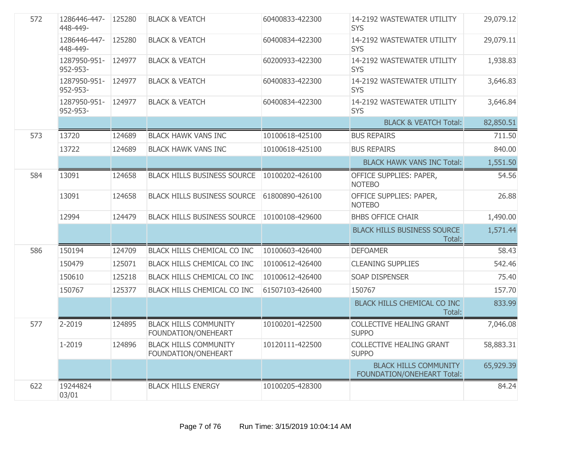| 572 | 1286446-447-<br>448-449- | 125280 | <b>BLACK &amp; VEATCH</b>                           | 60400833-422300 | 14-2192 WASTEWATER UTILITY<br><b>SYS</b>                   | 29,079.12 |
|-----|--------------------------|--------|-----------------------------------------------------|-----------------|------------------------------------------------------------|-----------|
|     | 1286446-447-<br>448-449- | 125280 | <b>BLACK &amp; VEATCH</b>                           | 60400834-422300 | 14-2192 WASTEWATER UTILITY<br><b>SYS</b>                   | 29,079.11 |
|     | 1287950-951-<br>952-953- | 124977 | <b>BLACK &amp; VEATCH</b>                           | 60200933-422300 | 14-2192 WASTEWATER UTILITY<br><b>SYS</b>                   | 1,938.83  |
|     | 1287950-951-<br>952-953- | 124977 | <b>BLACK &amp; VEATCH</b>                           | 60400833-422300 | 14-2192 WASTEWATER UTILITY<br><b>SYS</b>                   | 3,646.83  |
|     | 1287950-951-<br>952-953- | 124977 | <b>BLACK &amp; VEATCH</b>                           | 60400834-422300 | 14-2192 WASTEWATER UTILITY<br><b>SYS</b>                   | 3,646.84  |
|     |                          |        |                                                     |                 | <b>BLACK &amp; VEATCH Total:</b>                           | 82,850.51 |
| 573 | 13720                    | 124689 | <b>BLACK HAWK VANS INC</b>                          | 10100618-425100 | <b>BUS REPAIRS</b>                                         | 711.50    |
|     | 13722                    | 124689 | <b>BLACK HAWK VANS INC</b>                          | 10100618-425100 | <b>BUS REPAIRS</b>                                         | 840.00    |
|     |                          |        |                                                     |                 | <b>BLACK HAWK VANS INC Total:</b>                          | 1,551.50  |
| 584 | 13091                    | 124658 | <b>BLACK HILLS BUSINESS SOURCE</b>                  | 10100202-426100 | OFFICE SUPPLIES: PAPER,<br><b>NOTEBO</b>                   | 54.56     |
|     | 13091                    | 124658 | <b>BLACK HILLS BUSINESS SOURCE</b>                  | 61800890-426100 | OFFICE SUPPLIES: PAPER,<br><b>NOTEBO</b>                   | 26.88     |
|     | 12994                    | 124479 | <b>BLACK HILLS BUSINESS SOURCE</b>                  | 10100108-429600 | <b>BHBS OFFICE CHAIR</b>                                   | 1,490.00  |
|     |                          |        |                                                     |                 | <b>BLACK HILLS BUSINESS SOURCE</b><br>Total:               | 1,571.44  |
| 586 | 150194                   | 124709 | BLACK HILLS CHEMICAL CO INC                         | 10100603-426400 | <b>DEFOAMER</b>                                            | 58.43     |
|     | 150479                   | 125071 | BLACK HILLS CHEMICAL CO INC                         | 10100612-426400 | <b>CLEANING SUPPLIES</b>                                   | 542.46    |
|     | 150610                   | 125218 | BLACK HILLS CHEMICAL CO INC                         | 10100612-426400 | <b>SOAP DISPENSER</b>                                      | 75.40     |
|     | 150767                   | 125377 | BLACK HILLS CHEMICAL CO INC                         | 61507103-426400 | 150767                                                     | 157.70    |
|     |                          |        |                                                     |                 | <b>BLACK HILLS CHEMICAL CO INC</b><br>Total:               | 833.99    |
| 577 | 2-2019                   | 124895 | <b>BLACK HILLS COMMUNITY</b><br>FOUNDATION/ONEHEART | 10100201-422500 | <b>COLLECTIVE HEALING GRANT</b><br><b>SUPPO</b>            | 7,046.08  |
|     | 1-2019                   | 124896 | <b>BLACK HILLS COMMUNITY</b><br>FOUNDATION/ONEHEART | 10120111-422500 | <b>COLLECTIVE HEALING GRANT</b><br><b>SUPPO</b>            | 58,883.31 |
|     |                          |        |                                                     |                 | <b>BLACK HILLS COMMUNITY</b><br>FOUNDATION/ONEHEART Total: | 65,929.39 |
| 622 | 19244824<br>03/01        |        | <b>BLACK HILLS ENERGY</b>                           | 10100205-428300 |                                                            | 84.24     |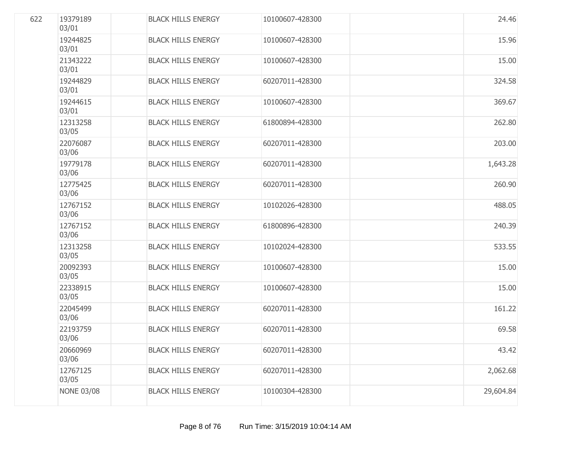| 622 | 19379189<br>03/01 | <b>BLACK HILLS ENERGY</b> | 10100607-428300 | 24.46     |
|-----|-------------------|---------------------------|-----------------|-----------|
|     | 19244825<br>03/01 | <b>BLACK HILLS ENERGY</b> | 10100607-428300 | 15.96     |
|     | 21343222<br>03/01 | <b>BLACK HILLS ENERGY</b> | 10100607-428300 | 15.00     |
|     | 19244829<br>03/01 | <b>BLACK HILLS ENERGY</b> | 60207011-428300 | 324.58    |
|     | 19244615<br>03/01 | <b>BLACK HILLS ENERGY</b> | 10100607-428300 | 369.67    |
|     | 12313258<br>03/05 | <b>BLACK HILLS ENERGY</b> | 61800894-428300 | 262.80    |
|     | 22076087<br>03/06 | <b>BLACK HILLS ENERGY</b> | 60207011-428300 | 203.00    |
|     | 19779178<br>03/06 | <b>BLACK HILLS ENERGY</b> | 60207011-428300 | 1,643.28  |
|     | 12775425<br>03/06 | <b>BLACK HILLS ENERGY</b> | 60207011-428300 | 260.90    |
|     | 12767152<br>03/06 | <b>BLACK HILLS ENERGY</b> | 10102026-428300 | 488.05    |
|     | 12767152<br>03/06 | <b>BLACK HILLS ENERGY</b> | 61800896-428300 | 240.39    |
|     | 12313258<br>03/05 | <b>BLACK HILLS ENERGY</b> | 10102024-428300 | 533.55    |
|     | 20092393<br>03/05 | <b>BLACK HILLS ENERGY</b> | 10100607-428300 | 15.00     |
|     | 22338915<br>03/05 | <b>BLACK HILLS ENERGY</b> | 10100607-428300 | 15.00     |
|     | 22045499<br>03/06 | <b>BLACK HILLS ENERGY</b> | 60207011-428300 | 161.22    |
|     | 22193759<br>03/06 | <b>BLACK HILLS ENERGY</b> | 60207011-428300 | 69.58     |
|     | 20660969<br>03/06 | <b>BLACK HILLS ENERGY</b> | 60207011-428300 | 43.42     |
|     | 12767125<br>03/05 | <b>BLACK HILLS ENERGY</b> | 60207011-428300 | 2,062.68  |
|     | <b>NONE 03/08</b> | <b>BLACK HILLS ENERGY</b> | 10100304-428300 | 29,604.84 |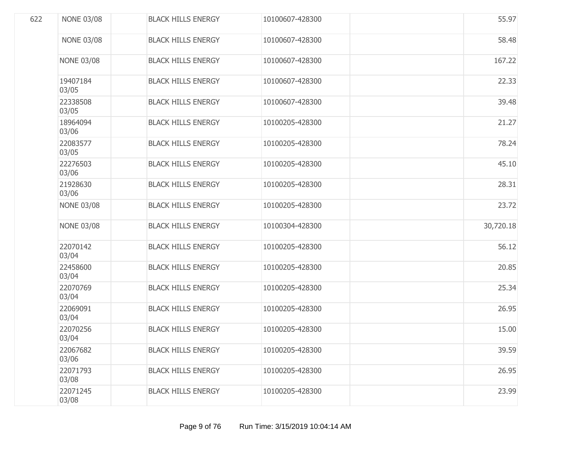| 622 | <b>NONE 03/08</b> | <b>BLACK HILLS ENERGY</b> | 10100607-428300 | 55.97     |
|-----|-------------------|---------------------------|-----------------|-----------|
|     | <b>NONE 03/08</b> | <b>BLACK HILLS ENERGY</b> | 10100607-428300 | 58.48     |
|     | <b>NONE 03/08</b> | <b>BLACK HILLS ENERGY</b> | 10100607-428300 | 167.22    |
|     | 19407184<br>03/05 | <b>BLACK HILLS ENERGY</b> | 10100607-428300 | 22.33     |
|     | 22338508<br>03/05 | <b>BLACK HILLS ENERGY</b> | 10100607-428300 | 39.48     |
|     | 18964094<br>03/06 | <b>BLACK HILLS ENERGY</b> | 10100205-428300 | 21.27     |
|     | 22083577<br>03/05 | <b>BLACK HILLS ENERGY</b> | 10100205-428300 | 78.24     |
|     | 22276503<br>03/06 | <b>BLACK HILLS ENERGY</b> | 10100205-428300 | 45.10     |
|     | 21928630<br>03/06 | <b>BLACK HILLS ENERGY</b> | 10100205-428300 | 28.31     |
|     | <b>NONE 03/08</b> | <b>BLACK HILLS ENERGY</b> | 10100205-428300 | 23.72     |
|     | <b>NONE 03/08</b> | <b>BLACK HILLS ENERGY</b> | 10100304-428300 | 30,720.18 |
|     | 22070142<br>03/04 | <b>BLACK HILLS ENERGY</b> | 10100205-428300 | 56.12     |
|     | 22458600<br>03/04 | <b>BLACK HILLS ENERGY</b> | 10100205-428300 | 20.85     |
|     | 22070769<br>03/04 | <b>BLACK HILLS ENERGY</b> | 10100205-428300 | 25.34     |
|     | 22069091<br>03/04 | <b>BLACK HILLS ENERGY</b> | 10100205-428300 | 26.95     |
|     | 22070256<br>03/04 | <b>BLACK HILLS ENERGY</b> | 10100205-428300 | 15.00     |
|     | 22067682<br>03/06 | <b>BLACK HILLS ENERGY</b> | 10100205-428300 | 39.59     |
|     | 22071793<br>03/08 | <b>BLACK HILLS ENERGY</b> | 10100205-428300 | 26.95     |
|     | 22071245<br>03/08 | <b>BLACK HILLS ENERGY</b> | 10100205-428300 | 23.99     |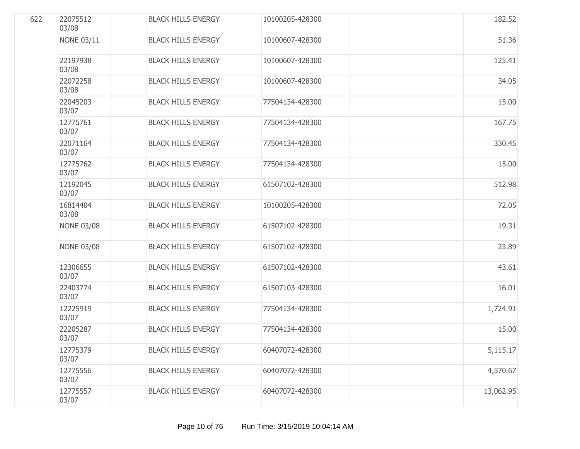| 622 | 22075512<br>03/08 | <b>BLACK HILLS ENERGY</b> | 10100205-428300 | 182.52    |
|-----|-------------------|---------------------------|-----------------|-----------|
|     | <b>NONE 03/11</b> | <b>BLACK HILLS ENERGY</b> | 10100607-428300 | 51.36     |
|     | 22197938<br>03/08 | <b>BLACK HILLS ENERGY</b> | 10100607-428300 | 125.41    |
|     | 22072258<br>03/08 | <b>BLACK HILLS ENERGY</b> | 10100607-428300 | 34.05     |
|     | 22045203<br>03/07 | <b>BLACK HILLS ENERGY</b> | 77504134-428300 | 15.00     |
|     | 12775761<br>03/07 | <b>BLACK HILLS ENERGY</b> | 77504134-428300 | 167.75    |
|     | 22071164<br>03/07 | <b>BLACK HILLS ENERGY</b> | 77504134-428300 | 330.45    |
|     | 12775762<br>03/07 | <b>BLACK HILLS ENERGY</b> | 77504134-428300 | 15.00     |
|     | 12192045<br>03/07 | <b>BLACK HILLS ENERGY</b> | 61507102-428300 | 512.98    |
|     | 16814404<br>03/08 | <b>BLACK HILLS ENERGY</b> | 10100205-428300 | 72.05     |
|     | <b>NONE 03/08</b> | <b>BLACK HILLS ENERGY</b> | 61507102-428300 | 19.31     |
|     | <b>NONE 03/08</b> | <b>BLACK HILLS ENERGY</b> | 61507102-428300 | 23.89     |
|     | 12306655<br>03/07 | <b>BLACK HILLS ENERGY</b> | 61507102-428300 | 43.61     |
|     | 22403774<br>03/07 | <b>BLACK HILLS ENERGY</b> | 61507103-428300 | 16.01     |
|     | 12225919<br>03/07 | <b>BLACK HILLS ENERGY</b> | 77504134-428300 | 1,724.91  |
|     | 22205287<br>03/07 | <b>BLACK HILLS ENERGY</b> | 77504134-428300 | 15.00     |
|     | 12775379<br>03/07 | <b>BLACK HILLS ENERGY</b> | 60407072-428300 | 5,115.17  |
|     | 12775556<br>03/07 | <b>BLACK HILLS ENERGY</b> | 60407072-428300 | 4,570.67  |
|     | 12775557<br>03/07 | <b>BLACK HILLS ENERGY</b> | 60407072-428300 | 13,062.95 |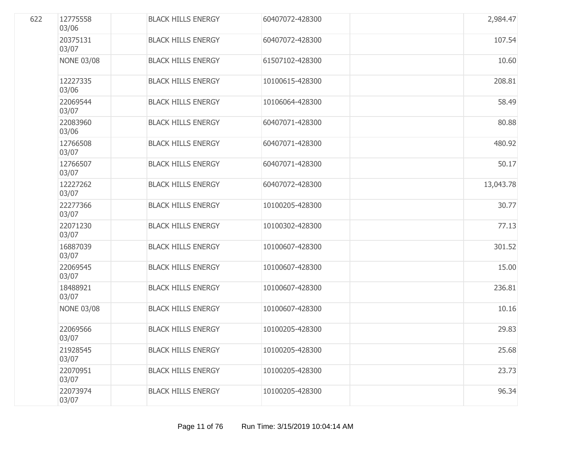| 622 | 12775558<br>03/06 | <b>BLACK HILLS ENERGY</b> | 60407072-428300 | 2,984.47  |
|-----|-------------------|---------------------------|-----------------|-----------|
|     | 20375131<br>03/07 | <b>BLACK HILLS ENERGY</b> | 60407072-428300 | 107.54    |
|     | <b>NONE 03/08</b> | <b>BLACK HILLS ENERGY</b> | 61507102-428300 | 10.60     |
|     | 12227335<br>03/06 | <b>BLACK HILLS ENERGY</b> | 10100615-428300 | 208.81    |
|     | 22069544<br>03/07 | <b>BLACK HILLS ENERGY</b> | 10106064-428300 | 58.49     |
|     | 22083960<br>03/06 | <b>BLACK HILLS ENERGY</b> | 60407071-428300 | 80.88     |
|     | 12766508<br>03/07 | <b>BLACK HILLS ENERGY</b> | 60407071-428300 | 480.92    |
|     | 12766507<br>03/07 | <b>BLACK HILLS ENERGY</b> | 60407071-428300 | 50.17     |
|     | 12227262<br>03/07 | <b>BLACK HILLS ENERGY</b> | 60407072-428300 | 13,043.78 |
|     | 22277366<br>03/07 | <b>BLACK HILLS ENERGY</b> | 10100205-428300 | 30.77     |
|     | 22071230<br>03/07 | <b>BLACK HILLS ENERGY</b> | 10100302-428300 | 77.13     |
|     | 16887039<br>03/07 | <b>BLACK HILLS ENERGY</b> | 10100607-428300 | 301.52    |
|     | 22069545<br>03/07 | <b>BLACK HILLS ENERGY</b> | 10100607-428300 | 15.00     |
|     | 18488921<br>03/07 | <b>BLACK HILLS ENERGY</b> | 10100607-428300 | 236.81    |
|     | <b>NONE 03/08</b> | <b>BLACK HILLS ENERGY</b> | 10100607-428300 | 10.16     |
|     | 22069566<br>03/07 | <b>BLACK HILLS ENERGY</b> | 10100205-428300 | 29.83     |
|     | 21928545<br>03/07 | <b>BLACK HILLS ENERGY</b> | 10100205-428300 | 25.68     |
|     | 22070951<br>03/07 | <b>BLACK HILLS ENERGY</b> | 10100205-428300 | 23.73     |
|     | 22073974<br>03/07 | <b>BLACK HILLS ENERGY</b> | 10100205-428300 | 96.34     |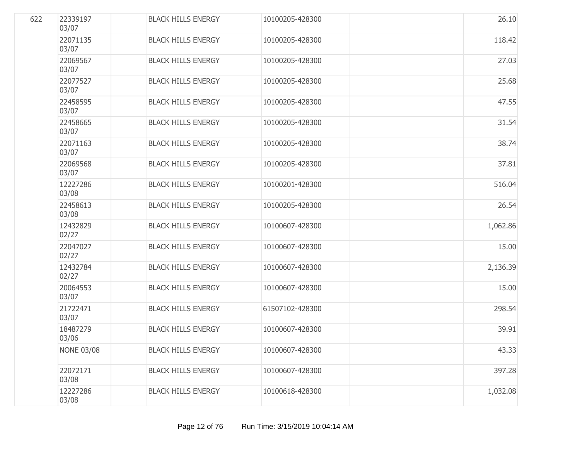| 622 | 22339197<br>03/07 | <b>BLACK HILLS ENERGY</b> | 10100205-428300 | 26.10    |
|-----|-------------------|---------------------------|-----------------|----------|
|     | 22071135<br>03/07 | <b>BLACK HILLS ENERGY</b> | 10100205-428300 | 118.42   |
|     | 22069567<br>03/07 | <b>BLACK HILLS ENERGY</b> | 10100205-428300 | 27.03    |
|     | 22077527<br>03/07 | <b>BLACK HILLS ENERGY</b> | 10100205-428300 | 25.68    |
|     | 22458595<br>03/07 | <b>BLACK HILLS ENERGY</b> | 10100205-428300 | 47.55    |
|     | 22458665<br>03/07 | <b>BLACK HILLS ENERGY</b> | 10100205-428300 | 31.54    |
|     | 22071163<br>03/07 | <b>BLACK HILLS ENERGY</b> | 10100205-428300 | 38.74    |
|     | 22069568<br>03/07 | <b>BLACK HILLS ENERGY</b> | 10100205-428300 | 37.81    |
|     | 12227286<br>03/08 | <b>BLACK HILLS ENERGY</b> | 10100201-428300 | 516.04   |
|     | 22458613<br>03/08 | <b>BLACK HILLS ENERGY</b> | 10100205-428300 | 26.54    |
|     | 12432829<br>02/27 | <b>BLACK HILLS ENERGY</b> | 10100607-428300 | 1,062.86 |
|     | 22047027<br>02/27 | <b>BLACK HILLS ENERGY</b> | 10100607-428300 | 15.00    |
|     | 12432784<br>02/27 | <b>BLACK HILLS ENERGY</b> | 10100607-428300 | 2,136.39 |
|     | 20064553<br>03/07 | <b>BLACK HILLS ENERGY</b> | 10100607-428300 | 15.00    |
|     | 21722471<br>03/07 | <b>BLACK HILLS ENERGY</b> | 61507102-428300 | 298.54   |
|     | 18487279<br>03/06 | <b>BLACK HILLS ENERGY</b> | 10100607-428300 | 39.91    |
|     | <b>NONE 03/08</b> | <b>BLACK HILLS ENERGY</b> | 10100607-428300 | 43.33    |
|     | 22072171<br>03/08 | <b>BLACK HILLS ENERGY</b> | 10100607-428300 | 397.28   |
|     | 12227286<br>03/08 | <b>BLACK HILLS ENERGY</b> | 10100618-428300 | 1,032.08 |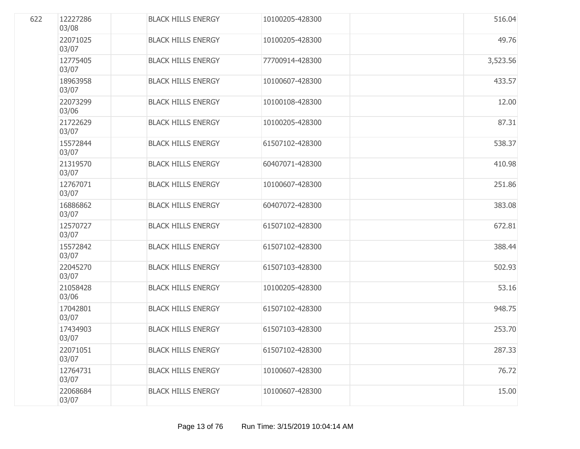| 622 | 12227286<br>03/08 | <b>BLACK HILLS ENERGY</b> | 10100205-428300 | 516.04   |
|-----|-------------------|---------------------------|-----------------|----------|
|     | 22071025<br>03/07 | <b>BLACK HILLS ENERGY</b> | 10100205-428300 | 49.76    |
|     | 12775405<br>03/07 | <b>BLACK HILLS ENERGY</b> | 77700914-428300 | 3,523.56 |
|     | 18963958<br>03/07 | <b>BLACK HILLS ENERGY</b> | 10100607-428300 | 433.57   |
|     | 22073299<br>03/06 | <b>BLACK HILLS ENERGY</b> | 10100108-428300 | 12.00    |
|     | 21722629<br>03/07 | <b>BLACK HILLS ENERGY</b> | 10100205-428300 | 87.31    |
|     | 15572844<br>03/07 | <b>BLACK HILLS ENERGY</b> | 61507102-428300 | 538.37   |
|     | 21319570<br>03/07 | <b>BLACK HILLS ENERGY</b> | 60407071-428300 | 410.98   |
|     | 12767071<br>03/07 | <b>BLACK HILLS ENERGY</b> | 10100607-428300 | 251.86   |
|     | 16886862<br>03/07 | <b>BLACK HILLS ENERGY</b> | 60407072-428300 | 383.08   |
|     | 12570727<br>03/07 | <b>BLACK HILLS ENERGY</b> | 61507102-428300 | 672.81   |
|     | 15572842<br>03/07 | <b>BLACK HILLS ENERGY</b> | 61507102-428300 | 388.44   |
|     | 22045270<br>03/07 | <b>BLACK HILLS ENERGY</b> | 61507103-428300 | 502.93   |
|     | 21058428<br>03/06 | <b>BLACK HILLS ENERGY</b> | 10100205-428300 | 53.16    |
|     | 17042801<br>03/07 | <b>BLACK HILLS ENERGY</b> | 61507102-428300 | 948.75   |
|     | 17434903<br>03/07 | <b>BLACK HILLS ENERGY</b> | 61507103-428300 | 253.70   |
|     | 22071051<br>03/07 | <b>BLACK HILLS ENERGY</b> | 61507102-428300 | 287.33   |
|     | 12764731<br>03/07 | <b>BLACK HILLS ENERGY</b> | 10100607-428300 | 76.72    |
|     | 22068684<br>03/07 | <b>BLACK HILLS ENERGY</b> | 10100607-428300 | 15.00    |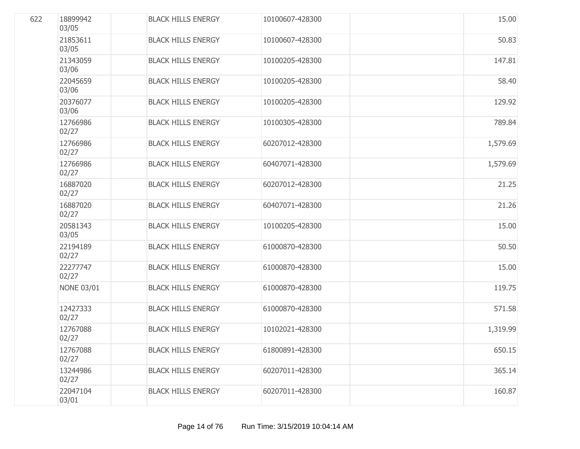| 622 | 18899942<br>03/05 | <b>BLACK HILLS ENERGY</b> | 10100607-428300 | 15.00    |
|-----|-------------------|---------------------------|-----------------|----------|
|     | 21853611<br>03/05 | <b>BLACK HILLS ENERGY</b> | 10100607-428300 | 50.83    |
|     | 21343059<br>03/06 | <b>BLACK HILLS ENERGY</b> | 10100205-428300 | 147.81   |
|     | 22045659<br>03/06 | <b>BLACK HILLS ENERGY</b> | 10100205-428300 | 58.40    |
|     | 20376077<br>03/06 | <b>BLACK HILLS ENERGY</b> | 10100205-428300 | 129.92   |
|     | 12766986<br>02/27 | <b>BLACK HILLS ENERGY</b> | 10100305-428300 | 789.84   |
|     | 12766986<br>02/27 | <b>BLACK HILLS ENERGY</b> | 60207012-428300 | 1,579.69 |
|     | 12766986<br>02/27 | <b>BLACK HILLS ENERGY</b> | 60407071-428300 | 1,579.69 |
|     | 16887020<br>02/27 | <b>BLACK HILLS ENERGY</b> | 60207012-428300 | 21.25    |
|     | 16887020<br>02/27 | <b>BLACK HILLS ENERGY</b> | 60407071-428300 | 21.26    |
|     | 20581343<br>03/05 | <b>BLACK HILLS ENERGY</b> | 10100205-428300 | 15.00    |
|     | 22194189<br>02/27 | <b>BLACK HILLS ENERGY</b> | 61000870-428300 | 50.50    |
|     | 22277747<br>02/27 | <b>BLACK HILLS ENERGY</b> | 61000870-428300 | 15.00    |
|     | <b>NONE 03/01</b> | <b>BLACK HILLS ENERGY</b> | 61000870-428300 | 119.75   |
|     | 12427333<br>02/27 | <b>BLACK HILLS ENERGY</b> | 61000870-428300 | 571.58   |
|     | 12767088<br>02/27 | <b>BLACK HILLS ENERGY</b> | 10102021-428300 | 1,319.99 |
|     | 12767088<br>02/27 | <b>BLACK HILLS ENERGY</b> | 61800891-428300 | 650.15   |
|     | 13244986<br>02/27 | <b>BLACK HILLS ENERGY</b> | 60207011-428300 | 365.14   |
|     | 22047104<br>03/01 | <b>BLACK HILLS ENERGY</b> | 60207011-428300 | 160.87   |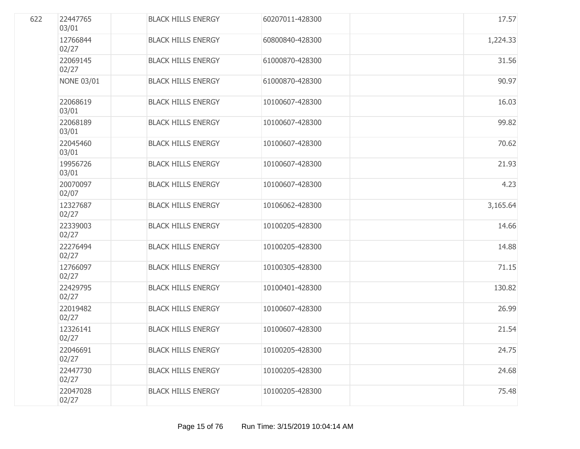| 622 | 22447765<br>03/01 | <b>BLACK HILLS ENERGY</b> | 60207011-428300 | 17.57    |
|-----|-------------------|---------------------------|-----------------|----------|
|     | 12766844<br>02/27 | <b>BLACK HILLS ENERGY</b> | 60800840-428300 | 1,224.33 |
|     | 22069145<br>02/27 | <b>BLACK HILLS ENERGY</b> | 61000870-428300 | 31.56    |
|     | <b>NONE 03/01</b> | <b>BLACK HILLS ENERGY</b> | 61000870-428300 | 90.97    |
|     | 22068619<br>03/01 | <b>BLACK HILLS ENERGY</b> | 10100607-428300 | 16.03    |
|     | 22068189<br>03/01 | <b>BLACK HILLS ENERGY</b> | 10100607-428300 | 99.82    |
|     | 22045460<br>03/01 | <b>BLACK HILLS ENERGY</b> | 10100607-428300 | 70.62    |
|     | 19956726<br>03/01 | <b>BLACK HILLS ENERGY</b> | 10100607-428300 | 21.93    |
|     | 20070097<br>02/07 | <b>BLACK HILLS ENERGY</b> | 10100607-428300 | 4.23     |
|     | 12327687<br>02/27 | <b>BLACK HILLS ENERGY</b> | 10106062-428300 | 3,165.64 |
|     | 22339003<br>02/27 | <b>BLACK HILLS ENERGY</b> | 10100205-428300 | 14.66    |
|     | 22276494<br>02/27 | <b>BLACK HILLS ENERGY</b> | 10100205-428300 | 14.88    |
|     | 12766097<br>02/27 | <b>BLACK HILLS ENERGY</b> | 10100305-428300 | 71.15    |
|     | 22429795<br>02/27 | <b>BLACK HILLS ENERGY</b> | 10100401-428300 | 130.82   |
|     | 22019482<br>02/27 | <b>BLACK HILLS ENERGY</b> | 10100607-428300 | 26.99    |
|     | 12326141<br>02/27 | <b>BLACK HILLS ENERGY</b> | 10100607-428300 | 21.54    |
|     | 22046691<br>02/27 | <b>BLACK HILLS ENERGY</b> | 10100205-428300 | 24.75    |
|     | 22447730<br>02/27 | <b>BLACK HILLS ENERGY</b> | 10100205-428300 | 24.68    |
|     | 22047028<br>02/27 | <b>BLACK HILLS ENERGY</b> | 10100205-428300 | 75.48    |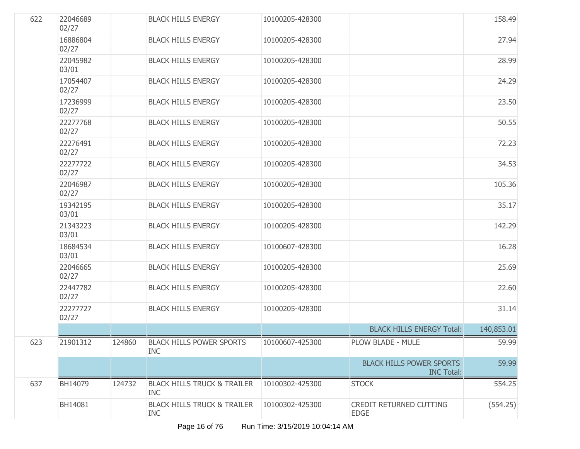| 622 | 22046689<br>02/27 |        | <b>BLACK HILLS ENERGY</b>                            | 10100205-428300 |                                                      | 158.49     |
|-----|-------------------|--------|------------------------------------------------------|-----------------|------------------------------------------------------|------------|
|     | 16886804<br>02/27 |        | <b>BLACK HILLS ENERGY</b>                            | 10100205-428300 |                                                      | 27.94      |
|     | 22045982<br>03/01 |        | <b>BLACK HILLS ENERGY</b>                            | 10100205-428300 |                                                      | 28.99      |
|     | 17054407<br>02/27 |        | <b>BLACK HILLS ENERGY</b>                            | 10100205-428300 |                                                      | 24.29      |
|     | 17236999<br>02/27 |        | <b>BLACK HILLS ENERGY</b>                            | 10100205-428300 |                                                      | 23.50      |
|     | 22277768<br>02/27 |        | <b>BLACK HILLS ENERGY</b>                            | 10100205-428300 |                                                      | 50.55      |
|     | 22276491<br>02/27 |        | <b>BLACK HILLS ENERGY</b>                            | 10100205-428300 |                                                      | 72.23      |
|     | 22277722<br>02/27 |        | <b>BLACK HILLS ENERGY</b>                            | 10100205-428300 |                                                      | 34.53      |
|     | 22046987<br>02/27 |        | <b>BLACK HILLS ENERGY</b>                            | 10100205-428300 |                                                      | 105.36     |
|     | 19342195<br>03/01 |        | <b>BLACK HILLS ENERGY</b>                            | 10100205-428300 |                                                      | 35.17      |
|     | 21343223<br>03/01 |        | <b>BLACK HILLS ENERGY</b>                            | 10100205-428300 |                                                      | 142.29     |
|     | 18684534<br>03/01 |        | <b>BLACK HILLS ENERGY</b>                            | 10100607-428300 |                                                      | 16.28      |
|     | 22046665<br>02/27 |        | <b>BLACK HILLS ENERGY</b>                            | 10100205-428300 |                                                      | 25.69      |
|     | 22447782<br>02/27 |        | <b>BLACK HILLS ENERGY</b>                            | 10100205-428300 |                                                      | 22.60      |
|     | 22277727<br>02/27 |        | <b>BLACK HILLS ENERGY</b>                            | 10100205-428300 |                                                      | 31.14      |
|     |                   |        |                                                      |                 | <b>BLACK HILLS ENERGY Total:</b>                     | 140,853.01 |
| 623 | 21901312          | 124860 | <b>BLACK HILLS POWER SPORTS</b><br><b>INC</b>        | 10100607-425300 | PLOW BLADE - MULE                                    | 59.99      |
|     |                   |        |                                                      |                 | <b>BLACK HILLS POWER SPORTS</b><br><b>INC Total:</b> | 59.99      |
| 637 | BH14079           | 124732 | <b>BLACK HILLS TRUCK &amp; TRAILER</b><br><b>INC</b> | 10100302-425300 | <b>STOCK</b>                                         | 554.25     |
|     | BH14081           |        | <b>BLACK HILLS TRUCK &amp; TRAILER</b><br><b>INC</b> | 10100302-425300 | CREDIT RETURNED CUTTING<br><b>EDGE</b>               | (554.25)   |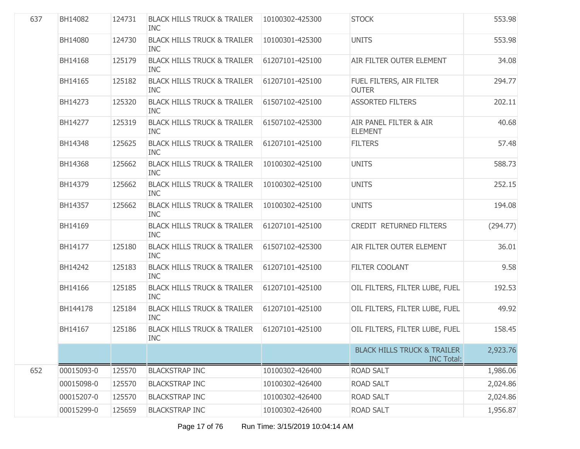| 637 | BH14082    | 124731 | <b>BLACK HILLS TRUCK &amp; TRAILER</b><br><b>INC</b> | 10100302-425300 | <b>STOCK</b>                                                | 553.98   |
|-----|------------|--------|------------------------------------------------------|-----------------|-------------------------------------------------------------|----------|
|     | BH14080    | 124730 | <b>BLACK HILLS TRUCK &amp; TRAILER</b><br><b>INC</b> | 10100301-425300 | <b>UNITS</b>                                                | 553.98   |
|     | BH14168    | 125179 | <b>BLACK HILLS TRUCK &amp; TRAILER</b><br><b>INC</b> | 61207101-425100 | AIR FILTER OUTER ELEMENT                                    | 34.08    |
|     | BH14165    | 125182 | <b>BLACK HILLS TRUCK &amp; TRAILER</b><br><b>INC</b> | 61207101-425100 | FUEL FILTERS, AIR FILTER<br><b>OUTER</b>                    | 294.77   |
|     | BH14273    | 125320 | <b>BLACK HILLS TRUCK &amp; TRAILER</b><br><b>INC</b> | 61507102-425100 | <b>ASSORTED FILTERS</b>                                     | 202.11   |
|     | BH14277    | 125319 | <b>BLACK HILLS TRUCK &amp; TRAILER</b><br><b>INC</b> | 61507102-425300 | AIR PANEL FILTER & AIR<br><b>ELEMENT</b>                    | 40.68    |
|     | BH14348    | 125625 | <b>BLACK HILLS TRUCK &amp; TRAILER</b><br><b>INC</b> | 61207101-425100 | <b>FILTERS</b>                                              | 57.48    |
|     | BH14368    | 125662 | <b>BLACK HILLS TRUCK &amp; TRAILER</b><br><b>INC</b> | 10100302-425100 | <b>UNITS</b>                                                | 588.73   |
|     | BH14379    | 125662 | <b>BLACK HILLS TRUCK &amp; TRAILER</b><br><b>INC</b> | 10100302-425100 | <b>UNITS</b>                                                | 252.15   |
|     | BH14357    | 125662 | <b>BLACK HILLS TRUCK &amp; TRAILER</b><br><b>INC</b> | 10100302-425100 | <b>UNITS</b>                                                | 194.08   |
|     | BH14169    |        | <b>BLACK HILLS TRUCK &amp; TRAILER</b><br><b>INC</b> | 61207101-425100 | CREDIT RETURNED FILTERS                                     | (294.77) |
|     | BH14177    | 125180 | <b>BLACK HILLS TRUCK &amp; TRAILER</b><br><b>INC</b> | 61507102-425300 | AIR FILTER OUTER ELEMENT                                    | 36.01    |
|     | BH14242    | 125183 | <b>BLACK HILLS TRUCK &amp; TRAILER</b><br><b>INC</b> | 61207101-425100 | FILTER COOLANT                                              | 9.58     |
|     | BH14166    | 125185 | <b>BLACK HILLS TRUCK &amp; TRAILER</b><br><b>INC</b> | 61207101-425100 | OIL FILTERS, FILTER LUBE, FUEL                              | 192.53   |
|     | BH144178   | 125184 | <b>BLACK HILLS TRUCK &amp; TRAILER</b><br><b>INC</b> | 61207101-425100 | OIL FILTERS, FILTER LUBE, FUEL                              | 49.92    |
|     | BH14167    | 125186 | <b>BLACK HILLS TRUCK &amp; TRAILER</b><br><b>INC</b> | 61207101-425100 | OIL FILTERS, FILTER LUBE, FUEL                              | 158.45   |
|     |            |        |                                                      |                 | <b>BLACK HILLS TRUCK &amp; TRAILER</b><br><b>INC Total:</b> | 2,923.76 |
| 652 | 00015093-0 | 125570 | <b>BLACKSTRAP INC</b>                                | 10100302-426400 | <b>ROAD SALT</b>                                            | 1,986.06 |
|     | 00015098-0 | 125570 | <b>BLACKSTRAP INC</b>                                | 10100302-426400 | <b>ROAD SALT</b>                                            | 2,024.86 |
|     | 00015207-0 | 125570 | <b>BLACKSTRAP INC</b>                                | 10100302-426400 | <b>ROAD SALT</b>                                            | 2,024.86 |
|     | 00015299-0 | 125659 | <b>BLACKSTRAP INC</b>                                | 10100302-426400 | <b>ROAD SALT</b>                                            | 1,956.87 |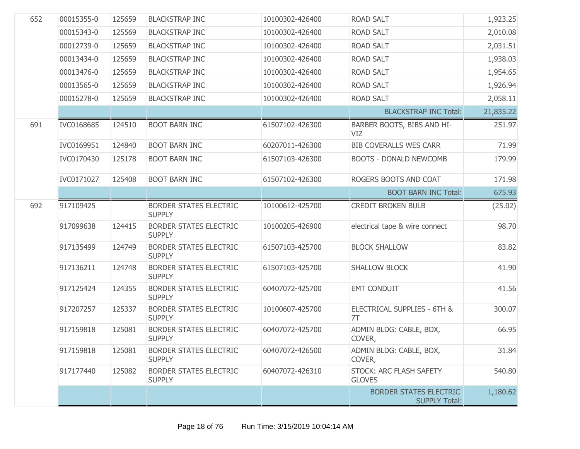| 652 | 00015355-0 | 125659 | <b>BLACKSTRAP INC</b>                          | 10100302-426400 | <b>ROAD SALT</b>                                      | 1,923.25  |
|-----|------------|--------|------------------------------------------------|-----------------|-------------------------------------------------------|-----------|
|     | 00015343-0 | 125569 | <b>BLACKSTRAP INC</b>                          | 10100302-426400 | <b>ROAD SALT</b>                                      | 2,010.08  |
|     | 00012739-0 | 125659 | <b>BLACKSTRAP INC</b>                          | 10100302-426400 | <b>ROAD SALT</b>                                      | 2,031.51  |
|     | 00013434-0 | 125659 | <b>BLACKSTRAP INC</b>                          | 10100302-426400 | <b>ROAD SALT</b>                                      | 1,938.03  |
|     | 00013476-0 | 125659 | <b>BLACKSTRAP INC</b>                          | 10100302-426400 | <b>ROAD SALT</b>                                      | 1,954.65  |
|     | 00013565-0 | 125659 | <b>BLACKSTRAP INC</b>                          | 10100302-426400 | <b>ROAD SALT</b>                                      | 1,926.94  |
|     | 00015278-0 | 125659 | <b>BLACKSTRAP INC</b>                          | 10100302-426400 | ROAD SALT                                             | 2,058.11  |
|     |            |        |                                                |                 | <b>BLACKSTRAP INC Total:</b>                          | 21,835.22 |
| 691 | IVC0168685 | 124510 | <b>BOOT BARN INC</b>                           | 61507102-426300 | BARBER BOOTS, BIBS AND HI-<br><b>VIZ</b>              | 251.97    |
|     | IVC0169951 | 124840 | <b>BOOT BARN INC</b>                           | 60207011-426300 | <b>BIB COVERALLS WES CARR</b>                         | 71.99     |
|     | IVC0170430 | 125178 | <b>BOOT BARN INC</b>                           | 61507103-426300 | <b>BOOTS - DONALD NEWCOMB</b>                         | 179.99    |
|     | IVC0171027 | 125408 | <b>BOOT BARN INC</b>                           | 61507102-426300 | ROGERS BOOTS AND COAT                                 | 171.98    |
|     |            |        |                                                |                 | <b>BOOT BARN INC Total:</b>                           | 675.93    |
| 692 | 917109425  |        | BORDER STATES ELECTRIC<br><b>SUPPLY</b>        | 10100612-425700 | <b>CREDIT BROKEN BULB</b>                             | (25.02)   |
|     | 917099638  | 124415 | <b>BORDER STATES ELECTRIC</b><br><b>SUPPLY</b> | 10100205-426900 | electrical tape & wire connect                        | 98.70     |
|     | 917135499  | 124749 | <b>BORDER STATES ELECTRIC</b><br><b>SUPPLY</b> | 61507103-425700 | <b>BLOCK SHALLOW</b>                                  | 83.82     |
|     | 917136211  | 124748 | <b>BORDER STATES ELECTRIC</b><br><b>SUPPLY</b> | 61507103-425700 | <b>SHALLOW BLOCK</b>                                  | 41.90     |
|     | 917125424  | 124355 | <b>BORDER STATES ELECTRIC</b><br><b>SUPPLY</b> | 60407072-425700 | <b>EMT CONDUIT</b>                                    | 41.56     |
|     | 917207257  | 125337 | <b>BORDER STATES ELECTRIC</b><br><b>SUPPLY</b> | 10100607-425700 | ELECTRICAL SUPPLIES - 6TH &<br>7T                     | 300.07    |
|     | 917159818  | 125081 | <b>BORDER STATES ELECTRIC</b><br><b>SUPPLY</b> | 60407072-425700 | ADMIN BLDG: CABLE, BOX,<br>COVER,                     | 66.95     |
|     | 917159818  | 125081 | <b>BORDER STATES ELECTRIC</b><br><b>SUPPLY</b> | 60407072-426500 | ADMIN BLDG: CABLE, BOX,<br>COVER,                     | 31.84     |
|     | 917177440  | 125082 | <b>BORDER STATES ELECTRIC</b><br><b>SUPPLY</b> | 60407072-426310 | <b>STOCK: ARC FLASH SAFETY</b><br><b>GLOVES</b>       | 540.80    |
|     |            |        |                                                |                 | <b>BORDER STATES ELECTRIC</b><br><b>SUPPLY Total:</b> | 1,180.62  |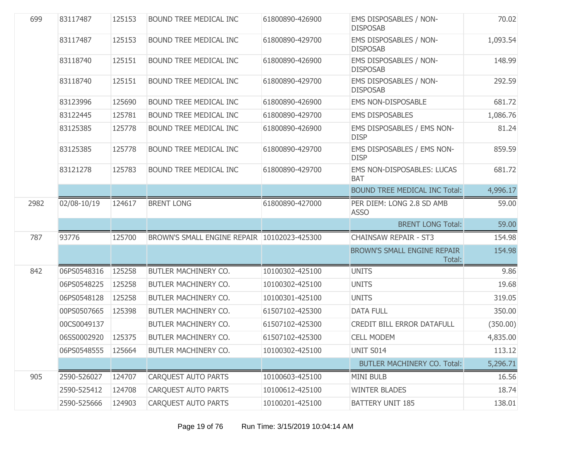| 699  | 83117487    | 125153 | BOUND TREE MEDICAL INC                      | 61800890-426900 | <b>EMS DISPOSABLES / NON-</b><br><b>DISPOSAB</b> | 70.02    |
|------|-------------|--------|---------------------------------------------|-----------------|--------------------------------------------------|----------|
|      | 83117487    | 125153 | BOUND TREE MEDICAL INC                      | 61800890-429700 | EMS DISPOSABLES / NON-<br><b>DISPOSAB</b>        | 1,093.54 |
|      | 83118740    | 125151 | BOUND TREE MEDICAL INC                      | 61800890-426900 | EMS DISPOSABLES / NON-<br><b>DISPOSAB</b>        | 148.99   |
|      | 83118740    | 125151 | BOUND TREE MEDICAL INC                      | 61800890-429700 | EMS DISPOSABLES / NON-<br><b>DISPOSAB</b>        | 292.59   |
|      | 83123996    | 125690 | BOUND TREE MEDICAL INC                      | 61800890-426900 | <b>EMS NON-DISPOSABLE</b>                        | 681.72   |
|      | 83122445    | 125781 | BOUND TREE MEDICAL INC                      | 61800890-429700 | <b>EMS DISPOSABLES</b>                           | 1,086.76 |
|      | 83125385    | 125778 | BOUND TREE MEDICAL INC                      | 61800890-426900 | EMS DISPOSABLES / EMS NON-<br><b>DISP</b>        | 81.24    |
|      | 83125385    | 125778 | BOUND TREE MEDICAL INC                      | 61800890-429700 | EMS DISPOSABLES / EMS NON-<br><b>DISP</b>        | 859.59   |
|      | 83121278    | 125783 | BOUND TREE MEDICAL INC                      | 61800890-429700 | EMS NON-DISPOSABLES: LUCAS<br><b>BAT</b>         | 681.72   |
|      |             |        |                                             |                 | <b>BOUND TREE MEDICAL INC Total:</b>             | 4,996.17 |
| 2982 | 02/08-10/19 | 124617 | <b>BRENT LONG</b>                           | 61800890-427000 | PER DIEM: LONG 2.8 SD AMB<br><b>ASSO</b>         | 59.00    |
|      |             |        |                                             |                 | <b>BRENT LONG Total:</b>                         | 59.00    |
| 787  | 93776       | 125700 | BROWN'S SMALL ENGINE REPAIR 10102023-425300 |                 | <b>CHAINSAW REPAIR - ST3</b>                     | 154.98   |
|      |             |        |                                             |                 |                                                  |          |
|      |             |        |                                             |                 | BROWN'S SMALL ENGINE REPAIR<br>Total:            | 154.98   |
| 842  | 06PS0548316 | 125258 | BUTLER MACHINERY CO.                        | 10100302-425100 | <b>UNITS</b>                                     | 9.86     |
|      | 06PS0548225 | 125258 | BUTLER MACHINERY CO.                        | 10100302-425100 | <b>UNITS</b>                                     | 19.68    |
|      | 06PS0548128 | 125258 | BUTLER MACHINERY CO.                        | 10100301-425100 | <b>UNITS</b>                                     | 319.05   |
|      | 00PS0507665 | 125398 | BUTLER MACHINERY CO.                        | 61507102-425300 | <b>DATA FULL</b>                                 | 350.00   |
|      | 00CS0049137 |        | BUTLER MACHINERY CO.                        | 61507102-425300 | <b>CREDIT BILL ERROR DATAFULL</b>                | (350.00) |
|      | 06SS0002920 | 125375 | BUTLER MACHINERY CO.                        | 61507102-425300 | <b>CELL MODEM</b>                                | 4,835.00 |
|      | 06PS0548555 | 125664 | BUTLER MACHINERY CO.                        | 10100302-425100 | UNIT S014                                        | 113.12   |
|      |             |        |                                             |                 | <b>BUTLER MACHINERY CO. Total:</b>               | 5,296.71 |
| 905  | 2590-526027 | 124707 | <b>CARQUEST AUTO PARTS</b>                  | 10100603-425100 | <b>MINI BULB</b>                                 | 16.56    |
|      | 2590-525412 | 124708 | <b>CARQUEST AUTO PARTS</b>                  | 10100612-425100 | <b>WINTER BLADES</b>                             | 18.74    |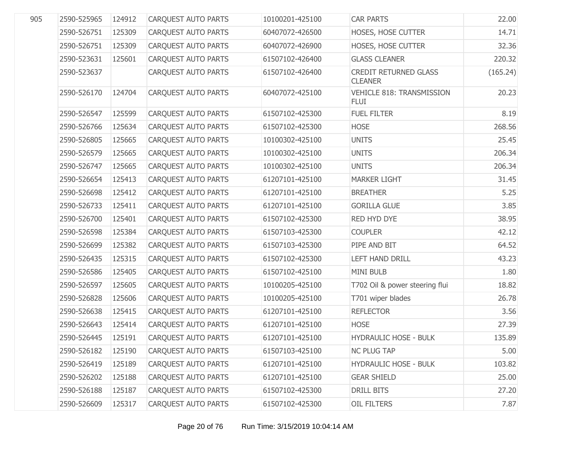| 905 | 2590-525965 | 124912 | <b>CARQUEST AUTO PARTS</b> | 10100201-425100 | <b>CAR PARTS</b>                                | 22.00    |
|-----|-------------|--------|----------------------------|-----------------|-------------------------------------------------|----------|
|     | 2590-526751 | 125309 | CARQUEST AUTO PARTS        | 60407072-426500 | HOSES, HOSE CUTTER                              | 14.71    |
|     | 2590-526751 | 125309 | CARQUEST AUTO PARTS        | 60407072-426900 | HOSES, HOSE CUTTER                              | 32.36    |
|     | 2590-523631 | 125601 | CARQUEST AUTO PARTS        | 61507102-426400 | <b>GLASS CLEANER</b>                            | 220.32   |
|     | 2590-523637 |        | CARQUEST AUTO PARTS        | 61507102-426400 | <b>CREDIT RETURNED GLASS</b><br><b>CLEANER</b>  | (165.24) |
|     | 2590-526170 | 124704 | <b>CAROUEST AUTO PARTS</b> | 60407072-425100 | <b>VEHICLE 818: TRANSMISSION</b><br><b>FLUI</b> | 20.23    |
|     | 2590-526547 | 125599 | CARQUEST AUTO PARTS        | 61507102-425300 | <b>FUEL FILTER</b>                              | 8.19     |
|     | 2590-526766 | 125634 | CARQUEST AUTO PARTS        | 61507102-425300 | <b>HOSE</b>                                     | 268.56   |
|     | 2590-526805 | 125665 | CARQUEST AUTO PARTS        | 10100302-425100 | <b>UNITS</b>                                    | 25.45    |
|     | 2590-526579 | 125665 | CARQUEST AUTO PARTS        | 10100302-425100 | <b>UNITS</b>                                    | 206.34   |
|     | 2590-526747 | 125665 | CARQUEST AUTO PARTS        | 10100302-425100 | <b>UNITS</b>                                    | 206.34   |
|     | 2590-526654 | 125413 | CARQUEST AUTO PARTS        | 61207101-425100 | <b>MARKER LIGHT</b>                             | 31.45    |
|     | 2590-526698 | 125412 | CARQUEST AUTO PARTS        | 61207101-425100 | <b>BREATHER</b>                                 | 5.25     |
|     | 2590-526733 | 125411 | CARQUEST AUTO PARTS        | 61207101-425100 | <b>GORILLA GLUE</b>                             | 3.85     |
|     | 2590-526700 | 125401 | CARQUEST AUTO PARTS        | 61507102-425300 | RED HYD DYE                                     | 38.95    |
|     | 2590-526598 | 125384 | CARQUEST AUTO PARTS        | 61507103-425300 | <b>COUPLER</b>                                  | 42.12    |
|     | 2590-526699 | 125382 | CARQUEST AUTO PARTS        | 61507103-425300 | PIPE AND BIT                                    | 64.52    |
|     | 2590-526435 | 125315 | CARQUEST AUTO PARTS        | 61507102-425300 | <b>LEFT HAND DRILL</b>                          | 43.23    |
|     | 2590-526586 | 125405 | CARQUEST AUTO PARTS        | 61507102-425100 | <b>MINI BULB</b>                                | 1.80     |
|     | 2590-526597 | 125605 | CARQUEST AUTO PARTS        | 10100205-425100 | T702 Oil & power steering flui                  | 18.82    |
|     | 2590-526828 | 125606 | CARQUEST AUTO PARTS        | 10100205-425100 | T701 wiper blades                               | 26.78    |
|     | 2590-526638 | 125415 | CARQUEST AUTO PARTS        | 61207101-425100 | <b>REFLECTOR</b>                                | 3.56     |
|     | 2590-526643 | 125414 | CARQUEST AUTO PARTS        | 61207101-425100 | <b>HOSE</b>                                     | 27.39    |
|     | 2590-526445 | 125191 | <b>CARQUEST AUTO PARTS</b> | 61207101-425100 | <b>HYDRAULIC HOSE - BULK</b>                    | 135.89   |
|     | 2590-526182 | 125190 | <b>CARQUEST AUTO PARTS</b> | 61507103-425100 | <b>NC PLUG TAP</b>                              | 5.00     |
|     | 2590-526419 | 125189 | CARQUEST AUTO PARTS        | 61207101-425100 | <b>HYDRAULIC HOSE - BULK</b>                    | 103.82   |
|     | 2590-526202 | 125188 | CARQUEST AUTO PARTS        | 61207101-425100 | <b>GEAR SHIELD</b>                              | 25.00    |
|     | 2590-526188 | 125187 | CARQUEST AUTO PARTS        | 61507102-425300 | DRILL BITS                                      | 27.20    |
|     | 2590-526609 | 125317 | CARQUEST AUTO PARTS        | 61507102-425300 | <b>OIL FILTERS</b>                              | 7.87     |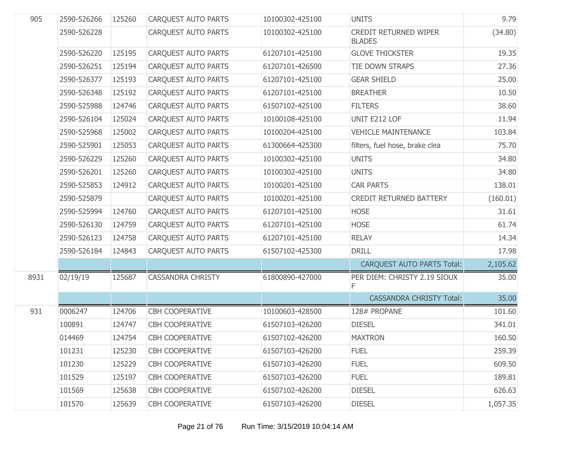| 905  | 2590-526266 | 125260 | <b>CARQUEST AUTO PARTS</b> | 10100302-425100 | <b>UNITS</b>                                  | 9.79     |
|------|-------------|--------|----------------------------|-----------------|-----------------------------------------------|----------|
|      | 2590-526228 |        | <b>CARQUEST AUTO PARTS</b> | 10100302-425100 | <b>CREDIT RETURNED WIPER</b><br><b>BLADES</b> | (34.80)  |
|      | 2590-526220 | 125195 | <b>CARQUEST AUTO PARTS</b> | 61207101-425100 | <b>GLOVE THICKSTER</b>                        | 19.35    |
|      | 2590-526251 | 125194 | <b>CARQUEST AUTO PARTS</b> | 61207101-426500 | TIE DOWN STRAPS                               | 27.36    |
|      | 2590-526377 | 125193 | <b>CARQUEST AUTO PARTS</b> | 61207101-425100 | <b>GEAR SHIELD</b>                            | 25.00    |
|      | 2590-526348 | 125192 | <b>CARQUEST AUTO PARTS</b> | 61207101-425100 | <b>BREATHER</b>                               | 10.50    |
|      | 2590-525988 | 124746 | <b>CARQUEST AUTO PARTS</b> | 61507102-425100 | <b>FILTERS</b>                                | 38.60    |
|      | 2590-526104 | 125024 | <b>CARQUEST AUTO PARTS</b> | 10100108-425100 | UNIT E212 LOF                                 | 11.94    |
|      | 2590-525968 | 125002 | <b>CARQUEST AUTO PARTS</b> | 10100204-425100 | <b>VEHICLE MAINTENANCE</b>                    | 103.84   |
|      | 2590-525901 | 125053 | <b>CARQUEST AUTO PARTS</b> | 61300664-425300 | filters, fuel hose, brake clea                | 75.70    |
|      | 2590-526229 | 125260 | <b>CARQUEST AUTO PARTS</b> | 10100302-425100 | <b>UNITS</b>                                  | 34.80    |
|      | 2590-526201 | 125260 | <b>CAROUEST AUTO PARTS</b> | 10100302-425100 | <b>UNITS</b>                                  | 34.80    |
|      | 2590-525853 | 124912 | <b>CARQUEST AUTO PARTS</b> | 10100201-425100 | <b>CAR PARTS</b>                              | 138.01   |
|      | 2590-525879 |        | <b>CAROUEST AUTO PARTS</b> | 10100201-425100 | <b>CREDIT RETURNED BATTERY</b>                | (160.01) |
|      | 2590-525994 | 124760 | <b>CARQUEST AUTO PARTS</b> | 61207101-425100 | <b>HOSE</b>                                   | 31.61    |
|      | 2590-526130 | 124759 | <b>CAROUEST AUTO PARTS</b> | 61207101-425100 | <b>HOSE</b>                                   | 61.74    |
|      | 2590-526123 | 124758 | <b>CARQUEST AUTO PARTS</b> | 61207101-425100 | <b>RELAY</b>                                  | 14.34    |
|      | 2590-526184 | 124843 | <b>CARQUEST AUTO PARTS</b> | 61507102-425300 | <b>DRILL</b>                                  | 17.98    |
|      |             |        |                            |                 | <b>CARQUEST AUTO PARTS Total:</b>             | 2,105.62 |
| 8931 | 02/19/19    | 125687 | <b>CASSANDRA CHRISTY</b>   | 61800890-427000 | PER DIEM: CHRISTY 2.19 SIOUX<br>F             | 35.00    |
|      |             |        |                            |                 | <b>CASSANDRA CHRISTY Total:</b>               | 35.00    |
| 931  | 0006247     | 124706 | CBH COOPERATIVE            | 10100603-428500 | 128# PROPANE                                  | 101.60   |
|      | 100891      | 124747 | <b>CBH COOPERATIVE</b>     | 61507103-426200 | <b>DIESEL</b>                                 | 341.01   |
|      | 014469      | 124754 | <b>CBH COOPERATIVE</b>     | 61507102-426200 | <b>MAXTRON</b>                                | 160.50   |
|      | 101231      | 125230 | <b>CBH COOPERATIVE</b>     | 61507103-426200 | <b>FUEL</b>                                   | 259.39   |
|      | 101230      | 125229 | <b>CBH COOPERATIVE</b>     | 61507103-426200 | <b>FUEL</b>                                   | 609.50   |
|      | 101529      | 125197 | <b>CBH COOPERATIVE</b>     | 61507103-426200 | <b>FUEL</b>                                   | 189.81   |
|      | 101569      | 125638 | <b>CBH COOPERATIVE</b>     | 61507102-426200 | <b>DIESEL</b>                                 | 626.63   |
|      | 101570      | 125639 | <b>CBH COOPERATIVE</b>     | 61507103-426200 | <b>DIESEL</b>                                 | 1,057.35 |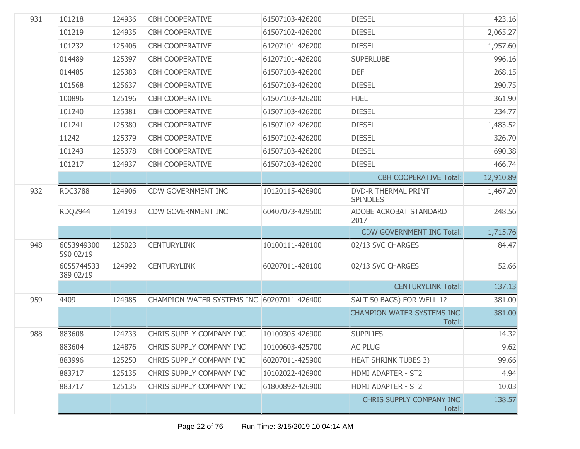| 931 | 101218                  | 124936 | <b>CBH COOPERATIVE</b>                     | 61507103-426200 | <b>DIESEL</b>                                 | 423.16    |
|-----|-------------------------|--------|--------------------------------------------|-----------------|-----------------------------------------------|-----------|
|     | 101219                  | 124935 | <b>CBH COOPERATIVE</b>                     | 61507102-426200 | <b>DIESEL</b>                                 | 2,065.27  |
|     | 101232                  | 125406 | <b>CBH COOPERATIVE</b>                     | 61207101-426200 | <b>DIESEL</b>                                 | 1,957.60  |
|     | 014489                  | 125397 | <b>CBH COOPERATIVE</b>                     | 61207101-426200 | <b>SUPERLUBE</b>                              | 996.16    |
|     | 014485                  | 125383 | <b>CBH COOPERATIVE</b>                     | 61507103-426200 | <b>DEF</b>                                    | 268.15    |
|     | 101568                  | 125637 | <b>CBH COOPERATIVE</b>                     | 61507103-426200 | <b>DIESEL</b>                                 | 290.75    |
|     | 100896                  | 125196 | <b>CBH COOPERATIVE</b>                     | 61507103-426200 | <b>FUEL</b>                                   | 361.90    |
|     | 101240                  | 125381 | <b>CBH COOPERATIVE</b>                     | 61507103-426200 | <b>DIESEL</b>                                 | 234.77    |
|     | 101241                  | 125380 | <b>CBH COOPERATIVE</b>                     | 61507102-426200 | <b>DIESEL</b>                                 | 1,483.52  |
|     | 11242                   | 125379 | <b>CBH COOPERATIVE</b>                     | 61507102-426200 | <b>DIESEL</b>                                 | 326.70    |
|     | 101243                  | 125378 | <b>CBH COOPERATIVE</b>                     | 61507103-426200 | <b>DIESEL</b>                                 | 690.38    |
|     | 101217                  | 124937 | <b>CBH COOPERATIVE</b>                     | 61507103-426200 | <b>DIESEL</b>                                 | 466.74    |
|     |                         |        |                                            |                 | <b>CBH COOPERATIVE Total:</b>                 | 12,910.89 |
| 932 | <b>RDC3788</b>          | 124906 | <b>CDW GOVERNMENT INC</b>                  | 10120115-426900 | <b>DVD-R THERMAL PRINT</b><br><b>SPINDLES</b> | 1,467.20  |
|     | <b>RDQ2944</b>          | 124193 | <b>CDW GOVERNMENT INC</b>                  | 60407073-429500 | ADOBE ACROBAT STANDARD<br>2017                | 248.56    |
|     |                         |        |                                            |                 | <b>CDW GOVERNMENT INC Total:</b>              | 1,715.76  |
| 948 | 6053949300<br>590 02/19 | 125023 | <b>CENTURYLINK</b>                         | 10100111-428100 | 02/13 SVC CHARGES                             | 84.47     |
|     | 6055744533<br>389 02/19 | 124992 | <b>CENTURYLINK</b>                         | 60207011-428100 | 02/13 SVC CHARGES                             | 52.66     |
|     |                         |        |                                            |                 | <b>CENTURYLINK Total:</b>                     | 137.13    |
| 959 | 4409                    | 124985 | CHAMPION WATER SYSTEMS INC 60207011-426400 |                 | SALT 50 BAGS) FOR WELL 12                     | 381.00    |
|     |                         |        |                                            |                 | <b>CHAMPION WATER SYSTEMS INC</b><br>Total:   | 381.00    |
| 988 | 883608                  | 124733 | CHRIS SUPPLY COMPANY INC                   | 10100305-426900 | <b>SUPPLIES</b>                               | 14.32     |
|     | 883604                  | 124876 | CHRIS SUPPLY COMPANY INC                   | 10100603-425700 | <b>AC PLUG</b>                                | 9.62      |
|     | 883996                  | 125250 | CHRIS SUPPLY COMPANY INC                   | 60207011-425900 | <b>HEAT SHRINK TUBES 3)</b>                   | 99.66     |
|     | 883717                  | 125135 | CHRIS SUPPLY COMPANY INC                   | 10102022-426900 | <b>HDMI ADAPTER - ST2</b>                     | 4.94      |
|     | 883717                  | 125135 | CHRIS SUPPLY COMPANY INC                   | 61800892-426900 | <b>HDMI ADAPTER - ST2</b>                     | 10.03     |
|     |                         |        |                                            |                 | CHRIS SUPPLY COMPANY INC<br>Total:            | 138.57    |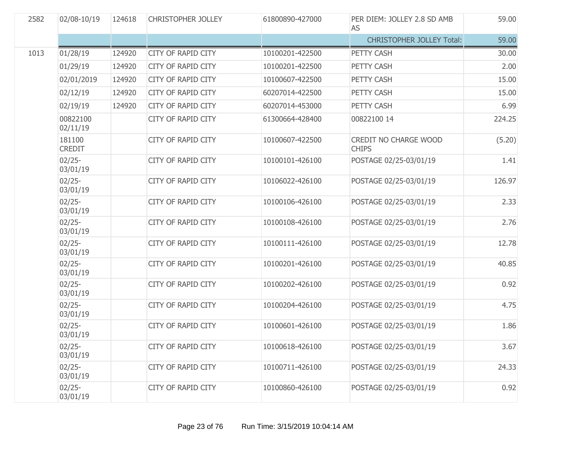| 2582 | 02/08-10/19             | 124618 | <b>CHRISTOPHER JOLLEY</b> | 61800890-427000 | PER DIEM: JOLLEY 2.8 SD AMB<br>AS            | 59.00  |
|------|-------------------------|--------|---------------------------|-----------------|----------------------------------------------|--------|
|      |                         |        |                           |                 | <b>CHRISTOPHER JOLLEY Total:</b>             | 59.00  |
| 1013 | 01/28/19                | 124920 | <b>CITY OF RAPID CITY</b> | 10100201-422500 | PETTY CASH                                   | 30.00  |
|      | 01/29/19                | 124920 | <b>CITY OF RAPID CITY</b> | 10100201-422500 | PETTY CASH                                   | 2.00   |
|      | 02/01/2019              | 124920 | <b>CITY OF RAPID CITY</b> | 10100607-422500 | PETTY CASH                                   | 15.00  |
|      | 02/12/19                | 124920 | <b>CITY OF RAPID CITY</b> | 60207014-422500 | PETTY CASH                                   | 15.00  |
|      | 02/19/19                | 124920 | <b>CITY OF RAPID CITY</b> | 60207014-453000 | PETTY CASH                                   | 6.99   |
|      | 00822100<br>02/11/19    |        | <b>CITY OF RAPID CITY</b> | 61300664-428400 | 00822100 14                                  | 224.25 |
|      | 181100<br><b>CREDIT</b> |        | <b>CITY OF RAPID CITY</b> | 10100607-422500 | <b>CREDIT NO CHARGE WOOD</b><br><b>CHIPS</b> | (5.20) |
|      | $02/25 -$<br>03/01/19   |        | <b>CITY OF RAPID CITY</b> | 10100101-426100 | POSTAGE 02/25-03/01/19                       | 1.41   |
|      | $02/25 -$<br>03/01/19   |        | <b>CITY OF RAPID CITY</b> | 10106022-426100 | POSTAGE 02/25-03/01/19                       | 126.97 |
|      | $02/25 -$<br>03/01/19   |        | <b>CITY OF RAPID CITY</b> | 10100106-426100 | POSTAGE 02/25-03/01/19                       | 2.33   |
|      | $02/25 -$<br>03/01/19   |        | <b>CITY OF RAPID CITY</b> | 10100108-426100 | POSTAGE 02/25-03/01/19                       | 2.76   |
|      | $02/25 -$<br>03/01/19   |        | <b>CITY OF RAPID CITY</b> | 10100111-426100 | POSTAGE 02/25-03/01/19                       | 12.78  |
|      | $02/25 -$<br>03/01/19   |        | <b>CITY OF RAPID CITY</b> | 10100201-426100 | POSTAGE 02/25-03/01/19                       | 40.85  |
|      | $02/25 -$<br>03/01/19   |        | <b>CITY OF RAPID CITY</b> | 10100202-426100 | POSTAGE 02/25-03/01/19                       | 0.92   |
|      | $02/25 -$<br>03/01/19   |        | <b>CITY OF RAPID CITY</b> | 10100204-426100 | POSTAGE 02/25-03/01/19                       | 4.75   |
|      | $02/25 -$<br>03/01/19   |        | <b>CITY OF RAPID CITY</b> | 10100601-426100 | POSTAGE 02/25-03/01/19                       | 1.86   |
|      | $02/25 -$<br>03/01/19   |        | <b>CITY OF RAPID CITY</b> | 10100618-426100 | POSTAGE 02/25-03/01/19                       | 3.67   |
|      | $02/25 -$<br>03/01/19   |        | <b>CITY OF RAPID CITY</b> | 10100711-426100 | POSTAGE 02/25-03/01/19                       | 24.33  |
|      | $02/25 -$<br>03/01/19   |        | <b>CITY OF RAPID CITY</b> | 10100860-426100 | POSTAGE 02/25-03/01/19                       | 0.92   |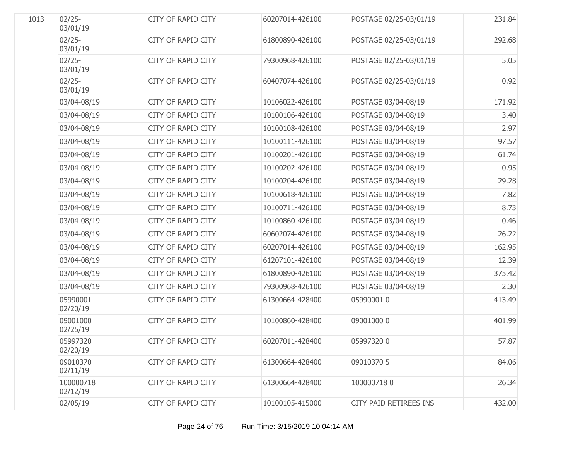| 1013 | $02/25 -$<br>03/01/19 | <b>CITY OF RAPID CITY</b> | 60207014-426100 | POSTAGE 02/25-03/01/19 | 231.84 |
|------|-----------------------|---------------------------|-----------------|------------------------|--------|
|      | $02/25 -$<br>03/01/19 | <b>CITY OF RAPID CITY</b> | 61800890-426100 | POSTAGE 02/25-03/01/19 | 292.68 |
|      | $02/25 -$<br>03/01/19 | <b>CITY OF RAPID CITY</b> | 79300968-426100 | POSTAGE 02/25-03/01/19 | 5.05   |
|      | $02/25 -$<br>03/01/19 | <b>CITY OF RAPID CITY</b> | 60407074-426100 | POSTAGE 02/25-03/01/19 | 0.92   |
|      | 03/04-08/19           | CITY OF RAPID CITY        | 10106022-426100 | POSTAGE 03/04-08/19    | 171.92 |
|      | 03/04-08/19           | <b>CITY OF RAPID CITY</b> | 10100106-426100 | POSTAGE 03/04-08/19    | 3.40   |
|      | 03/04-08/19           | <b>CITY OF RAPID CITY</b> | 10100108-426100 | POSTAGE 03/04-08/19    | 2.97   |
|      | 03/04-08/19           | <b>CITY OF RAPID CITY</b> | 10100111-426100 | POSTAGE 03/04-08/19    | 97.57  |
|      | 03/04-08/19           | <b>CITY OF RAPID CITY</b> | 10100201-426100 | POSTAGE 03/04-08/19    | 61.74  |
|      | 03/04-08/19           | <b>CITY OF RAPID CITY</b> | 10100202-426100 | POSTAGE 03/04-08/19    | 0.95   |
|      | 03/04-08/19           | <b>CITY OF RAPID CITY</b> | 10100204-426100 | POSTAGE 03/04-08/19    | 29.28  |
|      | 03/04-08/19           | <b>CITY OF RAPID CITY</b> | 10100618-426100 | POSTAGE 03/04-08/19    | 7.82   |
|      | 03/04-08/19           | <b>CITY OF RAPID CITY</b> | 10100711-426100 | POSTAGE 03/04-08/19    | 8.73   |
|      | 03/04-08/19           | <b>CITY OF RAPID CITY</b> | 10100860-426100 | POSTAGE 03/04-08/19    | 0.46   |
|      | 03/04-08/19           | <b>CITY OF RAPID CITY</b> | 60602074-426100 | POSTAGE 03/04-08/19    | 26.22  |
|      | 03/04-08/19           | CITY OF RAPID CITY        | 60207014-426100 | POSTAGE 03/04-08/19    | 162.95 |
|      | 03/04-08/19           | <b>CITY OF RAPID CITY</b> | 61207101-426100 | POSTAGE 03/04-08/19    | 12.39  |
|      | 03/04-08/19           | <b>CITY OF RAPID CITY</b> | 61800890-426100 | POSTAGE 03/04-08/19    | 375.42 |
|      | 03/04-08/19           | <b>CITY OF RAPID CITY</b> | 79300968-426100 | POSTAGE 03/04-08/19    | 2.30   |
|      | 05990001<br>02/20/19  | <b>CITY OF RAPID CITY</b> | 61300664-428400 | 05990001 0             | 413.49 |
|      | 09001000<br>02/25/19  | <b>CITY OF RAPID CITY</b> | 10100860-428400 | 09001000 0             | 401.99 |
|      | 05997320<br>02/20/19  | CITY OF RAPID CITY        | 60207011-428400 | 059973200              | 57.87  |
|      | 09010370<br>02/11/19  | <b>CITY OF RAPID CITY</b> | 61300664-428400 | 09010370 5             | 84.06  |
|      | 100000718<br>02/12/19 | <b>CITY OF RAPID CITY</b> | 61300664-428400 | 1000007180             | 26.34  |
|      | 02/05/19              | <b>CITY OF RAPID CITY</b> | 10100105-415000 | CITY PAID RETIREES INS | 432.00 |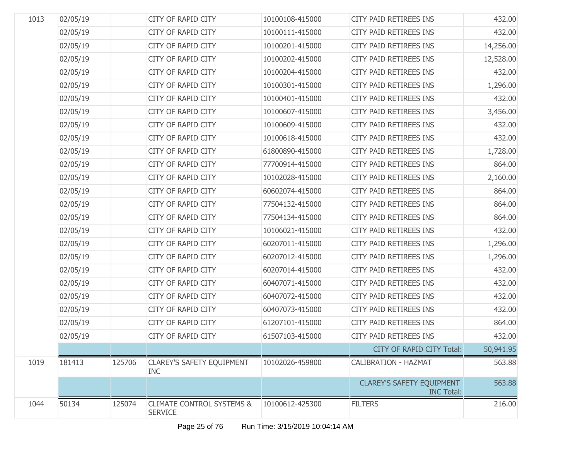| 1013 | 02/05/19 |        | CITY OF RAPID CITY                                     | 10100108-415000 | CITY PAID RETIREES INS                                | 432.00    |
|------|----------|--------|--------------------------------------------------------|-----------------|-------------------------------------------------------|-----------|
|      | 02/05/19 |        | CITY OF RAPID CITY                                     | 10100111-415000 | CITY PAID RETIREES INS                                | 432.00    |
|      | 02/05/19 |        | CITY OF RAPID CITY                                     | 10100201-415000 | CITY PAID RETIREES INS                                | 14,256.00 |
|      | 02/05/19 |        | CITY OF RAPID CITY                                     | 10100202-415000 | CITY PAID RETIREES INS                                | 12,528.00 |
|      | 02/05/19 |        | CITY OF RAPID CITY                                     | 10100204-415000 | CITY PAID RETIREES INS                                | 432.00    |
|      | 02/05/19 |        | CITY OF RAPID CITY                                     | 10100301-415000 | CITY PAID RETIREES INS                                | 1,296.00  |
|      | 02/05/19 |        | CITY OF RAPID CITY                                     | 10100401-415000 | CITY PAID RETIREES INS                                | 432.00    |
|      | 02/05/19 |        | CITY OF RAPID CITY                                     | 10100607-415000 | CITY PAID RETIREES INS                                | 3,456.00  |
|      | 02/05/19 |        | CITY OF RAPID CITY                                     | 10100609-415000 | CITY PAID RETIREES INS                                | 432.00    |
|      | 02/05/19 |        | CITY OF RAPID CITY                                     | 10100618-415000 | CITY PAID RETIREES INS                                | 432.00    |
|      | 02/05/19 |        | CITY OF RAPID CITY                                     | 61800890-415000 | CITY PAID RETIREES INS                                | 1,728.00  |
|      | 02/05/19 |        | CITY OF RAPID CITY                                     | 77700914-415000 | CITY PAID RETIREES INS                                | 864.00    |
|      | 02/05/19 |        | CITY OF RAPID CITY                                     | 10102028-415000 | CITY PAID RETIREES INS                                | 2,160.00  |
|      | 02/05/19 |        | CITY OF RAPID CITY                                     | 60602074-415000 | CITY PAID RETIREES INS                                | 864.00    |
|      | 02/05/19 |        | CITY OF RAPID CITY                                     | 77504132-415000 | CITY PAID RETIREES INS                                | 864.00    |
|      | 02/05/19 |        | CITY OF RAPID CITY                                     | 77504134-415000 | CITY PAID RETIREES INS                                | 864.00    |
|      | 02/05/19 |        | CITY OF RAPID CITY                                     | 10106021-415000 | CITY PAID RETIREES INS                                | 432.00    |
|      | 02/05/19 |        | CITY OF RAPID CITY                                     | 60207011-415000 | CITY PAID RETIREES INS                                | 1,296.00  |
|      | 02/05/19 |        | CITY OF RAPID CITY                                     | 60207012-415000 | CITY PAID RETIREES INS                                | 1,296.00  |
|      | 02/05/19 |        | CITY OF RAPID CITY                                     | 60207014-415000 | CITY PAID RETIREES INS                                | 432.00    |
|      | 02/05/19 |        | CITY OF RAPID CITY                                     | 60407071-415000 | CITY PAID RETIREES INS                                | 432.00    |
|      | 02/05/19 |        | CITY OF RAPID CITY                                     | 60407072-415000 | CITY PAID RETIREES INS                                | 432.00    |
|      | 02/05/19 |        | CITY OF RAPID CITY                                     | 60407073-415000 | CITY PAID RETIREES INS                                | 432.00    |
|      | 02/05/19 |        | CITY OF RAPID CITY                                     | 61207101-415000 | CITY PAID RETIREES INS                                | 864.00    |
|      | 02/05/19 |        | <b>CITY OF RAPID CITY</b>                              | 61507103-415000 | CITY PAID RETIREES INS                                | 432.00    |
|      |          |        |                                                        |                 | <b>CITY OF RAPID CITY Total:</b>                      | 50,941.95 |
| 1019 | 181413   | 125706 | <b>CLAREY'S SAFETY EQUIPMENT</b><br><b>INC</b>         | 10102026-459800 | <b>CALIBRATION - HAZMAT</b>                           | 563.88    |
|      |          |        |                                                        |                 | <b>CLAREY'S SAFETY EQUIPMENT</b><br><b>INC Total:</b> | 563.88    |
| 1044 | 50134    | 125074 | <b>CLIMATE CONTROL SYSTEMS &amp;</b><br><b>SERVICE</b> | 10100612-425300 | <b>FILTERS</b>                                        | 216.00    |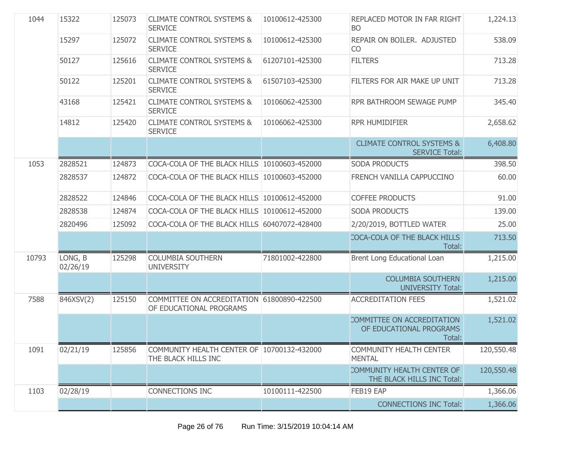| 1044  | 15322               | 125073 | <b>CLIMATE CONTROL SYSTEMS &amp;</b><br><b>SERVICE</b>                | 10100612-425300 | REPLACED MOTOR IN FAR RIGHT<br><b>BO</b>                        | 1,224.13   |
|-------|---------------------|--------|-----------------------------------------------------------------------|-----------------|-----------------------------------------------------------------|------------|
|       | 15297               | 125072 | <b>CLIMATE CONTROL SYSTEMS &amp;</b><br><b>SERVICE</b>                | 10100612-425300 | REPAIR ON BOILER. ADJUSTED<br>CO                                | 538.09     |
|       | 50127               | 125616 | <b>CLIMATE CONTROL SYSTEMS &amp;</b><br><b>SERVICE</b>                | 61207101-425300 | <b>FILTERS</b>                                                  | 713.28     |
|       | 50122               | 125201 | <b>CLIMATE CONTROL SYSTEMS &amp;</b><br><b>SERVICE</b>                | 61507103-425300 | FILTERS FOR AIR MAKE UP UNIT                                    | 713.28     |
|       | 43168               | 125421 | <b>CLIMATE CONTROL SYSTEMS &amp;</b><br><b>SERVICE</b>                | 10106062-425300 | RPR BATHROOM SEWAGE PUMP                                        | 345.40     |
|       | 14812               | 125420 | <b>CLIMATE CONTROL SYSTEMS &amp;</b><br><b>SERVICE</b>                | 10106062-425300 | <b>RPR HUMIDIFIER</b>                                           | 2,658.62   |
|       |                     |        |                                                                       |                 | <b>CLIMATE CONTROL SYSTEMS &amp;</b><br><b>SERVICE Total:</b>   | 6,408.80   |
| 1053  | 2828521             | 124873 | COCA-COLA OF THE BLACK HILLS 10100603-452000                          |                 | <b>SODA PRODUCTS</b>                                            | 398.50     |
|       | 2828537             | 124872 | COCA-COLA OF THE BLACK HILLS 10100603-452000                          |                 | FRENCH VANILLA CAPPUCCINO                                       | 60.00      |
|       | 2828522             | 124846 | COCA-COLA OF THE BLACK HILLS 10100612-452000                          |                 | <b>COFFEE PRODUCTS</b>                                          | 91.00      |
|       | 2828538             | 124874 | COCA-COLA OF THE BLACK HILLS 10100612-452000                          |                 | SODA PRODUCTS                                                   | 139.00     |
|       | 2820496             | 125092 | COCA-COLA OF THE BLACK HILLS 60407072-428400                          |                 | 2/20/2019, BOTTLED WATER                                        | 25.00      |
|       |                     |        |                                                                       |                 | COCA-COLA OF THE BLACK HILLS<br>Total:                          | 713.50     |
| 10793 | LONG, B<br>02/26/19 | 125298 | <b>COLUMBIA SOUTHERN</b><br><b>UNIVERSITY</b>                         | 71801002-422800 | Brent Long Educational Loan                                     | 1,215.00   |
|       |                     |        |                                                                       |                 | <b>COLUMBIA SOUTHERN</b><br><b>UNIVERSITY Total:</b>            | 1,215.00   |
| 7588  | 846XSV(2)           | 125150 | COMMITTEE ON ACCREDITATION 61800890-422500<br>OF EDUCATIONAL PROGRAMS |                 | <b>ACCREDITATION FEES</b>                                       | 1,521.02   |
|       |                     |        |                                                                       |                 | COMMITTEE ON ACCREDITATION<br>OF EDUCATIONAL PROGRAMS<br>Total: | 1,521.02   |
| 1091  | 02/21/19            | 125856 | COMMUNITY HEALTH CENTER OF 10700132-432000<br>THE BLACK HILLS INC     |                 | <b>COMMUNITY HEALTH CENTER</b><br><b>MENTAL</b>                 | 120,550.48 |
|       |                     |        |                                                                       |                 | COMMUNITY HEALTH CENTER OF<br>THE BLACK HILLS INC Total:        | 120,550.48 |
| 1103  | 02/28/19            |        | <b>CONNECTIONS INC</b>                                                | 10100111-422500 | FEB19 EAP                                                       | 1,366.06   |
|       |                     |        |                                                                       |                 | <b>CONNECTIONS INC Total:</b>                                   | 1,366.06   |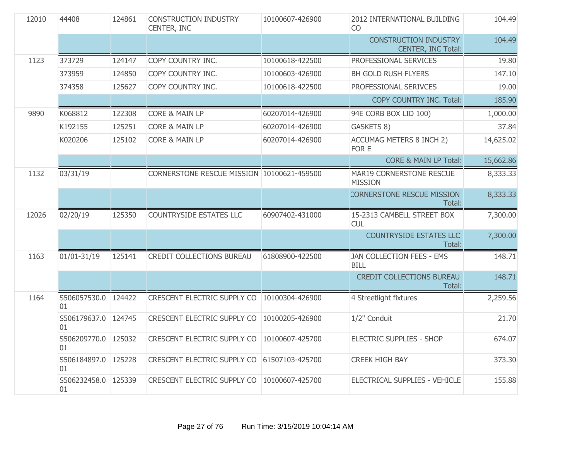| 12010 | 44408                     | 124861 | <b>CONSTRUCTION INDUSTRY</b><br>CENTER, INC   | 10100607-426900 | 2012 INTERNATIONAL BUILDING<br><b>CO</b>           | 104.49    |
|-------|---------------------------|--------|-----------------------------------------------|-----------------|----------------------------------------------------|-----------|
|       |                           |        |                                               |                 | <b>CONSTRUCTION INDUSTRY</b><br>CENTER, INC Total: | 104.49    |
| 1123  | 373729                    | 124147 | COPY COUNTRY INC.                             | 10100618-422500 | PROFESSIONAL SERVICES                              | 19.80     |
|       | 373959                    | 124850 | COPY COUNTRY INC.                             | 10100603-426900 | BH GOLD RUSH FLYERS                                | 147.10    |
|       | 374358                    | 125627 | COPY COUNTRY INC.                             | 10100618-422500 | PROFESSIONAL SERIVCES                              | 19.00     |
|       |                           |        |                                               |                 | COPY COUNTRY INC. Total:                           | 185.90    |
| 9890  | K068812                   | 122308 | <b>CORE &amp; MAIN LP</b>                     | 60207014-426900 | 94E CORB BOX LID 100)                              | 1,000.00  |
|       | K192155                   | 125251 | CORE & MAIN LP                                | 60207014-426900 | GASKETS 8)                                         | 37.84     |
|       | K020206                   | 125102 | CORE & MAIN LP                                | 60207014-426900 | <b>ACCUMAG METERS 8 INCH 2)</b><br>FOR E           | 14,625.02 |
|       |                           |        |                                               |                 | <b>CORE &amp; MAIN LP Total:</b>                   | 15,662.86 |
| 1132  | 03/31/19                  |        | CORNERSTONE RESCUE MISSION 10100621-459500    |                 | MAR19 CORNERSTONE RESCUE<br><b>MISSION</b>         | 8,333.33  |
|       |                           |        |                                               |                 | <b>CORNERSTONE RESCUE MISSION</b><br>Total:        | 8,333.33  |
| 12026 | 02/20/19                  | 125350 | <b>COUNTRYSIDE ESTATES LLC</b>                | 60907402-431000 | 15-2313 CAMBELL STREET BOX<br><b>CUL</b>           | 7,300.00  |
|       |                           |        |                                               |                 | <b>COUNTRYSIDE ESTATES LLC</b><br>Total:           | 7,300.00  |
| 1163  | 01/01-31/19               | 125141 | CREDIT COLLECTIONS BUREAU                     | 61808900-422500 | JAN COLLECTION FEES - EMS<br><b>BILL</b>           | 148.71    |
|       |                           |        |                                               |                 | <b>CREDIT COLLECTIONS BUREAU</b><br>Total:         | 148.71    |
| 1164  | S506057530.0 124422<br>01 |        | CRESCENT ELECTRIC SUPPLY CO   10100304-426900 |                 | 4 Streetlight fixtures                             | 2,259.56  |
|       | S506179637.0 124745<br>01 |        | CRESCENT ELECTRIC SUPPLY CO                   | 10100205-426900 | 1/2" Conduit                                       | 21.70     |
|       | S506209770.0<br>01        | 125032 | CRESCENT ELECTRIC SUPPLY CO                   | 10100607-425700 | <b>ELECTRIC SUPPLIES - SHOP</b>                    | 674.07    |
|       | S506184897.0<br>01        | 125228 | CRESCENT ELECTRIC SUPPLY CO                   | 61507103-425700 | <b>CREEK HIGH BAY</b>                              | 373.30    |
|       | S506232458.0<br>01        | 125339 | CRESCENT ELECTRIC SUPPLY CO                   | 10100607-425700 | ELECTRICAL SUPPLIES - VEHICLE                      | 155.88    |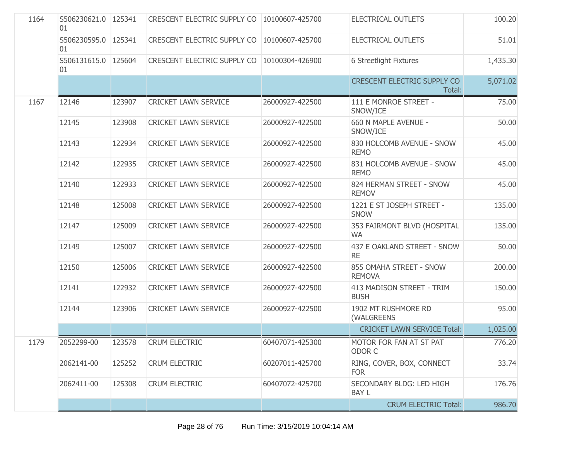| 1164 | S506230621.0 125341<br>01 |        | CRESCENT ELECTRIC SUPPLY CO        | 10100607-425700 | <b>ELECTRICAL OUTLETS</b>                    | 100.20   |
|------|---------------------------|--------|------------------------------------|-----------------|----------------------------------------------|----------|
|      | S506230595.0<br>01        | 125341 | <b>CRESCENT ELECTRIC SUPPLY CO</b> | 10100607-425700 | <b>ELECTRICAL OUTLETS</b>                    | 51.01    |
|      | S506131615.0<br>01        | 125604 | CRESCENT ELECTRIC SUPPLY CO        | 10100304-426900 | 6 Streetlight Fixtures                       | 1,435.30 |
|      |                           |        |                                    |                 | <b>CRESCENT ELECTRIC SUPPLY CO</b><br>Total: | 5,071.02 |
| 1167 | 12146                     | 123907 | <b>CRICKET LAWN SERVICE</b>        | 26000927-422500 | 111 E MONROE STREET -<br>SNOW/ICE            | 75.00    |
|      | 12145                     | 123908 | <b>CRICKET LAWN SERVICE</b>        | 26000927-422500 | 660 N MAPLE AVENUE -<br>SNOW/ICE             | 50.00    |
|      | 12143                     | 122934 | <b>CRICKET LAWN SERVICE</b>        | 26000927-422500 | 830 HOLCOMB AVENUE - SNOW<br><b>REMO</b>     | 45.00    |
|      | 12142                     | 122935 | <b>CRICKET LAWN SERVICE</b>        | 26000927-422500 | 831 HOLCOMB AVENUE - SNOW<br><b>REMO</b>     | 45.00    |
|      | 12140                     | 122933 | <b>CRICKET LAWN SERVICE</b>        | 26000927-422500 | 824 HERMAN STREET - SNOW<br><b>REMOV</b>     | 45.00    |
|      | 12148                     | 125008 | <b>CRICKET LAWN SERVICE</b>        | 26000927-422500 | 1221 E ST JOSEPH STREET -<br><b>SNOW</b>     | 135.00   |
|      | 12147                     | 125009 | <b>CRICKET LAWN SERVICE</b>        | 26000927-422500 | 353 FAIRMONT BLVD (HOSPITAL<br><b>WA</b>     | 135.00   |
|      | 12149                     | 125007 | <b>CRICKET LAWN SERVICE</b>        | 26000927-422500 | 437 E OAKLAND STREET - SNOW<br><b>RE</b>     | 50.00    |
|      | 12150                     | 125006 | <b>CRICKET LAWN SERVICE</b>        | 26000927-422500 | 855 OMAHA STREET - SNOW<br><b>REMOVA</b>     | 200.00   |
|      | 12141                     | 122932 | <b>CRICKET LAWN SERVICE</b>        | 26000927-422500 | 413 MADISON STREET - TRIM<br><b>BUSH</b>     | 150.00   |
|      | 12144                     | 123906 | <b>CRICKET LAWN SERVICE</b>        | 26000927-422500 | 1902 MT RUSHMORE RD<br>(WALGREENS            | 95.00    |
|      |                           |        |                                    |                 | <b>CRICKET LAWN SERVICE Total:</b>           | 1,025.00 |
| 1179 | 2052299-00                | 123578 | <b>CRUM ELECTRIC</b>               | 60407071-425300 | MOTOR FOR FAN AT ST PAT<br>ODOR C            | 776.20   |
|      | 2062141-00                | 125252 | <b>CRUM ELECTRIC</b>               | 60207011-425700 | RING, COVER, BOX, CONNECT<br><b>FOR</b>      | 33.74    |
|      | 2062411-00                | 125308 | <b>CRUM ELECTRIC</b>               | 60407072-425700 | SECONDARY BLDG: LED HIGH<br><b>BAY L</b>     | 176.76   |
|      |                           |        |                                    |                 | <b>CRUM ELECTRIC Total:</b>                  | 986.70   |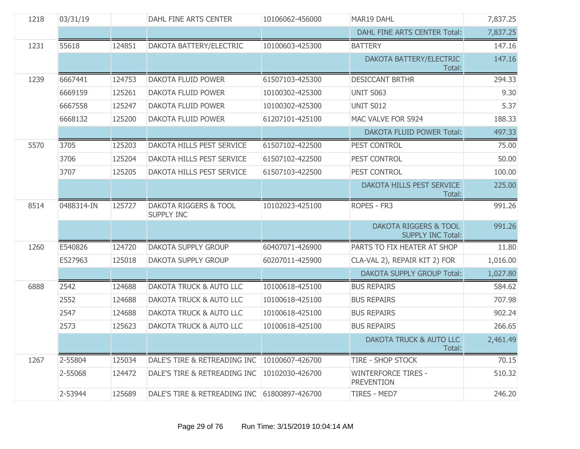| 1218 | 03/31/19   |        | DAHL FINE ARTS CENTER                      | 10106062-456000 | MAR19 DAHL                                                   | 7,837.25 |
|------|------------|--------|--------------------------------------------|-----------------|--------------------------------------------------------------|----------|
|      |            |        |                                            |                 | DAHL FINE ARTS CENTER Total:                                 | 7,837.25 |
| 1231 | 55618      | 124851 | DAKOTA BATTERY/ELECTRIC                    | 10100603-425300 | <b>BATTERY</b>                                               | 147.16   |
|      |            |        |                                            |                 | DAKOTA BATTERY/ELECTRIC<br>Total:                            | 147.16   |
| 1239 | 6667441    | 124753 | DAKOTA FLUID POWER                         | 61507103-425300 | <b>DESICCANT BRTHR</b>                                       | 294.33   |
|      | 6669159    | 125261 | DAKOTA FLUID POWER                         | 10100302-425300 | UNIT S063                                                    | 9.30     |
|      | 6667558    | 125247 | DAKOTA FLUID POWER                         | 10100302-425300 | <b>UNIT S012</b>                                             | 5.37     |
|      | 6668132    | 125200 | DAKOTA FLUID POWER                         | 61207101-425100 | MAC VALVE FOR S924                                           | 188.33   |
|      |            |        |                                            |                 | <b>DAKOTA FLUID POWER Total:</b>                             | 497.33   |
| 5570 | 3705       | 125203 | DAKOTA HILLS PEST SERVICE                  | 61507102-422500 | PEST CONTROL                                                 | 75.00    |
|      | 3706       | 125204 | DAKOTA HILLS PEST SERVICE                  | 61507102-422500 | PEST CONTROL                                                 | 50.00    |
|      | 3707       | 125205 | DAKOTA HILLS PEST SERVICE                  | 61507103-422500 | PEST CONTROL                                                 | 100.00   |
|      |            |        |                                            |                 | DAKOTA HILLS PEST SERVICE<br>Total:                          | 225.00   |
| 8514 | 0488314-IN | 125727 | DAKOTA RIGGERS & TOOL<br><b>SUPPLY INC</b> | 10102023-425100 | ROPES - FR3                                                  | 991.26   |
|      |            |        |                                            |                 | <b>DAKOTA RIGGERS &amp; TOOL</b><br><b>SUPPLY INC Total:</b> | 991.26   |
| 1260 | E540826    | 124720 | DAKOTA SUPPLY GROUP                        | 60407071-426900 | PARTS TO FIX HEATER AT SHOP                                  | 11.80    |
|      | E527963    | 125018 | DAKOTA SUPPLY GROUP                        | 60207011-425900 | CLA-VAL 2), REPAIR KIT 2) FOR                                | 1,016.00 |
|      |            |        |                                            |                 | <b>DAKOTA SUPPLY GROUP Total:</b>                            | 1,027.80 |
| 6888 | 2542       | 124688 | <b>DAKOTA TRUCK &amp; AUTO LLC</b>         | 10100618-425100 | <b>BUS REPAIRS</b>                                           | 584.62   |
|      | 2552       | 124688 | DAKOTA TRUCK & AUTO LLC                    | 10100618-425100 | <b>BUS REPAIRS</b>                                           | 707.98   |
|      | 2547       | 124688 | <b>DAKOTA TRUCK &amp; AUTO LLC</b>         | 10100618-425100 | <b>BUS REPAIRS</b>                                           | 902.24   |
|      | 2573       | 125623 | <b>DAKOTA TRUCK &amp; AUTO LLC</b>         | 10100618-425100 | <b>BUS REPAIRS</b>                                           | 266.65   |
|      |            |        |                                            |                 | DAKOTA TRUCK & AUTO LLC<br>Total:                            | 2,461.49 |
| 1267 | 2-55804    | 125034 | DALE'S TIRE & RETREADING INC               | 10100607-426700 | <b>TIRE - SHOP STOCK</b>                                     | 70.15    |
|      | 2-55068    | 124472 | DALE'S TIRE & RETREADING INC               | 10102030-426700 | <b>WINTERFORCE TIRES -</b><br><b>PREVENTION</b>              | 510.32   |
|      | 2-53944    | 125689 | DALE'S TIRE & RETREADING INC               | 61800897-426700 | TIRES - MED7                                                 | 246.20   |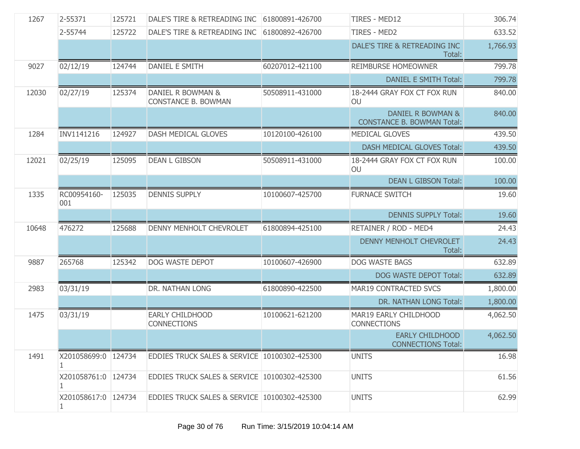| 1267  | 2-55371                  | 125721 | DALE'S TIRE & RETREADING INC                    | 61800891-426700 | <b>TIRES - MED12</b>                                   | 306.74   |
|-------|--------------------------|--------|-------------------------------------------------|-----------------|--------------------------------------------------------|----------|
|       | 2-55744                  | 125722 | DALE'S TIRE & RETREADING INC                    | 61800892-426700 | <b>TIRES - MED2</b>                                    | 633.52   |
|       |                          |        |                                                 |                 | DALE'S TIRE & RETREADING INC<br>Total:                 | 1,766.93 |
| 9027  | 02/12/19                 | 124744 | <b>DANIEL E SMITH</b>                           | 60207012-421100 | REIMBURSE HOMEOWNER                                    | 799.78   |
|       |                          |        |                                                 |                 | <b>DANIEL E SMITH Total:</b>                           | 799.78   |
| 12030 | 02/27/19                 | 125374 | DANIEL R BOWMAN &<br><b>CONSTANCE B. BOWMAN</b> | 50508911-431000 | 18-2444 GRAY FOX CT FOX RUN<br>OU                      | 840.00   |
|       |                          |        |                                                 |                 | DANIEL R BOWMAN &<br><b>CONSTANCE B. BOWMAN Total:</b> | 840.00   |
| 1284  | INV1141216               | 124927 | DASH MEDICAL GLOVES                             | 10120100-426100 | <b>MEDICAL GLOVES</b>                                  | 439.50   |
|       |                          |        |                                                 |                 | DASH MEDICAL GLOVES Total:                             | 439.50   |
| 12021 | 02/25/19                 | 125095 | <b>DEAN L GIBSON</b>                            | 50508911-431000 | 18-2444 GRAY FOX CT FOX RUN<br>OU                      | 100.00   |
|       |                          |        |                                                 |                 | <b>DEAN L GIBSON Total:</b>                            | 100.00   |
| 1335  | RC00954160-<br>001       | 125035 | <b>DENNIS SUPPLY</b>                            | 10100607-425700 | <b>FURNACE SWITCH</b>                                  | 19.60    |
|       |                          |        |                                                 |                 | <b>DENNIS SUPPLY Total:</b>                            | 19.60    |
| 10648 | 476272                   | 125688 | DENNY MENHOLT CHEVROLET                         | 61800894-425100 | RETAINER / ROD - MED4                                  | 24.43    |
|       |                          |        |                                                 |                 | <b>DENNY MENHOLT CHEVROLET</b><br>Total:               | 24.43    |
| 9887  | 265768                   | 125342 | DOG WASTE DEPOT                                 | 10100607-426900 | <b>DOG WASTE BAGS</b>                                  | 632.89   |
|       |                          |        |                                                 |                 | <b>DOG WASTE DEPOT Total:</b>                          | 632.89   |
| 2983  | 03/31/19                 |        | DR. NATHAN LONG                                 | 61800890-422500 | MAR19 CONTRACTED SVCS                                  | 1,800.00 |
|       |                          |        |                                                 |                 | DR. NATHAN LONG Total:                                 | 1,800.00 |
| 1475  | 03/31/19                 |        | <b>EARLY CHILDHOOD</b><br><b>CONNECTIONS</b>    | 10100621-621200 | MAR19 EARLY CHILDHOOD<br><b>CONNECTIONS</b>            | 4,062.50 |
|       |                          |        |                                                 |                 | <b>EARLY CHILDHOOD</b><br><b>CONNECTIONS Total:</b>    | 4,062.50 |
| 1491  | X201058699:0 124734<br>1 |        | EDDIES TRUCK SALES & SERVICE 10100302-425300    |                 | <b>UNITS</b>                                           | 16.98    |
|       | X201058761:0 124734      |        | EDDIES TRUCK SALES & SERVICE 10100302-425300    |                 | <b>UNITS</b>                                           | 61.56    |
|       | X201058617:0 124734<br>1 |        | EDDIES TRUCK SALES & SERVICE 10100302-425300    |                 | <b>UNITS</b>                                           | 62.99    |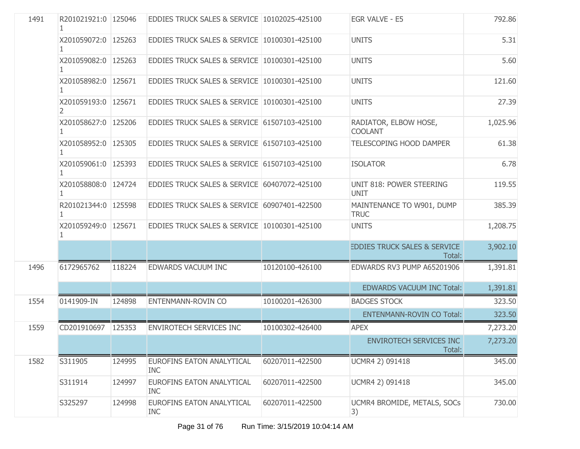| 1491 | R201021921:0 125046      |        | EDDIES TRUCK SALES & SERVICE 10102025-425100   |                 | EGR VALVE - E5                                    | 792.86   |
|------|--------------------------|--------|------------------------------------------------|-----------------|---------------------------------------------------|----------|
|      | X201059072:0 125263      |        | EDDIES TRUCK SALES & SERVICE 10100301-425100   |                 | <b>UNITS</b>                                      | 5.31     |
|      | X201059082:0 125263      |        | EDDIES TRUCK SALES & SERVICE 10100301-425100   |                 | <b>UNITS</b>                                      | 5.60     |
|      | X201058982:0 125671      |        | EDDIES TRUCK SALES & SERVICE 10100301-425100   |                 | <b>UNITS</b>                                      | 121.60   |
|      | X201059193:0 125671<br>2 |        | EDDIES TRUCK SALES & SERVICE 10100301-425100   |                 | <b>UNITS</b>                                      | 27.39    |
|      | X201058627:0   125206    |        | EDDIES TRUCK SALES & SERVICE 61507103-425100   |                 | RADIATOR, ELBOW HOSE,<br><b>COOLANT</b>           | 1,025.96 |
|      | X201058952:0 125305<br>1 |        | EDDIES TRUCK SALES & SERVICE 61507103-425100   |                 | TELESCOPING HOOD DAMPER                           | 61.38    |
|      | X201059061:0 125393<br>1 |        | EDDIES TRUCK SALES & SERVICE 61507103-425100   |                 | <b>ISOLATOR</b>                                   | 6.78     |
|      | X201058808:0 124724      |        | EDDIES TRUCK SALES & SERVICE 60407072-425100   |                 | UNIT 818: POWER STEERING<br><b>UNIT</b>           | 119.55   |
|      | R201021344:0   125598    |        | EDDIES TRUCK SALES & SERVICE 60907401-422500   |                 | MAINTENANCE TO W901, DUMP<br><b>TRUC</b>          | 385.39   |
|      | X201059249:0 125671<br>1 |        | EDDIES TRUCK SALES & SERVICE 10100301-425100   |                 | <b>UNITS</b>                                      | 1,208.75 |
|      |                          |        |                                                |                 | <b>EDDIES TRUCK SALES &amp; SERVICE</b><br>Total: | 3,902.10 |
| 1496 | 6172965762               | 118224 | EDWARDS VACUUM INC                             | 10120100-426100 | EDWARDS RV3 PUMP A65201906                        | 1,391.81 |
|      |                          |        |                                                |                 | <b>EDWARDS VACUUM INC Total:</b>                  | 1,391.81 |
| 1554 | 0141909-IN               | 124898 | ENTENMANN-ROVIN CO                             | 10100201-426300 | <b>BADGES STOCK</b>                               | 323.50   |
|      |                          |        |                                                |                 | <b>ENTENMANN-ROVIN CO Total:</b>                  | 323.50   |
| 1559 | CD201910697              | 125353 | <b>ENVIROTECH SERVICES INC</b>                 | 10100302-426400 | <b>APEX</b>                                       | 7,273.20 |
|      |                          |        |                                                |                 | ENVIROTECH SERVICES INC<br>Total:                 | 7,273.20 |
| 1582 | S311905                  | 124995 | <b>EUROFINS EATON ANALYTICAL</b><br><b>INC</b> | 60207011-422500 | UCMR4 2) 091418                                   | 345.00   |
|      | S311914                  | 124997 | EUROFINS EATON ANALYTICAL<br><b>INC</b>        | 60207011-422500 | UCMR4 2) 091418                                   | 345.00   |
|      | S325297                  | 124998 | EUROFINS EATON ANALYTICAL<br><b>INC</b>        | 60207011-422500 | UCMR4 BROMIDE, METALS, SOCs<br>3)                 | 730.00   |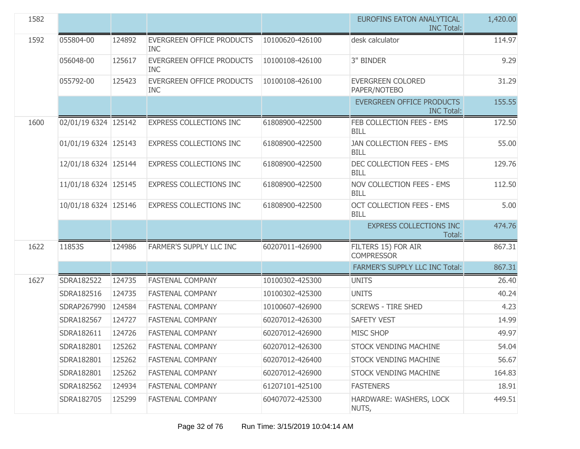| 1582 |                      |        |                                                |                 | <b>EUROFINS EATON ANALYTICAL</b><br><b>INC Total:</b> | 1,420.00 |
|------|----------------------|--------|------------------------------------------------|-----------------|-------------------------------------------------------|----------|
| 1592 | 055804-00            | 124892 | <b>EVERGREEN OFFICE PRODUCTS</b><br><b>INC</b> | 10100620-426100 | desk calculator                                       | 114.97   |
|      | 056048-00            | 125617 | <b>EVERGREEN OFFICE PRODUCTS</b><br><b>INC</b> | 10100108-426100 | 3" BINDER                                             | 9.29     |
|      | 055792-00            | 125423 | EVERGREEN OFFICE PRODUCTS<br><b>INC</b>        | 10100108-426100 | <b>EVERGREEN COLORED</b><br>PAPER/NOTEBO              | 31.29    |
|      |                      |        |                                                |                 | <b>EVERGREEN OFFICE PRODUCTS</b><br><b>INC Total:</b> | 155.55   |
| 1600 | 02/01/19 6324 125142 |        | <b>EXPRESS COLLECTIONS INC</b>                 | 61808900-422500 | FEB COLLECTION FEES - EMS<br><b>BILL</b>              | 172.50   |
|      | 01/01/19 6324 125143 |        | <b>EXPRESS COLLECTIONS INC</b>                 | 61808900-422500 | JAN COLLECTION FEES - EMS<br><b>BILL</b>              | 55.00    |
|      | 12/01/18 6324 125144 |        | <b>EXPRESS COLLECTIONS INC</b>                 | 61808900-422500 | DEC COLLECTION FEES - EMS<br><b>BILL</b>              | 129.76   |
|      | 11/01/18 6324 125145 |        | <b>EXPRESS COLLECTIONS INC</b>                 | 61808900-422500 | NOV COLLECTION FEES - EMS<br><b>BILL</b>              | 112.50   |
|      | 10/01/18 6324 125146 |        | <b>EXPRESS COLLECTIONS INC</b>                 | 61808900-422500 | <b>OCT COLLECTION FEES - EMS</b><br><b>BILL</b>       | 5.00     |
|      |                      |        |                                                |                 | <b>EXPRESS COLLECTIONS INC</b><br>Total:              | 474.76   |
| 1622 | 11853S               | 124986 | FARMER'S SUPPLY LLC INC                        | 60207011-426900 | FILTERS 15) FOR AIR<br><b>COMPRESSOR</b>              | 867.31   |
|      |                      |        |                                                |                 | <b>FARMER'S SUPPLY LLC INC Total:</b>                 | 867.31   |
| 1627 | SDRA182522           | 124735 | <b>FASTENAL COMPANY</b>                        | 10100302-425300 | <b>UNITS</b>                                          | 26.40    |
|      | SDRA182516           | 124735 | <b>FASTENAL COMPANY</b>                        | 10100302-425300 | <b>UNITS</b>                                          | 40.24    |
|      | SDRAP267990          | 124584 | <b>FASTENAL COMPANY</b>                        | 10100607-426900 | <b>SCREWS - TIRE SHED</b>                             | 4.23     |
|      | SDRA182567           | 124727 | <b>FASTENAL COMPANY</b>                        | 60207012-426300 | <b>SAFETY VEST</b>                                    | 14.99    |
|      | SDRA182611           | 124726 | <b>FASTENAL COMPANY</b>                        | 60207012-426900 | <b>MISC SHOP</b>                                      | 49.97    |
|      | SDRA182801           | 125262 | <b>FASTENAL COMPANY</b>                        | 60207012-426300 | STOCK VENDING MACHINE                                 | 54.04    |
|      | SDRA182801           | 125262 | <b>FASTENAL COMPANY</b>                        | 60207012-426400 | STOCK VENDING MACHINE                                 | 56.67    |
|      | SDRA182801           | 125262 | <b>FASTENAL COMPANY</b>                        | 60207012-426900 | STOCK VENDING MACHINE                                 | 164.83   |
|      | SDRA182562           | 124934 | <b>FASTENAL COMPANY</b>                        | 61207101-425100 | <b>FASTENERS</b>                                      | 18.91    |
|      | SDRA182705           | 125299 | <b>FASTENAL COMPANY</b>                        | 60407072-425300 | HARDWARE: WASHERS, LOCK<br>NUTS,                      | 449.51   |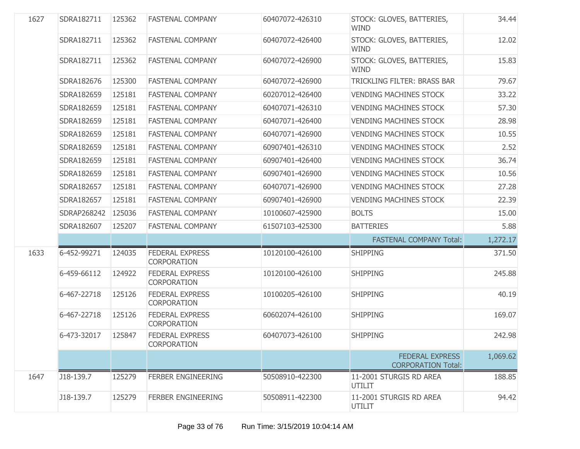| 1627 | SDRA182711  | 125362 | <b>FASTENAL COMPANY</b>                      | 60407072-426310 | STOCK: GLOVES, BATTERIES,<br><b>WIND</b>            | 34.44    |
|------|-------------|--------|----------------------------------------------|-----------------|-----------------------------------------------------|----------|
|      | SDRA182711  | 125362 | <b>FASTENAL COMPANY</b>                      | 60407072-426400 | STOCK: GLOVES, BATTERIES,<br><b>WIND</b>            | 12.02    |
|      | SDRA182711  | 125362 | <b>FASTENAL COMPANY</b>                      | 60407072-426900 | STOCK: GLOVES, BATTERIES,<br><b>WIND</b>            | 15.83    |
|      | SDRA182676  | 125300 | <b>FASTENAL COMPANY</b>                      | 60407072-426900 | TRICKLING FILTER: BRASS BAR                         | 79.67    |
|      | SDRA182659  | 125181 | <b>FASTENAL COMPANY</b>                      | 60207012-426400 | <b>VENDING MACHINES STOCK</b>                       | 33.22    |
|      | SDRA182659  | 125181 | <b>FASTENAL COMPANY</b>                      | 60407071-426310 | <b>VENDING MACHINES STOCK</b>                       | 57.30    |
|      | SDRA182659  | 125181 | <b>FASTENAL COMPANY</b>                      | 60407071-426400 | <b>VENDING MACHINES STOCK</b>                       | 28.98    |
|      | SDRA182659  | 125181 | <b>FASTENAL COMPANY</b>                      | 60407071-426900 | <b>VENDING MACHINES STOCK</b>                       | 10.55    |
|      | SDRA182659  | 125181 | <b>FASTENAL COMPANY</b>                      | 60907401-426310 | <b>VENDING MACHINES STOCK</b>                       | 2.52     |
|      | SDRA182659  | 125181 | <b>FASTENAL COMPANY</b>                      | 60907401-426400 | <b>VENDING MACHINES STOCK</b>                       | 36.74    |
|      | SDRA182659  | 125181 | <b>FASTENAL COMPANY</b>                      | 60907401-426900 | <b>VENDING MACHINES STOCK</b>                       | 10.56    |
|      | SDRA182657  | 125181 | <b>FASTENAL COMPANY</b>                      | 60407071-426900 | <b>VENDING MACHINES STOCK</b>                       | 27.28    |
|      | SDRA182657  | 125181 | <b>FASTENAL COMPANY</b>                      | 60907401-426900 | <b>VENDING MACHINES STOCK</b>                       | 22.39    |
|      | SDRAP268242 | 125036 | <b>FASTENAL COMPANY</b>                      | 10100607-425900 | <b>BOLTS</b>                                        | 15.00    |
|      | SDRA182607  | 125207 | <b>FASTENAL COMPANY</b>                      | 61507103-425300 | <b>BATTERIES</b>                                    | 5.88     |
|      |             |        |                                              |                 | <b>FASTENAL COMPANY Total:</b>                      | 1,272.17 |
| 1633 | 6-452-99271 | 124035 | <b>FEDERAL EXPRESS</b><br><b>CORPORATION</b> | 10120100-426100 | <b>SHIPPING</b>                                     | 371.50   |
|      | 6-459-66112 | 124922 | <b>FEDERAL EXPRESS</b><br><b>CORPORATION</b> | 10120100-426100 | <b>SHIPPING</b>                                     | 245.88   |
|      | 6-467-22718 | 125126 | <b>FEDERAL EXPRESS</b><br>CORPORATION        | 10100205-426100 | <b>SHIPPING</b>                                     | 40.19    |
|      | 6-467-22718 | 125126 | <b>FEDERAL EXPRESS</b><br><b>CORPORATION</b> | 60602074-426100 | <b>SHIPPING</b>                                     | 169.07   |
|      | 6-473-32017 | 125847 | <b>FEDERAL EXPRESS</b><br><b>CORPORATION</b> | 60407073-426100 | <b>SHIPPING</b>                                     | 242.98   |
|      |             |        |                                              |                 | <b>FEDERAL EXPRESS</b><br><b>CORPORATION Total:</b> | 1,069.62 |
| 1647 | J18-139.7   | 125279 | <b>FERBER ENGINEERING</b>                    | 50508910-422300 | 11-2001 STURGIS RD AREA<br>UTILIT                   | 188.85   |
|      | J18-139.7   | 125279 | <b>FERBER ENGINEERING</b>                    | 50508911-422300 | 11-2001 STURGIS RD AREA<br><b>UTILIT</b>            | 94.42    |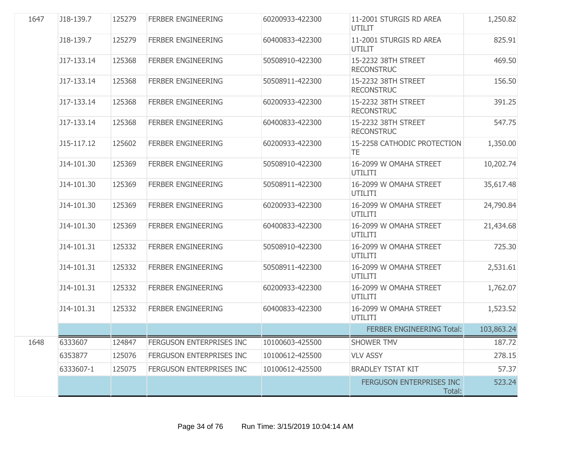| 1647 | J18-139.7  | 125279 | <b>FERBER ENGINEERING</b> | 60200933-422300 | 11-2001 STURGIS RD AREA<br><b>UTILIT</b> | 1,250.82   |
|------|------------|--------|---------------------------|-----------------|------------------------------------------|------------|
|      | J18-139.7  | 125279 | <b>FERBER ENGINEERING</b> | 60400833-422300 | 11-2001 STURGIS RD AREA<br><b>UTILIT</b> | 825.91     |
|      | J17-133.14 | 125368 | FERBER ENGINEERING        | 50508910-422300 | 15-2232 38TH STREET<br><b>RECONSTRUC</b> | 469.50     |
|      | J17-133.14 | 125368 | <b>FERBER ENGINEERING</b> | 50508911-422300 | 15-2232 38TH STREET<br><b>RECONSTRUC</b> | 156.50     |
|      | J17-133.14 | 125368 | <b>FERBER ENGINEERING</b> | 60200933-422300 | 15-2232 38TH STREET<br><b>RECONSTRUC</b> | 391.25     |
|      | J17-133.14 | 125368 | <b>FERBER ENGINEERING</b> | 60400833-422300 | 15-2232 38TH STREET<br><b>RECONSTRUC</b> | 547.75     |
|      | J15-117.12 | 125602 | <b>FERBER ENGINEERING</b> | 60200933-422300 | 15-2258 CATHODIC PROTECTION<br><b>TE</b> | 1,350.00   |
|      | J14-101.30 | 125369 | FERBER ENGINEERING        | 50508910-422300 | 16-2099 W OMAHA STREET<br>UTILITI        | 10,202.74  |
|      | J14-101.30 | 125369 | <b>FERBER ENGINEERING</b> | 50508911-422300 | 16-2099 W OMAHA STREET<br>UTILITI        | 35,617.48  |
|      | J14-101.30 | 125369 | <b>FERBER ENGINEERING</b> | 60200933-422300 | 16-2099 W OMAHA STREET<br>UTILITI        | 24,790.84  |
|      | J14-101.30 | 125369 | FERBER ENGINEERING        | 60400833-422300 | 16-2099 W OMAHA STREET<br>UTILITI        | 21,434.68  |
|      | J14-101.31 | 125332 | <b>FERBER ENGINEERING</b> | 50508910-422300 | 16-2099 W OMAHA STREET<br>UTILITI        | 725.30     |
|      | J14-101.31 | 125332 | <b>FERBER ENGINEERING</b> | 50508911-422300 | 16-2099 W OMAHA STREET<br>UTILITI        | 2,531.61   |
|      | J14-101.31 | 125332 | <b>FERBER ENGINEERING</b> | 60200933-422300 | 16-2099 W OMAHA STREET<br><b>UTILITI</b> | 1,762.07   |
|      | J14-101.31 | 125332 | FERBER ENGINEERING        | 60400833-422300 | 16-2099 W OMAHA STREET<br>UTILITI        | 1,523.52   |
|      |            |        |                           |                 | <b>FERBER ENGINEERING Total:</b>         | 103,863.24 |
| 1648 | 6333607    | 124847 | FERGUSON ENTERPRISES INC  | 10100603-425500 | <b>SHOWER TMV</b>                        | 187.72     |
|      | 6353877    | 125076 | FERGUSON ENTERPRISES INC  | 10100612-425500 | <b>VLV ASSY</b>                          | 278.15     |
|      | 6333607-1  | 125075 | FERGUSON ENTERPRISES INC  | 10100612-425500 | <b>BRADLEY TSTAT KIT</b>                 | 57.37      |
|      |            |        |                           |                 | FERGUSON ENTERPRISES INC<br>Total:       | 523.24     |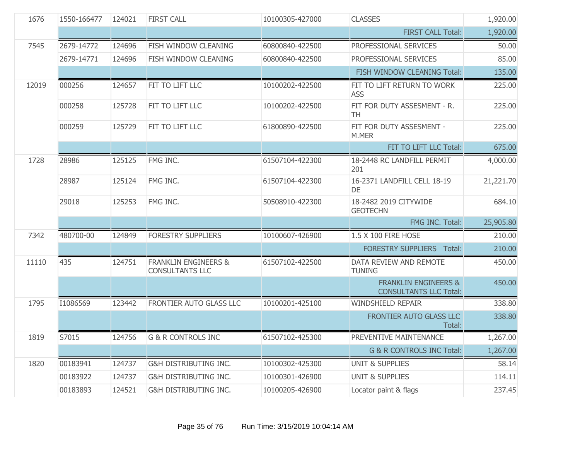| 1676  | 1550-166477 | 124021 | <b>FIRST CALL</b>                                         | 10100305-427000 | <b>CLASSES</b>                                                   | 1,920.00  |
|-------|-------------|--------|-----------------------------------------------------------|-----------------|------------------------------------------------------------------|-----------|
|       |             |        |                                                           |                 | <b>FIRST CALL Total:</b>                                         | 1,920.00  |
| 7545  | 2679-14772  | 124696 | FISH WINDOW CLEANING                                      | 60800840-422500 | PROFESSIONAL SERVICES                                            | 50.00     |
|       | 2679-14771  | 124696 | FISH WINDOW CLEANING                                      | 60800840-422500 | PROFESSIONAL SERVICES                                            | 85.00     |
|       |             |        |                                                           |                 | FISH WINDOW CLEANING Total:                                      | 135.00    |
| 12019 | 000256      | 124657 | FIT TO LIFT LLC                                           | 10100202-422500 | FIT TO LIFT RETURN TO WORK<br><b>ASS</b>                         | 225.00    |
|       | 000258      | 125728 | FIT TO LIFT LLC                                           | 10100202-422500 | FIT FOR DUTY ASSESMENT - R.<br>TH                                | 225.00    |
|       | 000259      | 125729 | FIT TO LIFT LLC                                           | 61800890-422500 | FIT FOR DUTY ASSESMENT -<br>M.MER                                | 225.00    |
|       |             |        |                                                           |                 | FIT TO LIFT LLC Total:                                           | 675.00    |
| 1728  | 28986       | 125125 | FMG INC.                                                  | 61507104-422300 | 18-2448 RC LANDFILL PERMIT<br>201                                | 4,000.00  |
|       | 28987       | 125124 | FMG INC.                                                  | 61507104-422300 | 16-2371 LANDFILL CELL 18-19<br>DE                                | 21,221.70 |
|       | 29018       | 125253 | FMG INC.                                                  | 50508910-422300 | 18-2482 2019 CITYWIDE<br><b>GEOTECHN</b>                         | 684.10    |
|       |             |        |                                                           |                 | FMG INC. Total:                                                  | 25,905.80 |
| 7342  | 480700-00   | 124849 | <b>FORESTRY SUPPLIERS</b>                                 | 10100607-426900 | 1.5 X 100 FIRE HOSE                                              | 210.00    |
|       |             |        |                                                           |                 | <b>FORESTRY SUPPLIERS Total:</b>                                 | 210.00    |
| 11110 | 435         | 124751 | <b>FRANKLIN ENGINEERS &amp;</b><br><b>CONSULTANTS LLC</b> | 61507102-422500 | DATA REVIEW AND REMOTE<br><b>TUNING</b>                          | 450.00    |
|       |             |        |                                                           |                 | <b>FRANKLIN ENGINEERS &amp;</b><br><b>CONSULTANTS LLC Total:</b> | 450.00    |
| 1795  | I1086569    | 123442 | FRONTIER AUTO GLASS LLC                                   | 10100201-425100 | <b>WINDSHIELD REPAIR</b>                                         | 338.80    |
|       |             |        |                                                           |                 | FRONTIER AUTO GLASS LLC<br>Total:                                | 338.80    |
| 1819  | S7015       | 124756 | <b>G &amp; R CONTROLS INC</b>                             | 61507102-425300 | PREVENTIVE MAINTENANCE                                           | 1,267.00  |
|       |             |        |                                                           |                 | G & R CONTROLS INC Total:                                        | 1,267.00  |
| 1820  | 00183941    | 124737 | G&H DISTRIBUTING INC.                                     | 10100302-425300 | <b>UNIT &amp; SUPPLIES</b>                                       | 58.14     |
|       | 00183922    | 124737 | G&H DISTRIBUTING INC.                                     | 10100301-426900 | <b>UNIT &amp; SUPPLIES</b>                                       | 114.11    |
|       | 00183893    | 124521 | G&H DISTRIBUTING INC.                                     | 10100205-426900 | Locator paint & flags                                            | 237.45    |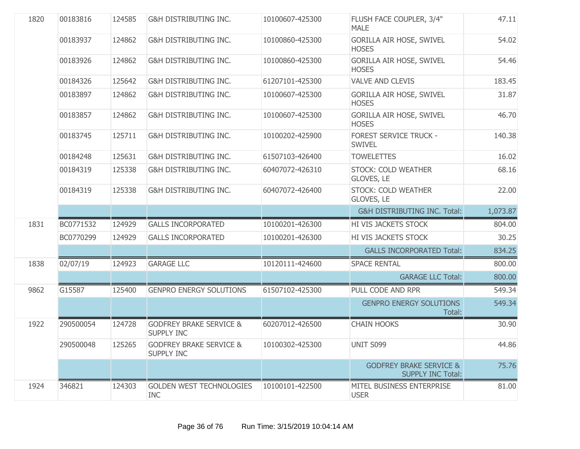| 1820 | 00183816  | 124585 | <b>G&amp;H DISTRIBUTING INC.</b>                        | 10100607-425300 | FLUSH FACE COUPLER, 3/4"<br><b>MALE</b>                        | 47.11    |
|------|-----------|--------|---------------------------------------------------------|-----------------|----------------------------------------------------------------|----------|
|      | 00183937  | 124862 | <b>G&amp;H DISTRIBUTING INC.</b>                        | 10100860-425300 | <b>GORILLA AIR HOSE, SWIVEL</b><br><b>HOSES</b>                | 54.02    |
|      | 00183926  | 124862 | G&H DISTRIBUTING INC.                                   | 10100860-425300 | GORILLA AIR HOSE, SWIVEL<br><b>HOSES</b>                       | 54.46    |
|      | 00184326  | 125642 | G&H DISTRIBUTING INC.                                   | 61207101-425300 | <b>VALVE AND CLEVIS</b>                                        | 183.45   |
|      | 00183897  | 124862 | <b>G&amp;H DISTRIBUTING INC.</b>                        | 10100607-425300 | GORILLA AIR HOSE, SWIVEL<br><b>HOSES</b>                       | 31.87    |
|      | 00183857  | 124862 | G&H DISTRIBUTING INC.                                   | 10100607-425300 | <b>GORILLA AIR HOSE, SWIVEL</b><br><b>HOSES</b>                | 46.70    |
|      | 00183745  | 125711 | <b>G&amp;H DISTRIBUTING INC.</b>                        | 10100202-425900 | <b>FOREST SERVICE TRUCK -</b><br><b>SWIVEL</b>                 | 140.38   |
|      | 00184248  | 125631 | <b>G&amp;H DISTRIBUTING INC.</b>                        | 61507103-426400 | <b>TOWELETTES</b>                                              | 16.02    |
|      | 00184319  | 125338 | <b>G&amp;H DISTRIBUTING INC.</b>                        | 60407072-426310 | STOCK: COLD WEATHER<br>GLOVES, LE                              | 68.16    |
|      | 00184319  | 125338 | <b>G&amp;H DISTRIBUTING INC.</b>                        | 60407072-426400 | STOCK: COLD WEATHER<br>GLOVES, LE                              | 22.00    |
|      |           |        |                                                         |                 | <b>G&amp;H DISTRIBUTING INC. Total:</b>                        | 1,073.87 |
| 1831 | BC0771532 | 124929 | <b>GALLS INCORPORATED</b>                               | 10100201-426300 | HI VIS JACKETS STOCK                                           | 804.00   |
|      | BC0770299 | 124929 | <b>GALLS INCORPORATED</b>                               | 10100201-426300 | HI VIS JACKETS STOCK                                           | 30.25    |
|      |           |        |                                                         |                 | <b>GALLS INCORPORATED Total:</b>                               | 834.25   |
| 1838 | 02/07/19  | 124923 | <b>GARAGE LLC</b>                                       | 10120111-424600 | <b>SPACE RENTAL</b>                                            | 800.00   |
|      |           |        |                                                         |                 | <b>GARAGE LLC Total:</b>                                       | 800.00   |
| 9862 | G15587    | 125400 | <b>GENPRO ENERGY SOLUTIONS</b>                          | 61507102-425300 | PULL CODE AND RPR                                              | 549.34   |
|      |           |        |                                                         |                 | <b>GENPRO ENERGY SOLUTIONS</b><br>Total:                       | 549.34   |
| 1922 | 290500054 | 124728 | <b>GODFREY BRAKE SERVICE &amp;</b><br><b>SUPPLY INC</b> | 60207012-426500 | <b>CHAIN HOOKS</b>                                             | 30.90    |
|      | 290500048 | 125265 | <b>GODFREY BRAKE SERVICE &amp;</b><br><b>SUPPLY INC</b> | 10100302-425300 | UNIT S099                                                      | 44.86    |
|      |           |        |                                                         |                 | <b>GODFREY BRAKE SERVICE &amp;</b><br><b>SUPPLY INC Total:</b> | 75.76    |
|      |           |        |                                                         |                 |                                                                |          |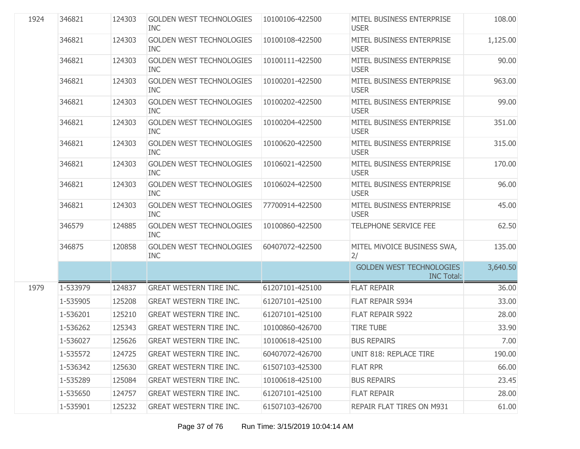| 1924 | 346821   | 124303 | GOLDEN WEST TECHNOLOGIES<br><b>INC</b>        | 10100106-422500 | MITEL BUSINESS ENTERPRISE<br><b>USER</b>             | 108.00   |
|------|----------|--------|-----------------------------------------------|-----------------|------------------------------------------------------|----------|
|      | 346821   | 124303 | <b>GOLDEN WEST TECHNOLOGIES</b><br><b>INC</b> | 10100108-422500 | MITEL BUSINESS ENTERPRISE<br><b>USER</b>             | 1,125.00 |
|      | 346821   | 124303 | <b>GOLDEN WEST TECHNOLOGIES</b><br><b>INC</b> | 10100111-422500 | MITEL BUSINESS ENTERPRISE<br><b>USER</b>             | 90.00    |
|      | 346821   | 124303 | <b>GOLDEN WEST TECHNOLOGIES</b><br><b>INC</b> | 10100201-422500 | MITEL BUSINESS ENTERPRISE<br><b>USER</b>             | 963.00   |
|      | 346821   | 124303 | <b>GOLDEN WEST TECHNOLOGIES</b><br><b>INC</b> | 10100202-422500 | MITEL BUSINESS ENTERPRISE<br><b>USER</b>             | 99.00    |
|      | 346821   | 124303 | <b>GOLDEN WEST TECHNOLOGIES</b><br><b>INC</b> | 10100204-422500 | MITEL BUSINESS ENTERPRISE<br><b>USER</b>             | 351.00   |
|      | 346821   | 124303 | <b>GOLDEN WEST TECHNOLOGIES</b><br><b>INC</b> | 10100620-422500 | MITEL BUSINESS ENTERPRISE<br><b>USER</b>             | 315.00   |
|      | 346821   | 124303 | <b>GOLDEN WEST TECHNOLOGIES</b><br><b>INC</b> | 10106021-422500 | MITEL BUSINESS ENTERPRISE<br><b>USER</b>             | 170.00   |
|      | 346821   | 124303 | <b>GOLDEN WEST TECHNOLOGIES</b><br><b>INC</b> | 10106024-422500 | MITEL BUSINESS ENTERPRISE<br><b>USER</b>             | 96.00    |
|      | 346821   | 124303 | <b>GOLDEN WEST TECHNOLOGIES</b><br><b>INC</b> | 77700914-422500 | MITEL BUSINESS ENTERPRISE<br><b>USER</b>             | 45.00    |
|      | 346579   | 124885 | <b>GOLDEN WEST TECHNOLOGIES</b><br><b>INC</b> | 10100860-422500 | TELEPHONE SERVICE FEE                                | 62.50    |
|      | 346875   | 120858 | <b>GOLDEN WEST TECHNOLOGIES</b><br><b>INC</b> | 60407072-422500 | MITEL MIVOICE BUSINESS SWA,<br>2/                    | 135.00   |
|      |          |        |                                               |                 | <b>GOLDEN WEST TECHNOLOGIES</b><br><b>INC Total:</b> | 3,640.50 |
| 1979 | 1-533979 | 124837 | <b>GREAT WESTERN TIRE INC.</b>                | 61207101-425100 | <b>FLAT REPAIR</b>                                   | 36.00    |
|      | 1-535905 | 125208 | <b>GREAT WESTERN TIRE INC.</b>                | 61207101-425100 | FLAT REPAIR S934                                     | 33.00    |
|      | 1-536201 | 125210 | <b>GREAT WESTERN TIRE INC.</b>                | 61207101-425100 | FLAT REPAIR S922                                     | 28.00    |
|      | 1-536262 | 125343 | <b>GREAT WESTERN TIRE INC.</b>                | 10100860-426700 | <b>TIRE TUBE</b>                                     | 33.90    |
|      | 1-536027 | 125626 | GREAT WESTERN TIRE INC.                       | 10100618-425100 | <b>BUS REPAIRS</b>                                   | 7.00     |
|      | 1-535572 | 124725 | <b>GREAT WESTERN TIRE INC.</b>                | 60407072-426700 | <b>UNIT 818: REPLACE TIRE</b>                        | 190.00   |
|      | 1-536342 | 125630 | <b>GREAT WESTERN TIRE INC.</b>                | 61507103-425300 | <b>FLAT RPR</b>                                      | 66.00    |
|      | 1-535289 | 125084 | <b>GREAT WESTERN TIRE INC.</b>                | 10100618-425100 | <b>BUS REPAIRS</b>                                   | 23.45    |
|      | 1-535650 | 124757 | <b>GREAT WESTERN TIRE INC.</b>                | 61207101-425100 | <b>FLAT REPAIR</b>                                   | 28.00    |
|      | 1-535901 | 125232 | <b>GREAT WESTERN TIRE INC.</b>                | 61507103-426700 | REPAIR FLAT TIRES ON M931                            | 61.00    |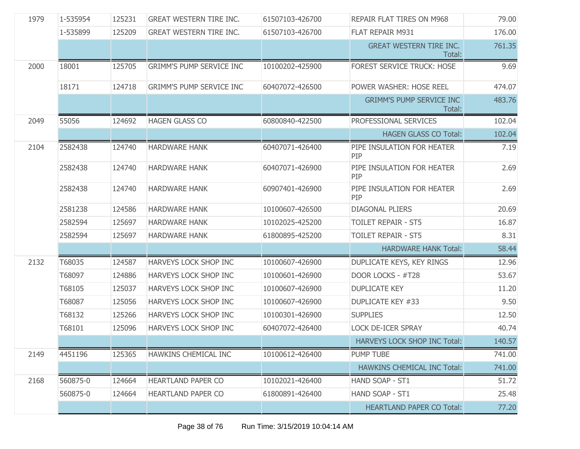| 1979 | 1-535954 | 125231 | <b>GREAT WESTERN TIRE INC.</b>  | 61507103-426700 | REPAIR FLAT TIRES ON M968                 | 79.00  |
|------|----------|--------|---------------------------------|-----------------|-------------------------------------------|--------|
|      | 1-535899 | 125209 | <b>GREAT WESTERN TIRE INC.</b>  | 61507103-426700 | FLAT REPAIR M931                          | 176.00 |
|      |          |        |                                 |                 | <b>GREAT WESTERN TIRE INC.</b><br>Total:  | 761.35 |
| 2000 | 18001    | 125705 | <b>GRIMM'S PUMP SERVICE INC</b> | 10100202-425900 | <b>FOREST SERVICE TRUCK: HOSE</b>         | 9.69   |
|      | 18171    | 124718 | <b>GRIMM'S PUMP SERVICE INC</b> | 60407072-426500 | POWER WASHER: HOSE REEL                   | 474.07 |
|      |          |        |                                 |                 | <b>GRIMM'S PUMP SERVICE INC</b><br>Total: | 483.76 |
| 2049 | 55056    | 124692 | <b>HAGEN GLASS CO</b>           | 60800840-422500 | PROFESSIONAL SERVICES                     | 102.04 |
|      |          |        |                                 |                 | <b>HAGEN GLASS CO Total:</b>              | 102.04 |
| 2104 | 2582438  | 124740 | <b>HARDWARE HANK</b>            | 60407071-426400 | PIPE INSULATION FOR HEATER<br><b>PIP</b>  | 7.19   |
|      | 2582438  | 124740 | <b>HARDWARE HANK</b>            | 60407071-426900 | PIPE INSULATION FOR HEATER<br>PIP         | 2.69   |
|      | 2582438  | 124740 | <b>HARDWARE HANK</b>            | 60907401-426900 | PIPE INSULATION FOR HEATER<br>PIP         | 2.69   |
|      | 2581238  | 124586 | <b>HARDWARE HANK</b>            | 10100607-426500 | <b>DIAGONAL PLIERS</b>                    | 20.69  |
|      | 2582594  | 125697 | <b>HARDWARE HANK</b>            | 10102025-425200 | <b>TOILET REPAIR - ST5</b>                | 16.87  |
|      | 2582594  | 125697 | <b>HARDWARE HANK</b>            | 61800895-425200 | <b>TOILET REPAIR - ST5</b>                | 8.31   |
|      |          |        |                                 |                 | <b>HARDWARE HANK Total:</b>               | 58.44  |
| 2132 | T68035   | 124587 | HARVEYS LOCK SHOP INC           | 10100607-426900 | DUPLICATE KEYS, KEY RINGS                 | 12.96  |
|      | T68097   | 124886 | HARVEYS LOCK SHOP INC           | 10100601-426900 | DOOR LOCKS - #T28                         | 53.67  |
|      | T68105   | 125037 | HARVEYS LOCK SHOP INC           | 10100607-426900 | <b>DUPLICATE KEY</b>                      | 11.20  |
|      | T68087   | 125056 | HARVEYS LOCK SHOP INC           | 10100607-426900 | <b>DUPLICATE KEY #33</b>                  | 9.50   |
|      | T68132   | 125266 | HARVEYS LOCK SHOP INC           | 10100301-426900 | <b>SUPPLIES</b>                           | 12.50  |
|      | T68101   | 125096 | HARVEYS LOCK SHOP INC           | 60407072-426400 | <b>LOCK DE-ICER SPRAY</b>                 | 40.74  |
|      |          |        |                                 |                 | <b>HARVEYS LOCK SHOP INC Total:</b>       | 140.57 |
| 2149 | 4451196  | 125365 | HAWKINS CHEMICAL INC            | 10100612-426400 | <b>PUMP TUBE</b>                          | 741.00 |
|      |          |        |                                 |                 | <b>HAWKINS CHEMICAL INC Total:</b>        | 741.00 |
| 2168 | 560875-0 | 124664 | <b>HEARTLAND PAPER CO</b>       | 10102021-426400 | HAND SOAP - ST1                           | 51.72  |
|      | 560875-0 | 124664 | <b>HEARTLAND PAPER CO</b>       | 61800891-426400 | HAND SOAP - ST1                           | 25.48  |
|      |          |        |                                 |                 | <b>HEARTLAND PAPER CO Total:</b>          | 77.20  |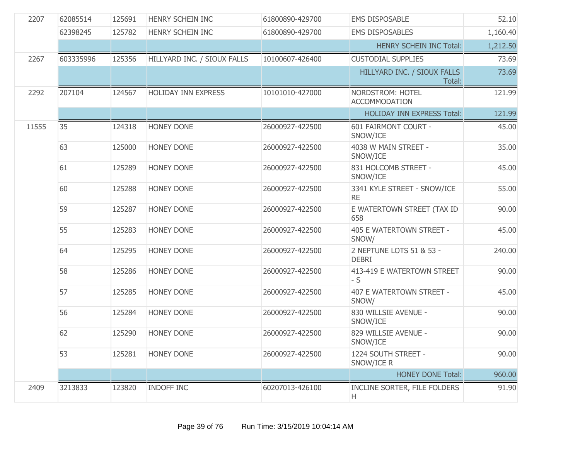| 2207  | 62085514  | 125691 | HENRY SCHEIN INC            | 61800890-429700 | <b>EMS DISPOSABLE</b>                    | 52.10    |
|-------|-----------|--------|-----------------------------|-----------------|------------------------------------------|----------|
|       | 62398245  | 125782 | HENRY SCHEIN INC            | 61800890-429700 | <b>EMS DISPOSABLES</b>                   | 1,160.40 |
|       |           |        |                             |                 | <b>HENRY SCHEIN INC Total:</b>           | 1,212.50 |
| 2267  | 603335996 | 125356 | HILLYARD INC. / SIOUX FALLS | 10100607-426400 | <b>CUSTODIAL SUPPLIES</b>                | 73.69    |
|       |           |        |                             |                 | HILLYARD INC. / SIOUX FALLS<br>Total:    | 73.69    |
| 2292  | 207104    | 124567 | <b>HOLIDAY INN EXPRESS</b>  | 10101010-427000 | NORDSTROM: HOTEL<br><b>ACCOMMODATION</b> | 121.99   |
|       |           |        |                             |                 | <b>HOLIDAY INN EXPRESS Total:</b>        | 121.99   |
| 11555 | 35        | 124318 | <b>HONEY DONE</b>           | 26000927-422500 | 601 FAIRMONT COURT -<br>SNOW/ICE         | 45.00    |
|       | 63        | 125000 | HONEY DONE                  | 26000927-422500 | 4038 W MAIN STREET -<br>SNOW/ICE         | 35.00    |
|       | 61        | 125289 | <b>HONEY DONE</b>           | 26000927-422500 | 831 HOLCOMB STREET -<br>SNOW/ICE         | 45.00    |
|       | 60        | 125288 | <b>HONEY DONE</b>           | 26000927-422500 | 3341 KYLE STREET - SNOW/ICE<br><b>RE</b> | 55.00    |
|       | 59        | 125287 | <b>HONEY DONE</b>           | 26000927-422500 | E WATERTOWN STREET (TAX ID<br>658        | 90.00    |
|       | 55        | 125283 | <b>HONEY DONE</b>           | 26000927-422500 | 405 E WATERTOWN STREET -<br>SNOW/        | 45.00    |
|       | 64        | 125295 | HONEY DONE                  | 26000927-422500 | 2 NEPTUNE LOTS 51 & 53 -<br><b>DEBRI</b> | 240.00   |
|       | 58        | 125286 | <b>HONEY DONE</b>           | 26000927-422500 | 413-419 E WATERTOWN STREET<br>$-S$       | 90.00    |
|       | 57        | 125285 | <b>HONEY DONE</b>           | 26000927-422500 | 407 E WATERTOWN STREET -<br>SNOW/        | 45.00    |
|       | 56        | 125284 | <b>HONEY DONE</b>           | 26000927-422500 | 830 WILLSIE AVENUE -<br>SNOW/ICE         | 90.00    |
|       | 62        | 125290 | <b>HONEY DONE</b>           | 26000927-422500 | 829 WILLSIE AVENUE -<br>SNOW/ICE         | 90.00    |
|       | 53        | 125281 | <b>HONEY DONE</b>           | 26000927-422500 | 1224 SOUTH STREET -<br>SNOW/ICE R        | 90.00    |
|       |           |        |                             |                 | <b>HONEY DONE Total:</b>                 | 960.00   |
| 2409  | 3213833   | 123820 | <b>INDOFF INC</b>           | 60207013-426100 | INCLINE SORTER, FILE FOLDERS<br>H        | 91.90    |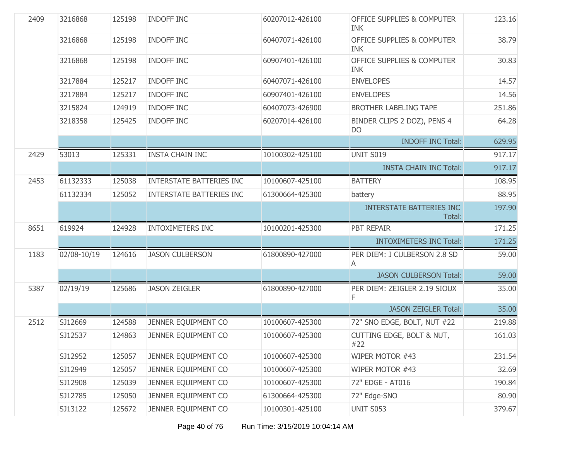| 2409 | 3216868     | 125198 | <b>INDOFF INC</b>               | 60207012-426100 | <b>OFFICE SUPPLIES &amp; COMPUTER</b><br><b>INK</b> | 123.16 |
|------|-------------|--------|---------------------------------|-----------------|-----------------------------------------------------|--------|
|      | 3216868     | 125198 | <b>INDOFF INC</b>               | 60407071-426100 | <b>OFFICE SUPPLIES &amp; COMPUTER</b><br>INK        | 38.79  |
|      | 3216868     | 125198 | <b>INDOFF INC</b>               | 60907401-426100 | <b>OFFICE SUPPLIES &amp; COMPUTER</b><br><b>INK</b> | 30.83  |
|      | 3217884     | 125217 | <b>INDOFF INC</b>               | 60407071-426100 | <b>ENVELOPES</b>                                    | 14.57  |
|      | 3217884     | 125217 | <b>INDOFF INC</b>               | 60907401-426100 | <b>ENVELOPES</b>                                    | 14.56  |
|      | 3215824     | 124919 | INDOFF INC                      | 60407073-426900 | <b>BROTHER LABELING TAPE</b>                        | 251.86 |
|      | 3218358     | 125425 | INDOFF INC                      | 60207014-426100 | BINDER CLIPS 2 DOZ), PENS 4<br>D <sub>O</sub>       | 64.28  |
|      |             |        |                                 |                 | <b>INDOFF INC Total:</b>                            | 629.95 |
| 2429 | 53013       | 125331 | <b>INSTA CHAIN INC</b>          | 10100302-425100 | <b>UNIT S019</b>                                    | 917.17 |
|      |             |        |                                 |                 | <b>INSTA CHAIN INC Total:</b>                       | 917.17 |
| 2453 | 61132333    | 125038 | <b>INTERSTATE BATTERIES INC</b> | 10100607-425100 | <b>BATTERY</b>                                      | 108.95 |
|      | 61132334    | 125052 | <b>INTERSTATE BATTERIES INC</b> | 61300664-425300 | battery                                             | 88.95  |
|      |             |        |                                 |                 | <b>INTERSTATE BATTERIES INC</b><br>Total:           | 197.90 |
| 8651 | 619924      | 124928 | <b>INTOXIMETERS INC</b>         | 10100201-425300 | PBT REPAIR                                          | 171.25 |
|      |             |        |                                 |                 | <b>INTOXIMETERS INC Total:</b>                      | 171.25 |
| 1183 | 02/08-10/19 | 124616 | <b>JASON CULBERSON</b>          | 61800890-427000 | PER DIEM: J CULBERSON 2.8 SD<br>A                   | 59.00  |
|      |             |        |                                 |                 | <b>JASON CULBERSON Total:</b>                       | 59.00  |
| 5387 | 02/19/19    | 125686 | <b>JASON ZEIGLER</b>            | 61800890-427000 | PER DIEM: ZEIGLER 2.19 SIOUX<br>F.                  | 35.00  |
|      |             |        |                                 |                 | <b>JASON ZEIGLER Total:</b>                         | 35.00  |
| 2512 | SJ12669     | 124588 | JENNER EQUIPMENT CO             | 10100607-425300 | 72" SNO EDGE, BOLT, NUT #22                         | 219.88 |
|      | SJ12537     | 124863 | JENNER EQUIPMENT CO             | 10100607-425300 | CUTTING EDGE, BOLT & NUT,<br>#22                    | 161.03 |
|      | SJ12952     | 125057 | JENNER EQUIPMENT CO             | 10100607-425300 | WIPER MOTOR #43                                     | 231.54 |
|      | SJ12949     | 125057 | JENNER EQUIPMENT CO             | 10100607-425300 | WIPER MOTOR #43                                     | 32.69  |
|      | SJ12908     | 125039 | JENNER EQUIPMENT CO             | 10100607-425300 | 72" EDGE - AT016                                    | 190.84 |
|      | SJ12785     | 125050 | JENNER EQUIPMENT CO             | 61300664-425300 | 72" Edge-SNO                                        | 80.90  |
|      | SJ13122     | 125672 | JENNER EQUIPMENT CO             | 10100301-425100 | <b>UNIT S053</b>                                    | 379.67 |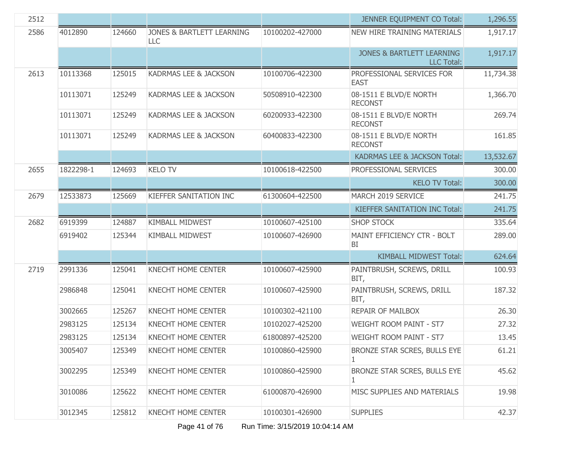| 2512 |           |        |                                  |                 | <b>JENNER EQUIPMENT CO Total:</b>                         | 1,296.55  |
|------|-----------|--------|----------------------------------|-----------------|-----------------------------------------------------------|-----------|
| 2586 | 4012890   | 124660 | JONES & BARTLETT LEARNING<br>LLC | 10100202-427000 | <b>NEW HIRE TRAINING MATERIALS</b>                        | 1,917.17  |
|      |           |        |                                  |                 | <b>JONES &amp; BARTLETT LEARNING</b><br><b>LLC Total:</b> | 1,917.17  |
| 2613 | 10113368  | 125015 | <b>KADRMAS LEE &amp; JACKSON</b> | 10100706-422300 | PROFESSIONAL SERVICES FOR<br><b>EAST</b>                  | 11,734.38 |
|      | 10113071  | 125249 | KADRMAS LEE & JACKSON            | 50508910-422300 | 08-1511 E BLVD/E NORTH<br><b>RECONST</b>                  | 1,366.70  |
|      | 10113071  | 125249 | <b>KADRMAS LEE &amp; JACKSON</b> | 60200933-422300 | 08-1511 E BLVD/E NORTH<br><b>RECONST</b>                  | 269.74    |
|      | 10113071  | 125249 | <b>KADRMAS LEE &amp; JACKSON</b> | 60400833-422300 | 08-1511 E BLVD/E NORTH<br><b>RECONST</b>                  | 161.85    |
|      |           |        |                                  |                 | KADRMAS LEE & JACKSON Total:                              | 13,532.67 |
| 2655 | 1822298-1 | 124693 | <b>KELO TV</b>                   | 10100618-422500 | PROFESSIONAL SERVICES                                     | 300.00    |
|      |           |        |                                  |                 | <b>KELO TV Total:</b>                                     | 300.00    |
| 2679 | 12533873  | 125669 | KIEFFER SANITATION INC           | 61300604-422500 | MARCH 2019 SERVICE                                        | 241.75    |
|      |           |        |                                  |                 | KIEFFER SANITATION INC Total:                             | 241.75    |
| 2682 | 6919399   | 124887 | <b>KIMBALL MIDWEST</b>           | 10100607-425100 | <b>SHOP STOCK</b>                                         | 335.64    |
|      | 6919402   | 125344 | <b>KIMBALL MIDWEST</b>           | 10100607-426900 | MAINT EFFICIENCY CTR - BOLT<br>BI                         | 289.00    |
|      |           |        |                                  |                 | <b>KIMBALL MIDWEST Total:</b>                             | 624.64    |
| 2719 | 2991336   | 125041 | KNECHT HOME CENTER               | 10100607-425900 | PAINTBRUSH, SCREWS, DRILL<br>BIT,                         | 100.93    |
|      | 2986848   | 125041 | KNECHT HOME CENTER               | 10100607-425900 | PAINTBRUSH, SCREWS, DRILL<br>BIT,                         | 187.32    |
|      | 3002665   | 125267 | <b>KNECHT HOME CENTER</b>        | 10100302-421100 | <b>REPAIR OF MAILBOX</b>                                  | 26.30     |
|      | 2983125   | 125134 | <b>KNECHT HOME CENTER</b>        | 10102027-425200 | WEIGHT ROOM PAINT - ST7                                   | 27.32     |
|      | 2983125   | 125134 | <b>KNECHT HOME CENTER</b>        | 61800897-425200 | WEIGHT ROOM PAINT - ST7                                   | 13.45     |
|      | 3005407   | 125349 | <b>KNECHT HOME CENTER</b>        | 10100860-425900 | BRONZE STAR SCRES, BULLS EYE<br>1                         | 61.21     |
|      | 3002295   | 125349 | <b>KNECHT HOME CENTER</b>        | 10100860-425900 | BRONZE STAR SCRES, BULLS EYE<br>1                         | 45.62     |
|      | 3010086   | 125622 | KNECHT HOME CENTER               | 61000870-426900 | MISC SUPPLIES AND MATERIALS                               | 19.98     |
|      | 3012345   | 125812 | <b>KNECHT HOME CENTER</b>        | 10100301-426900 | <b>SUPPLIES</b>                                           | 42.37     |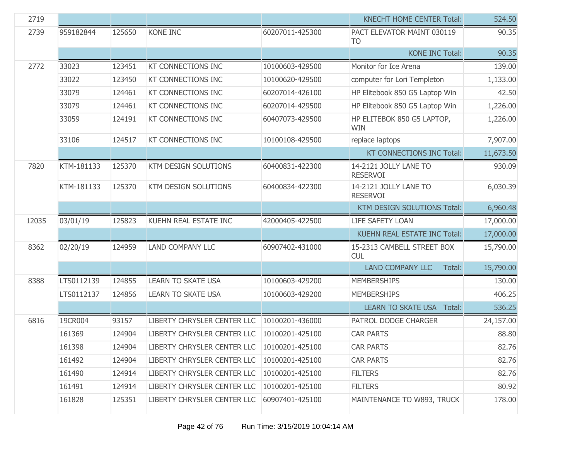| 2719  |            |        |                             |                 | <b>KNECHT HOME CENTER Total:</b>             | 524.50    |
|-------|------------|--------|-----------------------------|-----------------|----------------------------------------------|-----------|
| 2739  | 959182844  | 125650 | KONE INC                    | 60207011-425300 | PACT ELEVATOR MAINT 030119<br>T <sub>O</sub> | 90.35     |
|       |            |        |                             |                 | <b>KONE INC Total:</b>                       | 90.35     |
| 2772  | 33023      | 123451 | <b>KT CONNECTIONS INC</b>   | 10100603-429500 | Monitor for Ice Arena                        | 139.00    |
|       | 33022      | 123450 | KT CONNECTIONS INC          | 10100620-429500 | computer for Lori Templeton                  | 1,133.00  |
|       | 33079      | 124461 | KT CONNECTIONS INC          | 60207014-426100 | HP Elitebook 850 G5 Laptop Win               | 42.50     |
|       | 33079      | 124461 | KT CONNECTIONS INC          | 60207014-429500 | HP Elitebook 850 G5 Laptop Win               | 1,226.00  |
|       | 33059      | 124191 | KT CONNECTIONS INC          | 60407073-429500 | HP ELITEBOK 850 G5 LAPTOP,<br><b>WIN</b>     | 1,226.00  |
|       | 33106      | 124517 | KT CONNECTIONS INC          | 10100108-429500 | replace laptops                              | 7,907.00  |
|       |            |        |                             |                 | KT CONNECTIONS INC Total:                    | 11,673.50 |
| 7820  | KTM-181133 | 125370 | KTM DESIGN SOLUTIONS        | 60400831-422300 | 14-2121 JOLLY LANE TO<br><b>RESERVOI</b>     | 930.09    |
|       | KTM-181133 | 125370 | KTM DESIGN SOLUTIONS        | 60400834-422300 | 14-2121 JOLLY LANE TO<br><b>RESERVOI</b>     | 6,030.39  |
|       |            |        |                             |                 | KTM DESIGN SOLUTIONS Total:                  | 6,960.48  |
| 12035 | 03/01/19   | 125823 | KUEHN REAL ESTATE INC       | 42000405-422500 | LIFE SAFETY LOAN                             | 17,000.00 |
|       |            |        |                             |                 | <b>KUEHN REAL ESTATE INC Total:</b>          | 17,000.00 |
| 8362  | 02/20/19   | 124959 | LAND COMPANY LLC            | 60907402-431000 | 15-2313 CAMBELL STREET BOX<br><b>CUL</b>     | 15,790.00 |
|       |            |        |                             |                 | <b>LAND COMPANY LLC</b><br>Total:            | 15,790.00 |
| 8388  | LTS0112139 | 124855 | <b>LEARN TO SKATE USA</b>   | 10100603-429200 | <b>MEMBERSHIPS</b>                           | 130.00    |
|       | LTS0112137 | 124856 | <b>LEARN TO SKATE USA</b>   | 10100603-429200 | <b>MEMBERSHIPS</b>                           | 406.25    |
|       |            |        |                             |                 | <b>LEARN TO SKATE USA Total:</b>             | 536.25    |
| 6816  | 19CR004    | 93157  | LIBERTY CHRYSLER CENTER LLC | 10100201-436000 | PATROL DODGE CHARGER                         | 24,157.00 |
|       | 161369     | 124904 | LIBERTY CHRYSLER CENTER LLC | 10100201-425100 | <b>CAR PARTS</b>                             | 88.80     |
|       | 161398     | 124904 | LIBERTY CHRYSLER CENTER LLC | 10100201-425100 | <b>CAR PARTS</b>                             | 82.76     |
|       | 161492     | 124904 | LIBERTY CHRYSLER CENTER LLC | 10100201-425100 | <b>CAR PARTS</b>                             | 82.76     |
|       | 161490     | 124914 | LIBERTY CHRYSLER CENTER LLC | 10100201-425100 | <b>FILTERS</b>                               | 82.76     |
|       | 161491     | 124914 | LIBERTY CHRYSLER CENTER LLC | 10100201-425100 | <b>FILTERS</b>                               | 80.92     |
|       | 161828     | 125351 | LIBERTY CHRYSLER CENTER LLC | 60907401-425100 | MAINTENANCE TO W893, TRUCK                   | 178.00    |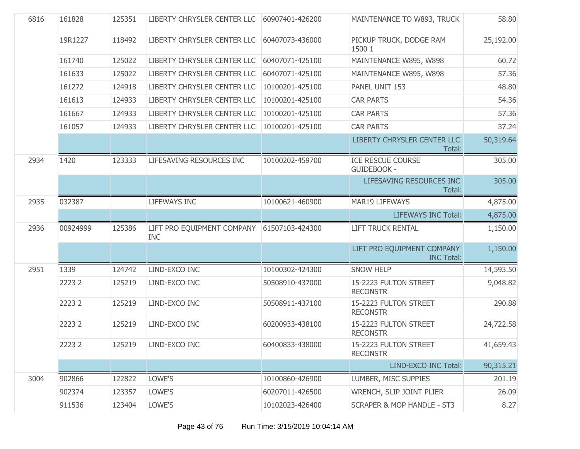| 6816 | 161828   | 125351 | LIBERTY CHRYSLER CENTER LLC              | 60907401-426200 | MAINTENANCE TO W893, TRUCK                      | 58.80     |
|------|----------|--------|------------------------------------------|-----------------|-------------------------------------------------|-----------|
|      | 19R1227  | 118492 | LIBERTY CHRYSLER CENTER LLC              | 60407073-436000 | PICKUP TRUCK, DODGE RAM<br>1500 1               | 25,192.00 |
|      | 161740   | 125022 | LIBERTY CHRYSLER CENTER LLC              | 60407071-425100 | MAINTENANCE W895, W898                          | 60.72     |
|      | 161633   | 125022 | LIBERTY CHRYSLER CENTER LLC              | 60407071-425100 | MAINTENANCE W895, W898                          | 57.36     |
|      | 161272   | 124918 | LIBERTY CHRYSLER CENTER LLC              | 10100201-425100 | PANEL UNIT 153                                  | 48.80     |
|      | 161613   | 124933 | LIBERTY CHRYSLER CENTER LLC              | 10100201-425100 | <b>CAR PARTS</b>                                | 54.36     |
|      | 161667   | 124933 | LIBERTY CHRYSLER CENTER LLC              | 10100201-425100 | <b>CAR PARTS</b>                                | 57.36     |
|      | 161057   | 124933 | LIBERTY CHRYSLER CENTER LLC              | 10100201-425100 | <b>CAR PARTS</b>                                | 37.24     |
|      |          |        |                                          |                 | LIBERTY CHRYSLER CENTER LLC<br>Total:           | 50,319.64 |
| 2934 | 1420     | 123333 | LIFESAVING RESOURCES INC                 | 10100202-459700 | <b>ICE RESCUE COURSE</b><br><b>GUIDEBOOK -</b>  | 305.00    |
|      |          |        |                                          |                 | LIFESAVING RESOURCES INC<br>Total:              | 305.00    |
| 2935 | 032387   |        | <b>LIFEWAYS INC</b>                      | 10100621-460900 | <b>MAR19 LIFEWAYS</b>                           | 4,875.00  |
|      |          |        |                                          |                 | <b>LIFEWAYS INC Total:</b>                      | 4,875.00  |
| 2936 | 00924999 | 125386 | LIFT PRO EQUIPMENT COMPANY<br><b>INC</b> | 61507103-424300 | <b>LIFT TRUCK RENTAL</b>                        | 1,150.00  |
|      |          |        |                                          |                 | LIFT PRO EQUIPMENT COMPANY<br><b>INC Total:</b> | 1,150.00  |
| 2951 | 1339     | 124742 | LIND-EXCO INC                            | 10100302-424300 | <b>SNOW HELP</b>                                | 14,593.50 |
|      | 2223 2   | 125219 | LIND-EXCO INC                            | 50508910-437000 | 15-2223 FULTON STREET<br><b>RECONSTR</b>        | 9,048.82  |
|      | 2223 2   | 125219 | LIND-EXCO INC                            | 50508911-437100 | 15-2223 FULTON STREET<br><b>RECONSTR</b>        | 290.88    |
|      | 2223 2   | 125219 | LIND-EXCO INC                            | 60200933-438100 | 15-2223 FULTON STREET<br><b>RECONSTR</b>        | 24,722.58 |
|      | 2223 2   | 125219 | LIND-EXCO INC                            | 60400833-438000 | 15-2223 FULTON STREET<br><b>RECONSTR</b>        | 41,659.43 |
|      |          |        |                                          |                 | LIND-EXCO INC Total:                            | 90,315.21 |
| 3004 | 902866   | 122822 | LOWE'S                                   | 10100860-426900 | LUMBER, MISC SUPPIES                            | 201.19    |
|      | 902374   | 123357 | LOWE'S                                   | 60207011-426500 | WRENCH, SLIP JOINT PLIER                        | 26.09     |
|      | 911536   | 123404 | LOWE'S                                   | 10102023-426400 | <b>SCRAPER &amp; MOP HANDLE - ST3</b>           | 8.27      |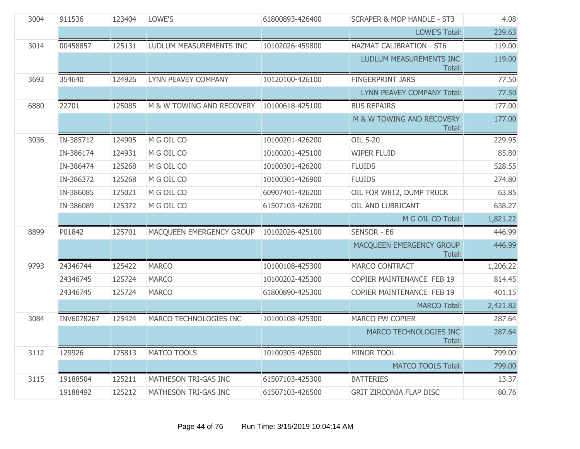| 3004 | 911536     | 123404 | LOWE'S                    | 61800893-426400 | <b>SCRAPER &amp; MOP HANDLE - ST3</b> | 4.08     |
|------|------------|--------|---------------------------|-----------------|---------------------------------------|----------|
|      |            |        |                           |                 | <b>LOWE'S Total:</b>                  | 239.63   |
| 3014 | 00458857   | 125131 | LUDLUM MEASUREMENTS INC   | 10102026-459800 | HAZMAT CALIBRATION - ST6              | 119.00   |
|      |            |        |                           |                 | LUDLUM MEASUREMENTS INC<br>Total:     | 119.00   |
| 3692 | 354640     | 124926 | LYNN PEAVEY COMPANY       | 10120100-426100 | <b>FINGERPRINT JARS</b>               | 77.50    |
|      |            |        |                           |                 | LYNN PEAVEY COMPANY Total:            | 77.50    |
| 6880 | 22701      | 125085 | M & W TOWING AND RECOVERY | 10100618-425100 | <b>BUS REPAIRS</b>                    | 177.00   |
|      |            |        |                           |                 | M & W TOWING AND RECOVERY<br>Total:   | 177.00   |
| 3036 | IN-385712  | 124905 | M G OIL CO                | 10100201-426200 | OIL 5-20                              | 229.95   |
|      | IN-386174  | 124931 | M G OIL CO                | 10100201-425100 | <b>WIPER FLUID</b>                    | 85.80    |
|      | IN-386474  | 125268 | M G OIL CO                | 10100301-426200 | <b>FLUIDS</b>                         | 528.55   |
|      | IN-386372  | 125268 | M G OIL CO                | 10100301-426900 | <b>FLUIDS</b>                         | 274.80   |
|      | IN-386085  | 125021 | M G OIL CO                | 60907401-426200 | OIL FOR W812, DUMP TRUCK              | 63.85    |
|      | IN-386089  | 125372 | M G OIL CO                | 61507103-426200 | OIL AND LUBRICANT                     | 638.27   |
|      |            |        |                           |                 | M G OIL CO Total:                     | 1,821.22 |
| 8899 | P01842     | 125701 | MACQUEEN EMERGENCY GROUP  | 10102026-425100 | SENSOR - E6                           | 446.99   |
|      |            |        |                           |                 | MACQUEEN EMERGENCY GROUP<br>Total:    | 446.99   |
| 9793 | 24346744   | 125422 | <b>MARCO</b>              | 10100108-425300 | <b>MARCO CONTRACT</b>                 | 1,206.22 |
|      | 24346745   | 125724 | <b>MARCO</b>              | 10100202-425300 | <b>COPIER MAINTENANCE FEB 19</b>      | 814.45   |
|      | 24346745   | 125724 | <b>MARCO</b>              | 61800890-425300 | COPIER MAINTENANCE FEB 19             | 401.15   |
|      |            |        |                           |                 | <b>MARCO Total:</b>                   | 2,421.82 |
| 3084 | INV6078267 | 125424 | MARCO TECHNOLOGIES INC    | 10100108-425300 | <b>MARCO PW COPIER</b>                | 287.64   |
|      |            |        |                           |                 | MARCO TECHNOLOGIES INC<br>Total:      | 287.64   |
| 3112 | 129926     | 125813 | MATCO TOOLS               | 10100305-426500 | MINOR TOOL                            | 799.00   |
|      |            |        |                           |                 | <b>MATCO TOOLS Total:</b>             | 799.00   |
| 3115 | 19188504   | 125211 | MATHESON TRI-GAS INC      | 61507103-425300 | <b>BATTERIES</b>                      | 13.37    |
|      | 19188492   | 125212 | MATHESON TRI-GAS INC      | 61507103-426500 | <b>GRIT ZIRCONIA FLAP DISC</b>        | 80.76    |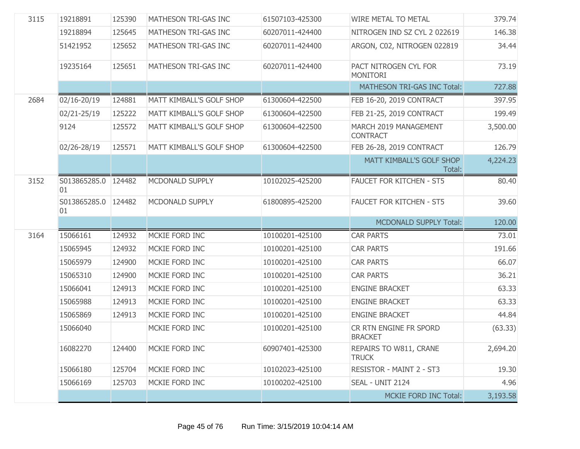| 3115 | 19218891                  | 125390 | MATHESON TRI-GAS INC     | 61507103-425300 | WIRE METAL TO METAL                      | 379.74   |
|------|---------------------------|--------|--------------------------|-----------------|------------------------------------------|----------|
|      | 19218894                  | 125645 | MATHESON TRI-GAS INC     | 60207011-424400 | NITROGEN IND SZ CYL 2 022619             | 146.38   |
|      | 51421952                  | 125652 | MATHESON TRI-GAS INC     | 60207011-424400 | ARGON, C02, NITROGEN 022819              | 34.44    |
|      | 19235164                  | 125651 | MATHESON TRI-GAS INC     | 60207011-424400 | PACT NITROGEN CYL FOR<br><b>MONITORI</b> | 73.19    |
|      |                           |        |                          |                 | MATHESON TRI-GAS INC Total:              | 727.88   |
| 2684 | 02/16-20/19               | 124881 | MATT KIMBALL'S GOLF SHOP | 61300604-422500 | FEB 16-20, 2019 CONTRACT                 | 397.95   |
|      | 02/21-25/19               | 125222 | MATT KIMBALL'S GOLF SHOP | 61300604-422500 | FEB 21-25, 2019 CONTRACT                 | 199.49   |
|      | 9124                      | 125572 | MATT KIMBALL'S GOLF SHOP | 61300604-422500 | MARCH 2019 MANAGEMENT<br><b>CONTRACT</b> | 3,500.00 |
|      | 02/26-28/19               | 125571 | MATT KIMBALL'S GOLF SHOP | 61300604-422500 | FEB 26-28, 2019 CONTRACT                 | 126.79   |
|      |                           |        |                          |                 | MATT KIMBALL'S GOLF SHOP<br>Total:       | 4,224.23 |
| 3152 | S013865285.0 124482<br>01 |        | MCDONALD SUPPLY          | 10102025-425200 | <b>FAUCET FOR KITCHEN - ST5</b>          | 80.40    |
|      | S013865285.0 124482       |        | MCDONALD SUPPLY          | 61800895-425200 | <b>FAUCET FOR KITCHEN - ST5</b>          | 39.60    |
|      | 01                        |        |                          |                 |                                          |          |
|      |                           |        |                          |                 | <b>MCDONALD SUPPLY Total:</b>            | 120.00   |
| 3164 | 15066161                  | 124932 | MCKIE FORD INC           | 10100201-425100 | <b>CAR PARTS</b>                         | 73.01    |
|      | 15065945                  | 124932 | MCKIE FORD INC           | 10100201-425100 | <b>CAR PARTS</b>                         | 191.66   |
|      | 15065979                  | 124900 | MCKIE FORD INC           | 10100201-425100 | <b>CAR PARTS</b>                         | 66.07    |
|      | 15065310                  | 124900 | MCKIE FORD INC           | 10100201-425100 | <b>CAR PARTS</b>                         | 36.21    |
|      | 15066041                  | 124913 | MCKIE FORD INC           | 10100201-425100 | <b>ENGINE BRACKET</b>                    | 63.33    |
|      | 15065988                  | 124913 | MCKIE FORD INC           | 10100201-425100 | <b>ENGINE BRACKET</b>                    | 63.33    |
|      | 15065869                  | 124913 | MCKIE FORD INC           | 10100201-425100 | <b>ENGINE BRACKET</b>                    | 44.84    |
|      | 15066040                  |        | MCKIE FORD INC           | 10100201-425100 | CR RTN ENGINE FR SPORD<br><b>BRACKET</b> | (63.33)  |
|      | 16082270                  | 124400 | MCKIE FORD INC           | 60907401-425300 | REPAIRS TO W811, CRANE<br><b>TRUCK</b>   | 2,694.20 |
|      | 15066180                  | 125704 | MCKIE FORD INC           | 10102023-425100 | RESISTOR - MAINT 2 - ST3                 | 19.30    |
|      | 15066169                  | 125703 | MCKIE FORD INC           | 10100202-425100 | SEAL - UNIT 2124                         | 4.96     |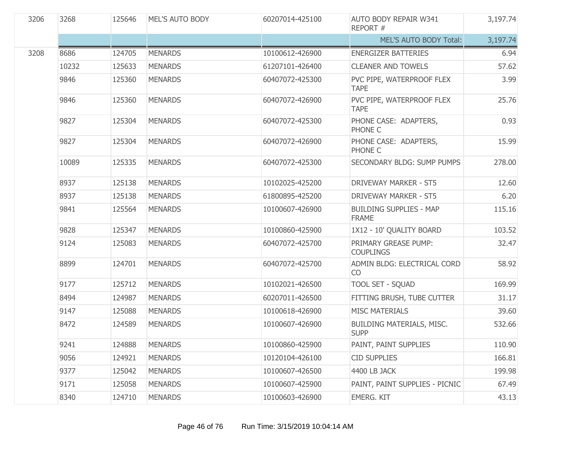| 3206 | 3268  | 125646 | MEL'S AUTO BODY | 60207014-425100 | <b>AUTO BODY REPAIR W341</b><br>REPORT#        | 3,197.74 |
|------|-------|--------|-----------------|-----------------|------------------------------------------------|----------|
|      |       |        |                 |                 | MEL'S AUTO BODY Total:                         | 3,197.74 |
| 3208 | 8686  | 124705 | <b>MENARDS</b>  | 10100612-426900 | <b>ENERGIZER BATTERIES</b>                     | 6.94     |
|      | 10232 | 125633 | <b>MENARDS</b>  | 61207101-426400 | <b>CLEANER AND TOWELS</b>                      | 57.62    |
|      | 9846  | 125360 | <b>MENARDS</b>  | 60407072-425300 | PVC PIPE, WATERPROOF FLEX<br><b>TAPE</b>       | 3.99     |
|      | 9846  | 125360 | <b>MENARDS</b>  | 60407072-426900 | PVC PIPE, WATERPROOF FLEX<br><b>TAPE</b>       | 25.76    |
|      | 9827  | 125304 | <b>MENARDS</b>  | 60407072-425300 | PHONE CASE: ADAPTERS,<br>PHONE C               | 0.93     |
|      | 9827  | 125304 | <b>MENARDS</b>  | 60407072-426900 | PHONE CASE: ADAPTERS,<br>PHONE C               | 15.99    |
|      | 10089 | 125335 | <b>MENARDS</b>  | 60407072-425300 | SECONDARY BLDG: SUMP PUMPS                     | 278,00   |
|      | 8937  | 125138 | <b>MENARDS</b>  | 10102025-425200 | <b>DRIVEWAY MARKER - ST5</b>                   | 12.60    |
|      | 8937  | 125138 | <b>MENARDS</b>  | 61800895-425200 | <b>DRIVEWAY MARKER - ST5</b>                   | 6.20     |
|      | 9841  | 125564 | <b>MENARDS</b>  | 10100607-426900 | <b>BUILDING SUPPLIES - MAP</b><br><b>FRAME</b> | 115.16   |
|      | 9828  | 125347 | <b>MENARDS</b>  | 10100860-425900 | 1X12 - 10' QUALITY BOARD                       | 103.52   |
|      | 9124  | 125083 | <b>MENARDS</b>  | 60407072-425700 | PRIMARY GREASE PUMP:<br><b>COUPLINGS</b>       | 32.47    |
|      | 8899  | 124701 | <b>MENARDS</b>  | 60407072-425700 | ADMIN BLDG: ELECTRICAL CORD<br><b>CO</b>       | 58.92    |
|      | 9177  | 125712 | <b>MENARDS</b>  | 10102021-426500 | <b>TOOL SET - SQUAD</b>                        | 169.99   |
|      | 8494  | 124987 | <b>MENARDS</b>  | 60207011-426500 | FITTING BRUSH, TUBE CUTTER                     | 31.17    |
|      | 9147  | 125088 | <b>MENARDS</b>  | 10100618-426900 | <b>MISC MATERIALS</b>                          | 39.60    |
|      | 8472  | 124589 | <b>MENARDS</b>  | 10100607-426900 | BUILDING MATERIALS, MISC.<br><b>SUPP</b>       | 532.66   |
|      | 9241  | 124888 | <b>MENARDS</b>  | 10100860-425900 | PAINT, PAINT SUPPLIES                          | 110.90   |
|      | 9056  | 124921 | <b>MENARDS</b>  | 10120104-426100 | <b>CID SUPPLIES</b>                            | 166.81   |
|      | 9377  | 125042 | <b>MENARDS</b>  | 10100607-426500 | 4400 LB JACK                                   | 199.98   |
|      | 9171  | 125058 | <b>MENARDS</b>  | 10100607-425900 | PAINT, PAINT SUPPLIES - PICNIC                 | 67.49    |
|      | 8340  | 124710 | <b>MENARDS</b>  | 10100603-426900 | EMERG. KIT                                     | 43.13    |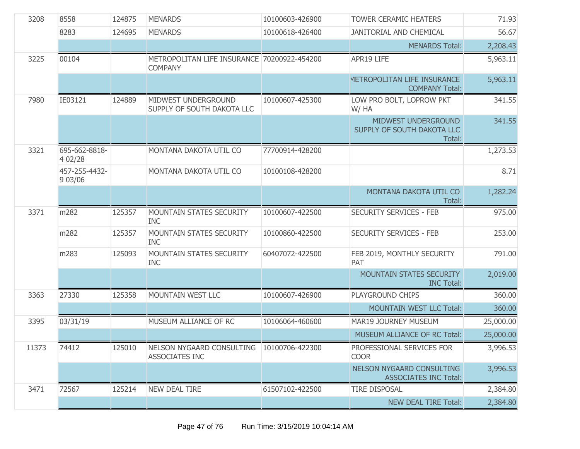| 3208  | 8558                     | 124875 | <b>MENARDS</b>                                                | 10100603-426900 | <b>TOWER CERAMIC HEATERS</b>                                     | 71.93     |
|-------|--------------------------|--------|---------------------------------------------------------------|-----------------|------------------------------------------------------------------|-----------|
|       | 8283                     | 124695 | <b>MENARDS</b>                                                | 10100618-426400 | <b>JANITORIAL AND CHEMICAL</b>                                   | 56.67     |
|       |                          |        |                                                               |                 | <b>MENARDS Total:</b>                                            | 2,208.43  |
| 3225  | 00104                    |        | METROPOLITAN LIFE INSURANCE 70200922-454200<br><b>COMPANY</b> |                 | APR19 LIFE                                                       | 5,963.11  |
|       |                          |        |                                                               |                 | METROPOLITAN LIFE INSURANCE<br><b>COMPANY Total:</b>             | 5,963.11  |
| 7980  | IE03121                  | 124889 | MIDWEST UNDERGROUND<br>SUPPLY OF SOUTH DAKOTA LLC             | 10100607-425300 | LOW PRO BOLT, LOPROW PKT<br>W/HA                                 | 341.55    |
|       |                          |        |                                                               |                 | MIDWEST UNDERGROUND<br>SUPPLY OF SOUTH DAKOTA LLC<br>Total:      | 341.55    |
| 3321  | 695-662-8818-<br>4 02/28 |        | MONTANA DAKOTA UTIL CO                                        | 77700914-428200 |                                                                  | 1,273.53  |
|       | 457-255-4432-<br>9 03/06 |        | MONTANA DAKOTA UTIL CO                                        | 10100108-428200 |                                                                  | 8.71      |
|       |                          |        |                                                               |                 | MONTANA DAKOTA UTIL CO<br>Total:                                 | 1,282.24  |
| 3371  | m282                     | 125357 | MOUNTAIN STATES SECURITY<br><b>INC</b>                        | 10100607-422500 | <b>SECURITY SERVICES - FEB</b>                                   | 975.00    |
|       | m282                     | 125357 | <b>MOUNTAIN STATES SECURITY</b><br><b>INC</b>                 | 10100860-422500 | <b>SECURITY SERVICES - FEB</b>                                   | 253.00    |
|       | m283                     | 125093 | MOUNTAIN STATES SECURITY<br><b>INC</b>                        | 60407072-422500 | FEB 2019, MONTHLY SECURITY<br>PAT                                | 791.00    |
|       |                          |        |                                                               |                 | MOUNTAIN STATES SECURITY<br><b>INC Total:</b>                    | 2,019.00  |
| 3363  | 27330                    | 125358 | MOUNTAIN WEST LLC                                             | 10100607-426900 | PLAYGROUND CHIPS                                                 | 360.00    |
|       |                          |        |                                                               |                 | <b>MOUNTAIN WEST LLC Total:</b>                                  | 360.00    |
| 3395  | 03/31/19                 |        | MUSEUM ALLIANCE OF RC                                         | 10106064-460600 | MAR19 JOURNEY MUSEUM                                             | 25,000.00 |
|       |                          |        |                                                               |                 | MUSEUM ALLIANCE OF RC Total:                                     | 25,000.00 |
| 11373 | 74412                    | 125010 | NELSON NYGAARD CONSULTING<br><b>ASSOCIATES INC</b>            | 10100706-422300 | PROFESSIONAL SERVICES FOR<br><b>COOR</b>                         | 3,996.53  |
|       |                          |        |                                                               |                 | <b>NELSON NYGAARD CONSULTING</b><br><b>ASSOCIATES INC Total:</b> | 3,996.53  |
| 3471  | 72567                    | 125214 | <b>NEW DEAL TIRE</b>                                          | 61507102-422500 | <b>TIRE DISPOSAL</b>                                             | 2,384.80  |
|       |                          |        |                                                               |                 | NEW DEAL TIRE Total:                                             | 2,384.80  |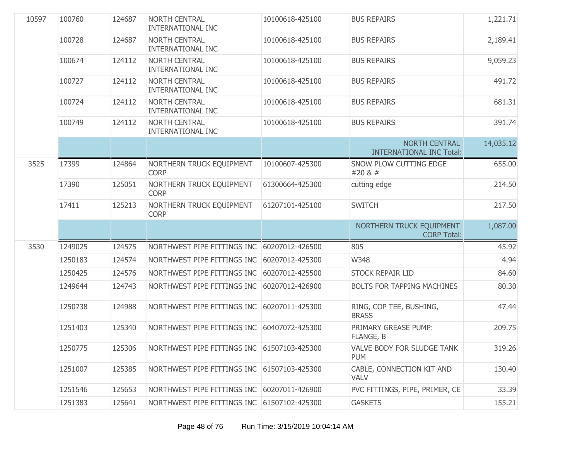| 10597 | 100760  | 124687 | <b>NORTH CENTRAL</b><br><b>INTERNATIONAL INC</b> | 10100618-425100 | <b>BUS REPAIRS</b>                                      | 1,221.71  |
|-------|---------|--------|--------------------------------------------------|-----------------|---------------------------------------------------------|-----------|
|       | 100728  | 124687 | NORTH CENTRAL<br><b>INTERNATIONAL INC</b>        | 10100618-425100 | <b>BUS REPAIRS</b>                                      | 2,189.41  |
|       | 100674  | 124112 | <b>NORTH CENTRAL</b><br><b>INTERNATIONAL INC</b> | 10100618-425100 | <b>BUS REPAIRS</b>                                      | 9,059.23  |
|       | 100727  | 124112 | <b>NORTH CENTRAL</b><br><b>INTERNATIONAL INC</b> | 10100618-425100 | <b>BUS REPAIRS</b>                                      | 491.72    |
|       | 100724  | 124112 | <b>NORTH CENTRAL</b><br><b>INTERNATIONAL INC</b> | 10100618-425100 | <b>BUS REPAIRS</b>                                      | 681.31    |
|       | 100749  | 124112 | <b>NORTH CENTRAL</b><br><b>INTERNATIONAL INC</b> | 10100618-425100 | <b>BUS REPAIRS</b>                                      | 391.74    |
|       |         |        |                                                  |                 | <b>NORTH CENTRAL</b><br><b>INTERNATIONAL INC Total:</b> | 14,035.12 |
| 3525  | 17399   | 124864 | NORTHERN TRUCK EQUIPMENT<br><b>CORP</b>          | 10100607-425300 | SNOW PLOW CUTTING EDGE<br>#20 & #                       | 655.00    |
|       | 17390   | 125051 | NORTHERN TRUCK EQUIPMENT<br><b>CORP</b>          | 61300664-425300 | cutting edge                                            | 214.50    |
|       | 17411   | 125213 | NORTHERN TRUCK EQUIPMENT<br><b>CORP</b>          | 61207101-425100 | <b>SWITCH</b>                                           | 217.50    |
|       |         |        |                                                  |                 | NORTHERN TRUCK EQUIPMENT<br><b>CORP Total:</b>          | 1,087.00  |
| 3530  | 1249025 | 124575 | NORTHWEST PIPE FITTINGS INC 60207012-426500      |                 | 805                                                     | 45.92     |
|       | 1250183 | 124574 | NORTHWEST PIPE FITTINGS INC                      | 60207012-425300 | W348                                                    | 4.94      |
|       | 1250425 | 124576 | NORTHWEST PIPE FITTINGS INC                      | 60207012-425500 | <b>STOCK REPAIR LID</b>                                 | 84.60     |
|       | 1249644 | 124743 | NORTHWEST PIPE FITTINGS INC                      | 60207012-426900 | BOLTS FOR TAPPING MACHINES                              | 80.30     |
|       | 1250738 | 124988 | NORTHWEST PIPE FITTINGS INC                      | 60207011-425300 | RING, COP TEE, BUSHING,<br><b>BRASS</b>                 | 47.44     |
|       | 1251403 | 125340 | NORTHWEST PIPE FITTINGS INC                      | 60407072-425300 | PRIMARY GREASE PUMP:<br>FLANGE, B                       | 209.75    |
|       | 1250775 | 125306 | NORTHWEST PIPE FITTINGS INC 61507103-425300      |                 | VALVE BODY FOR SLUDGE TANK<br><b>PUM</b>                | 319.26    |
|       | 1251007 | 125385 | NORTHWEST PIPE FITTINGS INC 61507103-425300      |                 | CABLE, CONNECTION KIT AND<br><b>VALV</b>                | 130.40    |
|       | 1251546 | 125653 | NORTHWEST PIPE FITTINGS INC                      | 60207011-426900 | PVC FITTINGS, PIPE, PRIMER, CE                          | 33.39     |
|       | 1251383 | 125641 | NORTHWEST PIPE FITTINGS INC 61507102-425300      |                 | <b>GASKETS</b>                                          | 155.21    |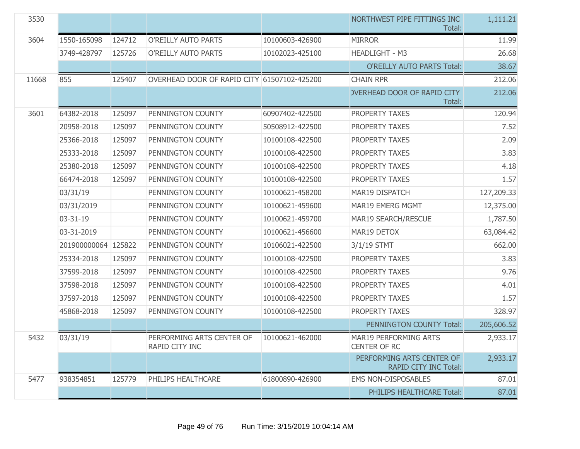| 3530  |                     |        |                                             |                 | NORTHWEST PIPE FITTINGS INC<br>Total:               | 1,111.21   |
|-------|---------------------|--------|---------------------------------------------|-----------------|-----------------------------------------------------|------------|
| 3604  | 1550-165098         | 124712 | <b>O'REILLY AUTO PARTS</b>                  | 10100603-426900 | <b>MIRROR</b>                                       | 11.99      |
|       | 3749-428797         | 125726 | <b>O'REILLY AUTO PARTS</b>                  | 10102023-425100 | HEADLIGHT - M3                                      | 26.68      |
|       |                     |        |                                             |                 | <b>O'REILLY AUTO PARTS Total:</b>                   | 38.67      |
| 11668 | 855                 | 125407 | OVERHEAD DOOR OF RAPID CITY 61507102-425200 |                 | <b>CHAIN RPR</b>                                    | 212.06     |
|       |                     |        |                                             |                 | <b>OVERHEAD DOOR OF RAPID CITY</b><br>Total:        | 212.06     |
| 3601  | 64382-2018          | 125097 | PENNINGTON COUNTY                           | 60907402-422500 | PROPERTY TAXES                                      | 120.94     |
|       | 20958-2018          | 125097 | PENNINGTON COUNTY                           | 50508912-422500 | PROPERTY TAXES                                      | 7.52       |
|       | 25366-2018          | 125097 | PENNINGTON COUNTY                           | 10100108-422500 | PROPERTY TAXES                                      | 2.09       |
|       | 25333-2018          | 125097 | PENNINGTON COUNTY                           | 10100108-422500 | PROPERTY TAXES                                      | 3.83       |
|       | 25380-2018          | 125097 | PENNINGTON COUNTY                           | 10100108-422500 | PROPERTY TAXES                                      | 4.18       |
|       | 66474-2018          | 125097 | PENNINGTON COUNTY                           | 10100108-422500 | PROPERTY TAXES                                      | 1.57       |
|       | 03/31/19            |        | PENNINGTON COUNTY                           | 10100621-458200 | MAR19 DISPATCH                                      | 127,209.33 |
|       | 03/31/2019          |        | PENNINGTON COUNTY                           | 10100621-459600 | <b>MAR19 EMERG MGMT</b>                             | 12,375.00  |
|       | 03-31-19            |        | PENNINGTON COUNTY                           | 10100621-459700 | MAR19 SEARCH/RESCUE                                 | 1,787.50   |
|       | 03-31-2019          |        | PENNINGTON COUNTY                           | 10100621-456600 | MAR19 DETOX                                         | 63,084.42  |
|       | 201900000064 125822 |        | PENNINGTON COUNTY                           | 10106021-422500 | 3/1/19 STMT                                         | 662.00     |
|       | 25334-2018          | 125097 | PENNINGTON COUNTY                           | 10100108-422500 | PROPERTY TAXES                                      | 3.83       |
|       | 37599-2018          | 125097 | PENNINGTON COUNTY                           | 10100108-422500 | PROPERTY TAXES                                      | 9.76       |
|       | 37598-2018          | 125097 | PENNINGTON COUNTY                           | 10100108-422500 | PROPERTY TAXES                                      | 4.01       |
|       | 37597-2018          | 125097 | PENNINGTON COUNTY                           | 10100108-422500 | PROPERTY TAXES                                      | 1.57       |
|       | 45868-2018          | 125097 | PENNINGTON COUNTY                           | 10100108-422500 | PROPERTY TAXES                                      | 328.97     |
|       |                     |        |                                             |                 | PENNINGTON COUNTY Total:                            | 205,606.52 |
| 5432  | 03/31/19            |        | PERFORMING ARTS CENTER OF<br>RAPID CITY INC | 10100621-462000 | <b>MAR19 PERFORMING ARTS</b><br><b>CENTER OF RC</b> | 2,933.17   |
|       |                     |        |                                             |                 | PERFORMING ARTS CENTER OF<br>RAPID CITY INC Total:  | 2,933.17   |
| 5477  | 938354851           | 125779 | PHILIPS HEALTHCARE                          | 61800890-426900 | <b>EMS NON-DISPOSABLES</b>                          | 87.01      |
|       |                     |        |                                             |                 | PHILIPS HEALTHCARE Total:                           | 87.01      |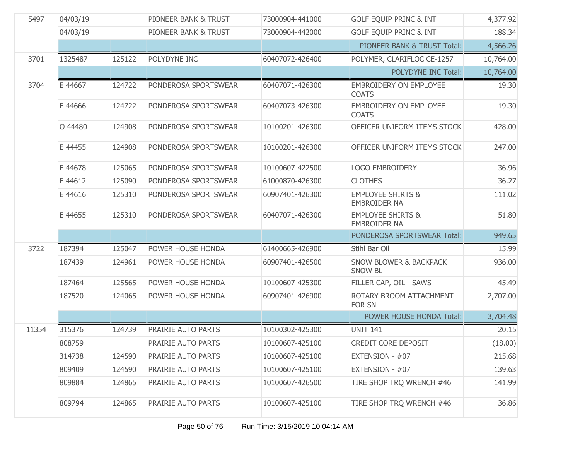| 5497  | 04/03/19 |        | PIONEER BANK & TRUST | 73000904-441000 | <b>GOLF EQUIP PRINC &amp; INT</b>                   | 4,377.92  |
|-------|----------|--------|----------------------|-----------------|-----------------------------------------------------|-----------|
|       | 04/03/19 |        | PIONEER BANK & TRUST | 73000904-442000 | <b>GOLF EQUIP PRINC &amp; INT</b>                   | 188.34    |
|       |          |        |                      |                 | PIONEER BANK & TRUST Total:                         | 4,566.26  |
| 3701  | 1325487  | 125122 | POLYDYNE INC         | 60407072-426400 | POLYMER, CLARIFLOC CE-1257                          | 10,764.00 |
|       |          |        |                      |                 | POLYDYNE INC Total:                                 | 10,764.00 |
| 3704  | E 44667  | 124722 | PONDEROSA SPORTSWEAR | 60407071-426300 | <b>EMBROIDERY ON EMPLOYEE</b><br><b>COATS</b>       | 19.30     |
|       | E 44666  | 124722 | PONDEROSA SPORTSWEAR | 60407073-426300 | <b>EMBROIDERY ON EMPLOYEE</b><br><b>COATS</b>       | 19.30     |
|       | O 44480  | 124908 | PONDEROSA SPORTSWEAR | 10100201-426300 | OFFICER UNIFORM ITEMS STOCK                         | 428.00    |
|       | E 44455  | 124908 | PONDEROSA SPORTSWEAR | 10100201-426300 | OFFICER UNIFORM ITEMS STOCK                         | 247.00    |
|       | E 44678  | 125065 | PONDEROSA SPORTSWEAR | 10100607-422500 | <b>LOGO EMBROIDERY</b>                              | 36.96     |
|       | E 44612  | 125090 | PONDEROSA SPORTSWEAR | 61000870-426300 | <b>CLOTHES</b>                                      | 36.27     |
|       | E 44616  | 125310 | PONDEROSA SPORTSWEAR | 60907401-426300 | <b>EMPLOYEE SHIRTS &amp;</b><br><b>EMBROIDER NA</b> | 111.02    |
|       | E 44655  | 125310 | PONDEROSA SPORTSWEAR | 60407071-426300 | <b>EMPLOYEE SHIRTS &amp;</b><br><b>EMBROIDER NA</b> | 51.80     |
|       |          |        |                      |                 | PONDEROSA SPORTSWEAR Total:                         | 949.65    |
| 3722  | 187394   | 125047 | POWER HOUSE HONDA    | 61400665-426900 | Stihl Bar Oil                                       | 15.99     |
|       | 187439   | 124961 | POWER HOUSE HONDA    | 60907401-426500 | <b>SNOW BLOWER &amp; BACKPACK</b><br><b>SNOW BL</b> | 936.00    |
|       | 187464   | 125565 | POWER HOUSE HONDA    | 10100607-425300 | FILLER CAP, OIL - SAWS                              | 45.49     |
|       | 187520   | 124065 | POWER HOUSE HONDA    | 60907401-426900 | ROTARY BROOM ATTACHMENT<br><b>FOR SN</b>            | 2,707.00  |
|       |          |        |                      |                 | POWER HOUSE HONDA Total:                            | 3,704.48  |
| 11354 | 315376   | 124739 | PRAIRIE AUTO PARTS   | 10100302-425300 | <b>UNIT 141</b>                                     | 20.15     |
|       | 808759   |        | PRAIRIE AUTO PARTS   | 10100607-425100 | CREDIT CORE DEPOSIT                                 | (18.00)   |
|       | 314738   | 124590 | PRAIRIE AUTO PARTS   | 10100607-425100 | EXTENSION - #07                                     | 215.68    |
|       | 809409   | 124590 | PRAIRIE AUTO PARTS   | 10100607-425100 | EXTENSION - #07                                     | 139.63    |
|       | 809884   | 124865 | PRAIRIE AUTO PARTS   | 10100607-426500 | TIRE SHOP TRQ WRENCH #46                            | 141.99    |
|       | 809794   | 124865 | PRAIRIE AUTO PARTS   | 10100607-425100 | TIRE SHOP TRQ WRENCH #46                            | 36.86     |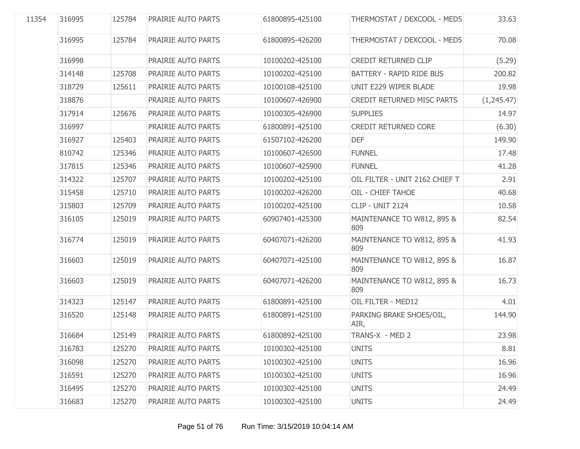| 11354 | 316995 | 125784 | PRAIRIE AUTO PARTS | 61800895-425100 | THERMOSTAT / DEXCOOL - MED5       | 33.63      |
|-------|--------|--------|--------------------|-----------------|-----------------------------------|------------|
|       | 316995 | 125784 | PRAIRIE AUTO PARTS | 61800895-426200 | THERMOSTAT / DEXCOOL - MED5       | 70.08      |
|       | 316998 |        | PRAIRIE AUTO PARTS | 10100202-425100 | CREDIT RETURNED CLIP              | (5.29)     |
|       | 314148 | 125708 | PRAIRIE AUTO PARTS | 10100202-425100 | <b>BATTERY - RAPID RIDE BUS</b>   | 200.82     |
|       | 318729 | 125611 | PRAIRIE AUTO PARTS | 10100108-425100 | UNIT E229 WIPER BLADE             | 19.98      |
|       | 318876 |        | PRAIRIE AUTO PARTS | 10100607-426900 | <b>CREDIT RETURNED MISC PARTS</b> | (1,245.47) |
|       | 317914 | 125676 | PRAIRIE AUTO PARTS | 10100305-426900 | <b>SUPPLIES</b>                   | 14.97      |
|       | 316997 |        | PRAIRIE AUTO PARTS | 61800891-425100 | <b>CREDIT RETURNED CORE</b>       | (6.30)     |
|       | 316927 | 125403 | PRAIRIE AUTO PARTS | 61507102-426200 | <b>DEF</b>                        | 149.90     |
|       | 810742 | 125346 | PRAIRIE AUTO PARTS | 10100607-426500 | <b>FUNNEL</b>                     | 17.48      |
|       | 317815 | 125346 | PRAIRIE AUTO PARTS | 10100607-425900 | <b>FUNNEL</b>                     | 41.28      |
|       | 314322 | 125707 | PRAIRIE AUTO PARTS | 10100202-425100 | OIL FILTER - UNIT 2162 CHIEF T    | 2.91       |
|       | 315458 | 125710 | PRAIRIE AUTO PARTS | 10100202-426200 | OIL - CHIEF TAHOE                 | 40.68      |
|       | 315803 | 125709 | PRAIRIE AUTO PARTS | 10100202-425100 | <b>CLIP - UNIT 2124</b>           | 10.58      |
|       | 316105 | 125019 | PRAIRIE AUTO PARTS | 60907401-425300 | MAINTENANCE TO W812, 895 &<br>809 | 82.54      |
|       | 316774 | 125019 | PRAIRIE AUTO PARTS | 60407071-426200 | MAINTENANCE TO W812, 895 &<br>809 | 41.93      |
|       | 316603 | 125019 | PRAIRIE AUTO PARTS | 60407071-425100 | MAINTENANCE TO W812, 895 &<br>809 | 16.87      |
|       | 316603 | 125019 | PRAIRIE AUTO PARTS | 60407071-426200 | MAINTENANCE TO W812, 895 &<br>809 | 16.73      |
|       | 314323 | 125147 | PRAIRIE AUTO PARTS | 61800891-425100 | OIL FILTER - MED12                | 4.01       |
|       | 316520 | 125148 | PRAIRIE AUTO PARTS | 61800891-425100 | PARKING BRAKE SHOES/OIL,<br>AIR,  | 144.90     |
|       | 316684 | 125149 | PRAIRIE AUTO PARTS | 61800892-425100 | TRANS-X - MED 2                   | 23.98      |
|       | 316783 | 125270 | PRAIRIE AUTO PARTS | 10100302-425100 | <b>UNITS</b>                      | 8.81       |
|       | 316098 | 125270 | PRAIRIE AUTO PARTS | 10100302-425100 | <b>UNITS</b>                      | 16.96      |
|       | 316591 | 125270 | PRAIRIE AUTO PARTS | 10100302-425100 | <b>UNITS</b>                      | 16.96      |
|       | 316495 | 125270 | PRAIRIE AUTO PARTS | 10100302-425100 | <b>UNITS</b>                      | 24.49      |
|       | 316683 | 125270 | PRAIRIE AUTO PARTS | 10100302-425100 | <b>UNITS</b>                      | 24.49      |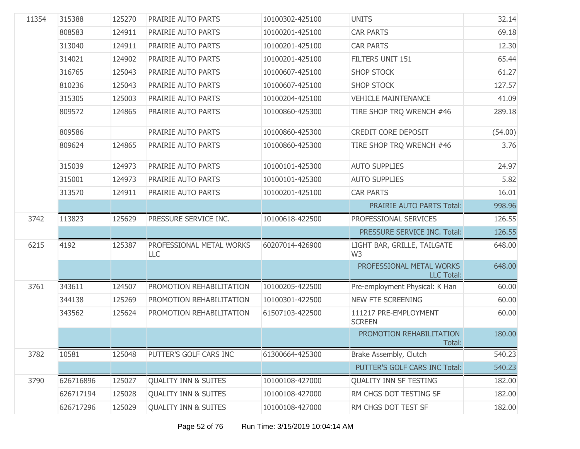| 11354 | 315388    | 125270 | PRAIRIE AUTO PARTS              | 10100302-425100 | <b>UNITS</b>                                  | 32.14   |
|-------|-----------|--------|---------------------------------|-----------------|-----------------------------------------------|---------|
|       | 808583    | 124911 | PRAIRIE AUTO PARTS              | 10100201-425100 | <b>CAR PARTS</b>                              | 69.18   |
|       | 313040    | 124911 | PRAIRIE AUTO PARTS              | 10100201-425100 | <b>CAR PARTS</b>                              | 12.30   |
|       | 314021    | 124902 | PRAIRIE AUTO PARTS              | 10100201-425100 | FILTERS UNIT 151                              | 65.44   |
|       | 316765    | 125043 | PRAIRIE AUTO PARTS              | 10100607-425100 | <b>SHOP STOCK</b>                             | 61.27   |
|       | 810236    | 125043 | PRAIRIE AUTO PARTS              | 10100607-425100 | <b>SHOP STOCK</b>                             | 127.57  |
|       | 315305    | 125003 | PRAIRIE AUTO PARTS              | 10100204-425100 | <b>VEHICLE MAINTENANCE</b>                    | 41.09   |
|       | 809572    | 124865 | PRAIRIE AUTO PARTS              | 10100860-425300 | TIRE SHOP TRQ WRENCH #46                      | 289.18  |
|       | 809586    |        | PRAIRIE AUTO PARTS              | 10100860-425300 | <b>CREDIT CORE DEPOSIT</b>                    | (54.00) |
|       | 809624    | 124865 | PRAIRIE AUTO PARTS              | 10100860-425300 | TIRE SHOP TRQ WRENCH #46                      | 3.76    |
|       | 315039    | 124973 | PRAIRIE AUTO PARTS              | 10100101-425300 | <b>AUTO SUPPLIES</b>                          | 24.97   |
|       | 315001    | 124973 | PRAIRIE AUTO PARTS              | 10100101-425300 | <b>AUTO SUPPLIES</b>                          | 5.82    |
|       | 313570    | 124911 | PRAIRIE AUTO PARTS              | 10100201-425100 | <b>CAR PARTS</b>                              | 16.01   |
|       |           |        |                                 |                 | PRAIRIE AUTO PARTS Total:                     | 998.96  |
| 3742  | 113823    | 125629 | PRESSURE SERVICE INC.           | 10100618-422500 | PROFESSIONAL SERVICES                         | 126.55  |
|       |           |        |                                 |                 | PRESSURE SERVICE INC. Total:                  | 126.55  |
| 6215  | 4192      | 125387 | PROFESSIONAL METAL WORKS<br>LLC | 60207014-426900 | LIGHT BAR, GRILLE, TAILGATE<br>W <sub>3</sub> | 648.00  |
|       |           |        |                                 |                 | PROFESSIONAL METAL WORKS<br><b>LLC Total:</b> | 648.00  |
| 3761  | 343611    | 124507 | PROMOTION REHABILITATION        | 10100205-422500 | Pre-employment Physical: K Han                | 60.00   |
|       | 344138    | 125269 | PROMOTION REHABILITATION        | 10100301-422500 | <b>NEW FTE SCREENING</b>                      | 60.00   |
|       | 343562    | 125624 | PROMOTION REHABILITATION        | 61507103-422500 | 111217 PRE-EMPLOYMENT<br><b>SCREEN</b>        | 60.00   |
|       |           |        |                                 |                 | PROMOTION REHABILITATION<br>Total:            | 180.00  |
| 3782  | 10581     | 125048 | PUTTER'S GOLF CARS INC          | 61300664-425300 | Brake Assembly, Clutch                        | 540.23  |
|       |           |        |                                 |                 | PUTTER'S GOLF CARS INC Total:                 | 540.23  |
| 3790  | 626716896 | 125027 | <b>QUALITY INN &amp; SUITES</b> | 10100108-427000 | <b>QUALITY INN SF TESTING</b>                 | 182.00  |
|       | 626717194 | 125028 | <b>QUALITY INN &amp; SUITES</b> | 10100108-427000 | RM CHGS DOT TESTING SF                        | 182.00  |
|       | 626717296 | 125029 | <b>QUALITY INN &amp; SUITES</b> | 10100108-427000 | RM CHGS DOT TEST SF                           | 182.00  |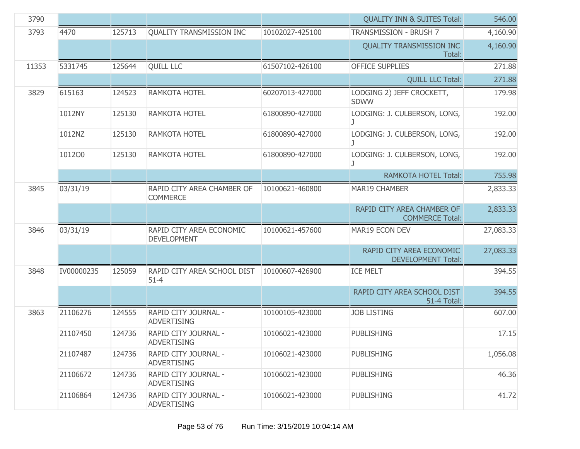| 3790  |            |        |                                                |                 | <b>QUALITY INN &amp; SUITES Total:</b>                | 546.00    |
|-------|------------|--------|------------------------------------------------|-----------------|-------------------------------------------------------|-----------|
| 3793  | 4470       | 125713 | QUALITY TRANSMISSION INC                       | 10102027-425100 | TRANSMISSION - BRUSH 7                                | 4,160.90  |
|       |            |        |                                                |                 | <b>QUALITY TRANSMISSION INC</b><br>Total:             | 4,160.90  |
| 11353 | 5331745    | 125644 | <b>QUILL LLC</b>                               | 61507102-426100 | <b>OFFICE SUPPLIES</b>                                | 271.88    |
|       |            |        |                                                |                 | <b>QUILL LLC Total:</b>                               | 271.88    |
| 3829  | 615163     | 124523 | RAMKOTA HOTEL                                  | 60207013-427000 | LODGING 2) JEFF CROCKETT,<br><b>SDWW</b>              | 179.98    |
|       | 1012NY     | 125130 | RAMKOTA HOTEL                                  | 61800890-427000 | LODGING: J. CULBERSON, LONG,<br>J                     | 192.00    |
|       | 1012NZ     | 125130 | <b>RAMKOTA HOTEL</b>                           | 61800890-427000 | LODGING: J. CULBERSON, LONG,                          | 192.00    |
|       | 101200     | 125130 | <b>RAMKOTA HOTEL</b>                           | 61800890-427000 | LODGING: J. CULBERSON, LONG,<br>J                     | 192.00    |
|       |            |        |                                                |                 | <b>RAMKOTA HOTEL Total:</b>                           | 755.98    |
| 3845  | 03/31/19   |        | RAPID CITY AREA CHAMBER OF<br><b>COMMERCE</b>  | 10100621-460800 | <b>MAR19 CHAMBER</b>                                  | 2,833.33  |
|       |            |        |                                                |                 | RAPID CITY AREA CHAMBER OF<br><b>COMMERCE Total:</b>  | 2,833.33  |
| 3846  | 03/31/19   |        | RAPID CITY AREA ECONOMIC<br><b>DEVELOPMENT</b> | 10100621-457600 | MAR19 ECON DEV                                        | 27,083.33 |
|       |            |        |                                                |                 | RAPID CITY AREA ECONOMIC<br><b>DEVELOPMENT Total:</b> | 27,083.33 |
| 3848  | IV00000235 | 125059 | RAPID CITY AREA SCHOOL DIST<br>$51 - 4$        | 10100607-426900 | <b>ICE MELT</b>                                       | 394.55    |
|       |            |        |                                                |                 | RAPID CITY AREA SCHOOL DIST<br>51-4 Total:            | 394.55    |
| 3863  | 21106276   | 124555 | RAPID CITY JOURNAL -<br><b>ADVERTISING</b>     | 10100105-423000 | <b>JOB LISTING</b>                                    | 607.00    |
|       | 21107450   | 124736 | RAPID CITY JOURNAL -<br>ADVERTISING            | 10106021-423000 | <b>PUBLISHING</b>                                     | 17.15     |
|       | 21107487   | 124736 | RAPID CITY JOURNAL -<br><b>ADVERTISING</b>     | 10106021-423000 | <b>PUBLISHING</b>                                     | 1,056.08  |
|       | 21106672   | 124736 | RAPID CITY JOURNAL -<br><b>ADVERTISING</b>     | 10106021-423000 | <b>PUBLISHING</b>                                     | 46.36     |
|       | 21106864   | 124736 | RAPID CITY JOURNAL -<br><b>ADVERTISING</b>     | 10106021-423000 | <b>PUBLISHING</b>                                     | 41.72     |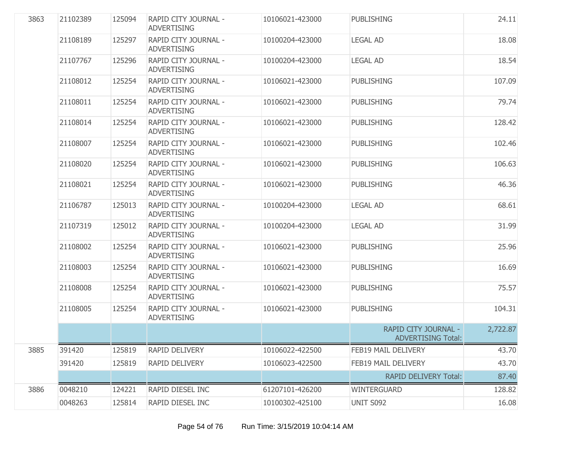| 3863 | 21102389 | 125094 | RAPID CITY JOURNAL -<br><b>ADVERTISING</b> | 10106021-423000 | <b>PUBLISHING</b>                                 | 24.11    |
|------|----------|--------|--------------------------------------------|-----------------|---------------------------------------------------|----------|
|      | 21108189 | 125297 | RAPID CITY JOURNAL -<br><b>ADVERTISING</b> | 10100204-423000 | <b>LEGAL AD</b>                                   | 18.08    |
|      | 21107767 | 125296 | RAPID CITY JOURNAL -<br><b>ADVERTISING</b> | 10100204-423000 | <b>LEGAL AD</b>                                   | 18.54    |
|      | 21108012 | 125254 | RAPID CITY JOURNAL -<br><b>ADVERTISING</b> | 10106021-423000 | <b>PUBLISHING</b>                                 | 107.09   |
|      | 21108011 | 125254 | RAPID CITY JOURNAL -<br><b>ADVERTISING</b> | 10106021-423000 | <b>PUBLISHING</b>                                 | 79.74    |
|      | 21108014 | 125254 | RAPID CITY JOURNAL -<br><b>ADVERTISING</b> | 10106021-423000 | <b>PUBLISHING</b>                                 | 128.42   |
|      | 21108007 | 125254 | RAPID CITY JOURNAL -<br><b>ADVERTISING</b> | 10106021-423000 | <b>PUBLISHING</b>                                 | 102.46   |
|      | 21108020 | 125254 | RAPID CITY JOURNAL -<br><b>ADVERTISING</b> | 10106021-423000 | <b>PUBLISHING</b>                                 | 106.63   |
|      | 21108021 | 125254 | RAPID CITY JOURNAL -<br><b>ADVERTISING</b> | 10106021-423000 | <b>PUBLISHING</b>                                 | 46.36    |
|      | 21106787 | 125013 | RAPID CITY JOURNAL -<br><b>ADVERTISING</b> | 10100204-423000 | <b>LEGAL AD</b>                                   | 68.61    |
|      | 21107319 | 125012 | RAPID CITY JOURNAL -<br><b>ADVERTISING</b> | 10100204-423000 | <b>LEGAL AD</b>                                   | 31.99    |
|      | 21108002 | 125254 | RAPID CITY JOURNAL -<br><b>ADVERTISING</b> | 10106021-423000 | <b>PUBLISHING</b>                                 | 25.96    |
|      | 21108003 | 125254 | RAPID CITY JOURNAL -<br><b>ADVERTISING</b> | 10106021-423000 | <b>PUBLISHING</b>                                 | 16.69    |
|      | 21108008 | 125254 | RAPID CITY JOURNAL -<br><b>ADVERTISING</b> | 10106021-423000 | <b>PUBLISHING</b>                                 | 75.57    |
|      | 21108005 | 125254 | RAPID CITY JOURNAL -<br><b>ADVERTISING</b> | 10106021-423000 | <b>PUBLISHING</b>                                 | 104.31   |
|      |          |        |                                            |                 | RAPID CITY JOURNAL -<br><b>ADVERTISING Total:</b> | 2,722.87 |
| 3885 | 391420   | 125819 | RAPID DELIVERY                             | 10106022-422500 | FEB19 MAIL DELIVERY                               | 43.70    |
|      | 391420   | 125819 | RAPID DELIVERY                             | 10106023-422500 | FEB19 MAIL DELIVERY                               | 43.70    |
|      |          |        |                                            |                 | <b>RAPID DELIVERY Total:</b>                      | 87.40    |
| 3886 | 0048210  | 124221 | RAPID DIESEL INC                           | 61207101-426200 | <b>WINTERGUARD</b>                                | 128.82   |
|      | 0048263  | 125814 | RAPID DIESEL INC                           | 10100302-425100 | UNIT S092                                         | 16.08    |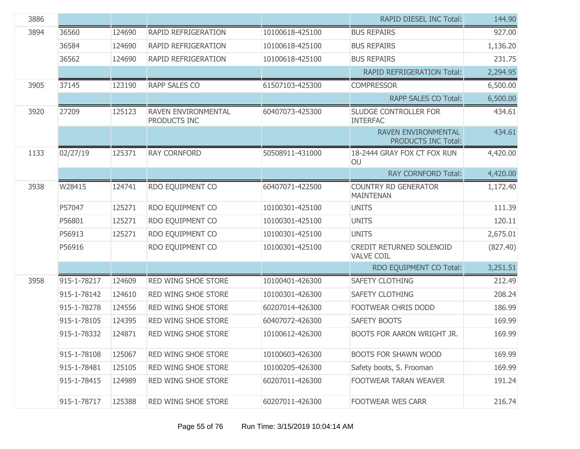| 3886 |             |        |                                     |                 | <b>RAPID DIESEL INC Total:</b>                           | 144.90   |
|------|-------------|--------|-------------------------------------|-----------------|----------------------------------------------------------|----------|
| 3894 | 36560       | 124690 | RAPID REFRIGERATION                 | 10100618-425100 | <b>BUS REPAIRS</b>                                       | 927.00   |
|      | 36584       | 124690 | RAPID REFRIGERATION                 | 10100618-425100 | <b>BUS REPAIRS</b>                                       | 1,136.20 |
|      | 36562       | 124690 | RAPID REFRIGERATION                 | 10100618-425100 | <b>BUS REPAIRS</b>                                       | 231.75   |
|      |             |        |                                     |                 | <b>RAPID REFRIGERATION Total:</b>                        | 2,294.95 |
| 3905 | 37145       | 123190 | <b>RAPP SALES CO</b>                | 61507103-425300 | <b>COMPRESSOR</b>                                        | 6,500.00 |
|      |             |        |                                     |                 | <b>RAPP SALES CO Total:</b>                              | 6,500.00 |
| 3920 | 27209       | 125123 | RAVEN ENVIRONMENTAL<br>PRODUCTS INC | 60407073-425300 | SLUDGE CONTROLLER FOR<br><b>INTERFAC</b>                 | 434.61   |
|      |             |        |                                     |                 | <b>RAVEN ENVIRONMENTAL</b><br><b>PRODUCTS INC Total:</b> | 434.61   |
| 1133 | 02/27/19    | 125371 | <b>RAY CORNFORD</b>                 | 50508911-431000 | 18-2444 GRAY FOX CT FOX RUN<br>OU                        | 4,420.00 |
|      |             |        |                                     |                 | <b>RAY CORNFORD Total:</b>                               | 4,420.00 |
| 3938 | W28415      | 124741 | RDO EQUIPMENT CO                    | 60407071-422500 | <b>COUNTRY RD GENERATOR</b><br><b>MAINTENAN</b>          | 1,172.40 |
|      | P57047      | 125271 | RDO EQUIPMENT CO                    | 10100301-425100 | <b>UNITS</b>                                             | 111.39   |
|      | P56801      | 125271 | RDO EQUIPMENT CO                    | 10100301-425100 | <b>UNITS</b>                                             | 120.11   |
|      | P56913      | 125271 | RDO EQUIPMENT CO                    | 10100301-425100 | <b>UNITS</b>                                             | 2,675.01 |
|      | P56916      |        | RDO EQUIPMENT CO                    | 10100301-425100 | CREDIT RETURNED SOLENOID<br><b>VALVE COIL</b>            | (827.40) |
|      |             |        |                                     |                 | RDO EQUIPMENT CO Total:                                  | 3,251.51 |
| 3958 | 915-1-78217 | 124609 | <b>RED WING SHOE STORE</b>          | 10100401-426300 | <b>SAFETY CLOTHING</b>                                   | 212.49   |
|      | 915-1-78142 | 124610 | <b>RED WING SHOE STORE</b>          | 10100301-426300 | SAFETY CLOTHING                                          | 208.24   |
|      | 915-1-78278 | 124556 | <b>RED WING SHOE STORE</b>          | 60207014-426300 | FOOTWEAR CHRIS DODD                                      | 186.99   |
|      | 915-1-78105 | 124395 | <b>RED WING SHOE STORE</b>          | 60407072-426300 | SAFETY BOOTS                                             | 169.99   |
|      | 915-1-78332 | 124871 | RED WING SHOE STORE                 | 10100612-426300 | BOOTS FOR AARON WRIGHT JR.                               | 169.99   |
|      | 915-1-78108 | 125067 | RED WING SHOE STORE                 | 10100603-426300 | <b>BOOTS FOR SHAWN WOOD</b>                              | 169.99   |
|      | 915-1-78481 | 125105 | RED WING SHOE STORE                 | 10100205-426300 | Safety boots, S. Frooman                                 | 169.99   |
|      | 915-1-78415 | 124989 | RED WING SHOE STORE                 | 60207011-426300 | FOOTWEAR TARAN WEAVER                                    | 191.24   |
|      | 915-1-78717 | 125388 | RED WING SHOE STORE                 | 60207011-426300 | FOOTWEAR WES CARR                                        | 216.74   |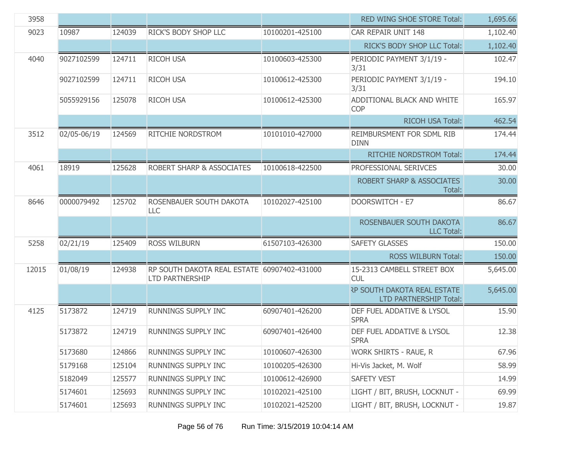| 3958  |             |        |                                                                       |                 | RED WING SHOE STORE Total:                                          | 1,695.66 |
|-------|-------------|--------|-----------------------------------------------------------------------|-----------------|---------------------------------------------------------------------|----------|
| 9023  | 10987       | 124039 | RICK'S BODY SHOP LLC                                                  | 10100201-425100 | CAR REPAIR UNIT 148                                                 | 1,102.40 |
|       |             |        |                                                                       |                 | RICK'S BODY SHOP LLC Total:                                         | 1,102.40 |
| 4040  | 9027102599  | 124711 | <b>RICOH USA</b>                                                      | 10100603-425300 | PERIODIC PAYMENT 3/1/19 -<br>3/31                                   | 102.47   |
|       | 9027102599  | 124711 | <b>RICOH USA</b>                                                      | 10100612-425300 | PERIODIC PAYMENT 3/1/19 -<br>3/31                                   | 194.10   |
|       | 5055929156  | 125078 | <b>RICOH USA</b>                                                      | 10100612-425300 | ADDITIONAL BLACK AND WHITE<br><b>COP</b>                            | 165.97   |
|       |             |        |                                                                       |                 | <b>RICOH USA Total:</b>                                             | 462.54   |
| 3512  | 02/05-06/19 | 124569 | RITCHIE NORDSTROM                                                     | 10101010-427000 | REIMBURSMENT FOR SDML RIB<br><b>DINN</b>                            | 174.44   |
|       |             |        |                                                                       |                 | <b>RITCHIE NORDSTROM Total:</b>                                     | 174.44   |
| 4061  | 18919       | 125628 | ROBERT SHARP & ASSOCIATES                                             | 10100618-422500 | PROFESSIONAL SERIVCES                                               | 30.00    |
|       |             |        |                                                                       |                 | <b>ROBERT SHARP &amp; ASSOCIATES</b><br>Total:                      | 30.00    |
| 8646  | 0000079492  | 125702 | ROSENBAUER SOUTH DAKOTA<br>LLC                                        | 10102027-425100 | <b>DOORSWITCH - E7</b>                                              | 86.67    |
|       |             |        |                                                                       |                 | ROSENBAUER SOUTH DAKOTA<br><b>LLC Total:</b>                        | 86.67    |
| 5258  | 02/21/19    | 125409 | <b>ROSS WILBURN</b>                                                   | 61507103-426300 | <b>SAFETY GLASSES</b>                                               | 150.00   |
|       |             |        |                                                                       |                 | <b>ROSS WILBURN Total:</b>                                          | 150.00   |
| 12015 | 01/08/19    | 124938 | RP SOUTH DAKOTA REAL ESTATE 60907402-431000<br><b>LTD PARTNERSHIP</b> |                 | 15-2313 CAMBELL STREET BOX<br><b>CUL</b>                            | 5,645.00 |
|       |             |        |                                                                       |                 | <b>RP SOUTH DAKOTA REAL ESTATE</b><br><b>LTD PARTNERSHIP Total:</b> | 5,645.00 |
| 4125  | 5173872     | 124719 | RUNNINGS SUPPLY INC                                                   | 60907401-426200 | DEF FUEL ADDATIVE & LYSOL<br><b>SPRA</b>                            | 15.90    |
|       | 5173872     | 124719 | <b>RUNNINGS SUPPLY INC</b>                                            | 60907401-426400 | DEF FUEL ADDATIVE & LYSOL<br><b>SPRA</b>                            | 12.38    |
|       | 5173680     | 124866 | RUNNINGS SUPPLY INC                                                   | 10100607-426300 | WORK SHIRTS - RAUE, R                                               | 67.96    |
|       | 5179168     | 125104 | RUNNINGS SUPPLY INC                                                   | 10100205-426300 | Hi-Vis Jacket, M. Wolf                                              | 58.99    |
|       | 5182049     | 125577 | RUNNINGS SUPPLY INC                                                   | 10100612-426900 | <b>SAFETY VEST</b>                                                  | 14.99    |
|       | 5174601     | 125693 | RUNNINGS SUPPLY INC                                                   | 10102021-425100 | LIGHT / BIT, BRUSH, LOCKNUT -                                       | 69.99    |
|       | 5174601     | 125693 | RUNNINGS SUPPLY INC                                                   | 10102021-425200 | LIGHT / BIT, BRUSH, LOCKNUT -                                       | 19.87    |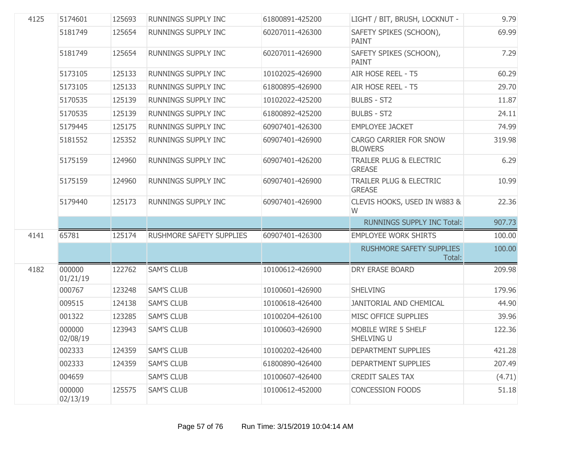| 4125 | 5174601            | 125693 | RUNNINGS SUPPLY INC        | 61800891-425200 | LIGHT / BIT, BRUSH, LOCKNUT -                       | 9.79   |
|------|--------------------|--------|----------------------------|-----------------|-----------------------------------------------------|--------|
|      | 5181749            | 125654 | RUNNINGS SUPPLY INC        | 60207011-426300 | SAFETY SPIKES (SCHOON),<br><b>PAINT</b>             | 69.99  |
|      | 5181749            | 125654 | RUNNINGS SUPPLY INC        | 60207011-426900 | SAFETY SPIKES (SCHOON),<br><b>PAINT</b>             | 7.29   |
|      | 5173105            | 125133 | RUNNINGS SUPPLY INC        | 10102025-426900 | AIR HOSE REEL - T5                                  | 60.29  |
|      | 5173105            | 125133 | RUNNINGS SUPPLY INC        | 61800895-426900 | AIR HOSE REEL - T5                                  | 29.70  |
|      | 5170535            | 125139 | RUNNINGS SUPPLY INC        | 10102022-425200 | <b>BULBS - ST2</b>                                  | 11.87  |
|      | 5170535            | 125139 | RUNNINGS SUPPLY INC        | 61800892-425200 | <b>BULBS - ST2</b>                                  | 24.11  |
|      | 5179445            | 125175 | RUNNINGS SUPPLY INC        | 60907401-426300 | <b>EMPLOYEE JACKET</b>                              | 74.99  |
|      | 5181552            | 125352 | RUNNINGS SUPPLY INC        | 60907401-426900 | CARGO CARRIER FOR SNOW<br><b>BLOWERS</b>            | 319.98 |
|      | 5175159            | 124960 | <b>RUNNINGS SUPPLY INC</b> | 60907401-426200 | <b>TRAILER PLUG &amp; ELECTRIC</b><br><b>GREASE</b> | 6.29   |
|      | 5175159            | 124960 | <b>RUNNINGS SUPPLY INC</b> | 60907401-426900 | <b>TRAILER PLUG &amp; ELECTRIC</b><br><b>GREASE</b> | 10.99  |
|      | 5179440            | 125173 | RUNNINGS SUPPLY INC        | 60907401-426900 | CLEVIS HOOKS, USED IN W883 &<br>W                   | 22.36  |
|      |                    |        |                            |                 | <b>RUNNINGS SUPPLY INC Total:</b>                   | 907.73 |
| 4141 | 65781              | 125174 | RUSHMORE SAFETY SUPPLIES   | 60907401-426300 | <b>EMPLOYEE WORK SHIRTS</b>                         | 100.00 |
|      |                    |        |                            |                 | <b>RUSHMORE SAFETY SUPPLIES</b><br>Total:           | 100.00 |
| 4182 | 000000<br>01/21/19 | 122762 | <b>SAM'S CLUB</b>          | 10100612-426900 | DRY ERASE BOARD                                     | 209.98 |
|      | 000767             | 123248 | <b>SAM'S CLUB</b>          | 10100601-426900 | <b>SHELVING</b>                                     | 179.96 |
|      | 009515             | 124138 | <b>SAM'S CLUB</b>          | 10100618-426400 | JANITORIAL AND CHEMICAL                             | 44.90  |
|      | 001322             | 123285 | <b>SAM'S CLUB</b>          | 10100204-426100 | MISC OFFICE SUPPLIES                                | 39.96  |
|      | 000000<br>02/08/19 | 123943 | <b>SAM'S CLUB</b>          | 10100603-426900 | MOBILE WIRE 5 SHELF<br>SHELVING U                   | 122.36 |
|      | 002333             | 124359 | <b>SAM'S CLUB</b>          | 10100202-426400 | DEPARTMENT SUPPLIES                                 | 421.28 |
|      | 002333             | 124359 | <b>SAM'S CLUB</b>          | 61800890-426400 | DEPARTMENT SUPPLIES                                 | 207.49 |
|      | 004659             |        | <b>SAM'S CLUB</b>          | 10100607-426400 | <b>CREDIT SALES TAX</b>                             | (4.71) |
|      | 000000<br>02/13/19 | 125575 | <b>SAM'S CLUB</b>          | 10100612-452000 | CONCESSION FOODS                                    | 51.18  |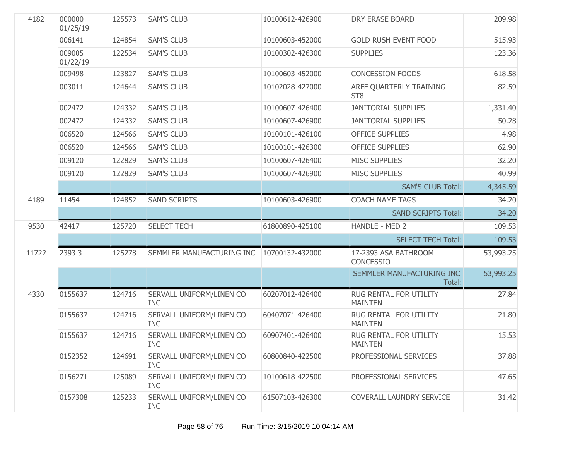| 4182  | 000000<br>01/25/19 | 125573 | <b>SAM'S CLUB</b>                      | 10100612-426900 | <b>DRY ERASE BOARD</b>                       | 209.98    |
|-------|--------------------|--------|----------------------------------------|-----------------|----------------------------------------------|-----------|
|       | 006141             | 124854 | <b>SAM'S CLUB</b>                      | 10100603-452000 | <b>GOLD RUSH EVENT FOOD</b>                  | 515.93    |
|       | 009005<br>01/22/19 | 122534 | <b>SAM'S CLUB</b>                      | 10100302-426300 | <b>SUPPLIES</b>                              | 123.36    |
|       | 009498             | 123827 | <b>SAM'S CLUB</b>                      | 10100603-452000 | <b>CONCESSION FOODS</b>                      | 618.58    |
|       | 003011             | 124644 | <b>SAM'S CLUB</b>                      | 10102028-427000 | ARFF QUARTERLY TRAINING -<br>ST <sub>8</sub> | 82.59     |
|       | 002472             | 124332 | <b>SAM'S CLUB</b>                      | 10100607-426400 | <b>JANITORIAL SUPPLIES</b>                   | 1,331.40  |
|       | 002472             | 124332 | <b>SAM'S CLUB</b>                      | 10100607-426900 | <b>JANITORIAL SUPPLIES</b>                   | 50.28     |
|       | 006520             | 124566 | <b>SAM'S CLUB</b>                      | 10100101-426100 | <b>OFFICE SUPPLIES</b>                       | 4.98      |
|       | 006520             | 124566 | <b>SAM'S CLUB</b>                      | 10100101-426300 | <b>OFFICE SUPPLIES</b>                       | 62.90     |
|       | 009120             | 122829 | <b>SAM'S CLUB</b>                      | 10100607-426400 | <b>MISC SUPPLIES</b>                         | 32.20     |
|       | 009120             | 122829 | <b>SAM'S CLUB</b>                      | 10100607-426900 | <b>MISC SUPPLIES</b>                         | 40.99     |
|       |                    |        |                                        |                 | <b>SAM'S CLUB Total:</b>                     | 4,345.59  |
| 4189  | 11454              | 124852 | <b>SAND SCRIPTS</b>                    | 10100603-426900 | <b>COACH NAME TAGS</b>                       | 34.20     |
|       |                    |        |                                        |                 | <b>SAND SCRIPTS Total:</b>                   | 34.20     |
| 9530  | 42417              | 125720 | <b>SELECT TECH</b>                     | 61800890-425100 | HANDLE - MED 2                               | 109.53    |
|       |                    |        |                                        |                 | <b>SELECT TECH Total:</b>                    | 109.53    |
| 11722 | 23933              | 125278 | SEMMLER MANUFACTURING INC              | 10700132-432000 | 17-2393 ASA BATHROOM<br><b>CONCESSIO</b>     | 53,993.25 |
|       |                    |        |                                        |                 | SEMMLER MANUFACTURING INC<br>Total:          | 53,993.25 |
| 4330  | 0155637            | 124716 | SERVALL UNIFORM/LINEN CO<br><b>INC</b> | 60207012-426400 | RUG RENTAL FOR UTILITY<br><b>MAINTEN</b>     | 27.84     |
|       | 0155637            | 124716 | SERVALL UNIFORM/LINEN CO<br><b>INC</b> | 60407071-426400 | RUG RENTAL FOR UTILITY<br><b>MAINTEN</b>     | 21.80     |
|       | 0155637            | 124716 | SERVALL UNIFORM/LINEN CO<br><b>INC</b> | 60907401-426400 | RUG RENTAL FOR UTILITY<br><b>MAINTEN</b>     | 15.53     |
|       | 0152352            | 124691 | SERVALL UNIFORM/LINEN CO<br><b>INC</b> | 60800840-422500 | PROFESSIONAL SERVICES                        | 37.88     |
|       | 0156271            | 125089 | SERVALL UNIFORM/LINEN CO<br><b>INC</b> | 10100618-422500 | PROFESSIONAL SERVICES                        | 47.65     |
|       | 0157308            | 125233 | SERVALL UNIFORM/LINEN CO<br><b>INC</b> | 61507103-426300 | COVERALL LAUNDRY SERVICE                     | 31.42     |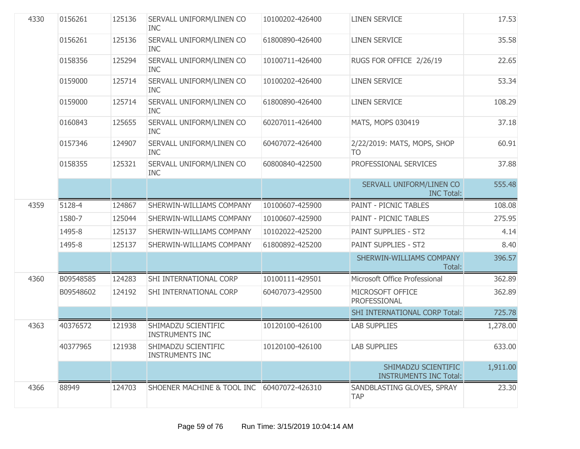| 4330 | 0156261   | 125136 | SERVALL UNIFORM/LINEN CO<br><b>INC</b>        | 10100202-426400 | <b>LINEN SERVICE</b>                                 | 17.53    |
|------|-----------|--------|-----------------------------------------------|-----------------|------------------------------------------------------|----------|
|      | 0156261   | 125136 | SERVALL UNIFORM/LINEN CO<br><b>INC</b>        | 61800890-426400 | <b>LINEN SERVICE</b>                                 | 35.58    |
|      | 0158356   | 125294 | SERVALL UNIFORM/LINEN CO<br><b>INC</b>        | 10100711-426400 | RUGS FOR OFFICE 2/26/19                              | 22.65    |
|      | 0159000   | 125714 | SERVALL UNIFORM/LINEN CO<br><b>INC</b>        | 10100202-426400 | <b>LINEN SERVICE</b>                                 | 53.34    |
|      | 0159000   | 125714 | SERVALL UNIFORM/LINEN CO<br><b>INC</b>        | 61800890-426400 | <b>LINEN SERVICE</b>                                 | 108.29   |
|      | 0160843   | 125655 | SERVALL UNIFORM/LINEN CO<br><b>INC</b>        | 60207011-426400 | MATS, MOPS 030419                                    | 37.18    |
|      | 0157346   | 124907 | SERVALL UNIFORM/LINEN CO<br><b>INC</b>        | 60407072-426400 | 2/22/2019: MATS, MOPS, SHOP<br>TO                    | 60.91    |
|      | 0158355   | 125321 | SERVALL UNIFORM/LINEN CO<br><b>INC</b>        | 60800840-422500 | PROFESSIONAL SERVICES                                | 37.88    |
|      |           |        |                                               |                 | SERVALL UNIFORM/LINEN CO<br><b>INC Total:</b>        | 555.48   |
| 4359 | 5128-4    | 124867 | SHERWIN-WILLIAMS COMPANY                      | 10100607-425900 | PAINT - PICNIC TABLES                                | 108.08   |
|      | 1580-7    | 125044 | SHERWIN-WILLIAMS COMPANY                      | 10100607-425900 | <b>PAINT - PICNIC TABLES</b>                         | 275.95   |
|      | 1495-8    | 125137 | SHERWIN-WILLIAMS COMPANY                      | 10102022-425200 | PAINT SUPPLIES - ST2                                 | 4.14     |
|      | 1495-8    | 125137 | SHERWIN-WILLIAMS COMPANY                      | 61800892-425200 | PAINT SUPPLIES - ST2                                 | 8.40     |
|      |           |        |                                               |                 | SHERWIN-WILLIAMS COMPANY<br>Total:                   | 396.57   |
| 4360 | B09548585 | 124283 | SHI INTERNATIONAL CORP                        | 10100111-429501 | Microsoft Office Professional                        | 362.89   |
|      | B09548602 | 124192 | SHI INTERNATIONAL CORP                        | 60407073-429500 | MICROSOFT OFFICE<br>PROFESSIONAL                     | 362.89   |
|      |           |        |                                               |                 | <b>SHI INTERNATIONAL CORP Total:</b>                 | 725.78   |
| 4363 | 40376572  | 121938 | SHIMADZU SCIENTIFIC<br><b>INSTRUMENTS INC</b> | 10120100-426100 | <b>LAB SUPPLIES</b>                                  | 1,278.00 |
|      | 40377965  | 121938 | SHIMADZU SCIENTIFIC<br><b>INSTRUMENTS INC</b> | 10120100-426100 | <b>LAB SUPPLIES</b>                                  | 633.00   |
|      |           |        |                                               |                 | SHIMADZU SCIENTIFIC<br><b>INSTRUMENTS INC Total:</b> | 1,911.00 |
| 4366 | 88949     | 124703 | SHOENER MACHINE & TOOL INC                    | 60407072-426310 | SANDBLASTING GLOVES, SPRAY<br><b>TAP</b>             | 23.30    |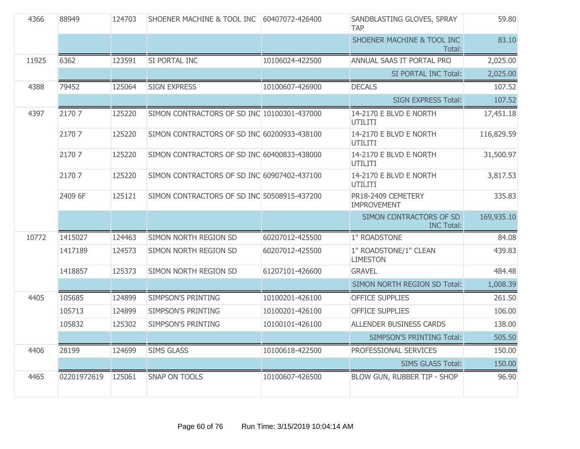| 4366  | 88949       | 124703 | <b>SHOENER MACHINE &amp; TOOL INC</b>       | 60407072-426400 | SANDBLASTING GLOVES, SPRAY<br><b>TAP</b>     | 59.80      |
|-------|-------------|--------|---------------------------------------------|-----------------|----------------------------------------------|------------|
|       |             |        |                                             |                 | SHOENER MACHINE & TOOL INC<br>Total:         | 83.10      |
| 11925 | 6362        | 123591 | SI PORTAL INC                               | 10106024-422500 | ANNUAL SAAS IT PORTAL PRO                    | 2,025.00   |
|       |             |        |                                             |                 | SI PORTAL INC Total:                         | 2,025.00   |
| 4388  | 79452       | 125064 | <b>SIGN EXPRESS</b>                         | 10100607-426900 | <b>DECALS</b>                                | 107.52     |
|       |             |        |                                             |                 | <b>SIGN EXPRESS Total:</b>                   | 107.52     |
| 4397  | 2170 7      | 125220 | SIMON CONTRACTORS OF SD INC 10100301-437000 |                 | 14-2170 E BLVD E NORTH<br>UTILITI            | 17,451.18  |
|       | 2170 7      | 125220 | SIMON CONTRACTORS OF SD INC 60200933-438100 |                 | 14-2170 E BLVD E NORTH<br>UTILITI            | 116,829.59 |
|       | 2170 7      | 125220 | SIMON CONTRACTORS OF SD INC 60400833-438000 |                 | 14-2170 E BLVD E NORTH<br>UTILITI            | 31,500.97  |
|       | 2170 7      | 125220 | SIMON CONTRACTORS OF SD INC 60907402-437100 |                 | 14-2170 E BLVD E NORTH<br>UTILITI            | 3,817.53   |
|       | 2409 6F     | 125121 | SIMON CONTRACTORS OF SD INC 50508915-437200 |                 | PR18-2409 CEMETERY<br><b>IMPROVEMENT</b>     | 335.83     |
|       |             |        |                                             |                 | SIMON CONTRACTORS OF SD<br><b>INC Total:</b> | 169,935.10 |
| 10772 | 1415027     | 124463 | SIMON NORTH REGION SD                       | 60207012-425500 | 1" ROADSTONE                                 | 84.08      |
|       | 1417189     | 124573 | SIMON NORTH REGION SD                       | 60207012-425500 | 1" ROADSTONE/1" CLEAN<br><b>LIMESTON</b>     | 439.83     |
|       | 1418857     | 125373 | SIMON NORTH REGION SD                       | 61207101-426600 | <b>GRAVEL</b>                                | 484.48     |
|       |             |        |                                             |                 | SIMON NORTH REGION SD Total:                 | 1,008.39   |
| 4405  | 105685      | 124899 | <b>SIMPSON'S PRINTING</b>                   | 10100201-426100 | <b>OFFICE SUPPLIES</b>                       | 261.50     |
|       | 105713      | 124899 | <b>SIMPSON'S PRINTING</b>                   | 10100201-426100 | <b>OFFICE SUPPLIES</b>                       | 106.00     |
|       | 105832      | 125302 | <b>SIMPSON'S PRINTING</b>                   | 10100101-426100 | ALLENDER BUSINESS CARDS                      | 138.00     |
|       |             |        |                                             |                 | <b>SIMPSON'S PRINTING Total:</b>             | 505.50     |
| 4406  | 28199       | 124699 | <b>SIMS GLASS</b>                           | 10100618-422500 | PROFESSIONAL SERVICES                        | 150.00     |
|       |             |        |                                             |                 | <b>SIMS GLASS Total:</b>                     | 150.00     |
| 4465  | 02201972619 | 125061 | <b>SNAP ON TOOLS</b>                        | 10100607-426500 | BLOW GUN, RUBBER TIP - SHOP                  | 96.90      |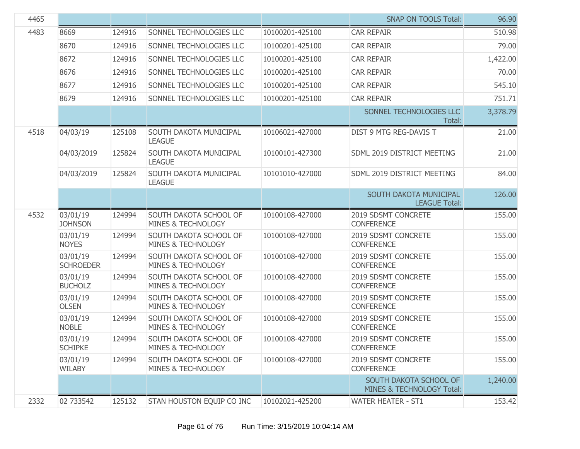| 4465 |                              |        |                                                         |                 | <b>SNAP ON TOOLS Total:</b>                         | 96.90    |
|------|------------------------------|--------|---------------------------------------------------------|-----------------|-----------------------------------------------------|----------|
| 4483 | 8669                         | 124916 | SONNEL TECHNOLOGIES LLC                                 | 10100201-425100 | <b>CAR REPAIR</b>                                   | 510.98   |
|      | 8670                         | 124916 | SONNEL TECHNOLOGIES LLC                                 | 10100201-425100 | <b>CAR REPAIR</b>                                   | 79.00    |
|      | 8672                         | 124916 | SONNEL TECHNOLOGIES LLC                                 | 10100201-425100 | <b>CAR REPAIR</b>                                   | 1,422.00 |
|      | 8676                         | 124916 | SONNEL TECHNOLOGIES LLC                                 | 10100201-425100 | <b>CAR REPAIR</b>                                   | 70.00    |
|      | 8677                         | 124916 | SONNEL TECHNOLOGIES LLC                                 | 10100201-425100 | <b>CAR REPAIR</b>                                   | 545.10   |
|      | 8679                         | 124916 | SONNEL TECHNOLOGIES LLC                                 | 10100201-425100 | <b>CAR REPAIR</b>                                   | 751.71   |
|      |                              |        |                                                         |                 | SONNEL TECHNOLOGIES LLC<br>Total:                   | 3,378.79 |
| 4518 | 04/03/19                     | 125108 | SOUTH DAKOTA MUNICIPAL<br><b>LEAGUE</b>                 | 10106021-427000 | DIST 9 MTG REG-DAVIS T                              | 21.00    |
|      | 04/03/2019                   | 125824 | SOUTH DAKOTA MUNICIPAL<br><b>LEAGUE</b>                 | 10100101-427300 | SDML 2019 DISTRICT MEETING                          | 21.00    |
|      | 04/03/2019                   | 125824 | SOUTH DAKOTA MUNICIPAL<br><b>LEAGUE</b>                 | 10101010-427000 | SDML 2019 DISTRICT MEETING                          | 84.00    |
|      |                              |        |                                                         |                 | SOUTH DAKOTA MUNICIPAL<br><b>LEAGUE Total:</b>      | 126.00   |
| 4532 | 03/01/19<br><b>JOHNSON</b>   | 124994 | SOUTH DAKOTA SCHOOL OF<br>MINES & TECHNOLOGY            | 10100108-427000 | 2019 SDSMT CONCRETE<br><b>CONFERENCE</b>            | 155.00   |
|      | 03/01/19<br><b>NOYES</b>     | 124994 | SOUTH DAKOTA SCHOOL OF<br>MINES & TECHNOLOGY            | 10100108-427000 | 2019 SDSMT CONCRETE<br><b>CONFERENCE</b>            | 155.00   |
|      | 03/01/19<br><b>SCHROEDER</b> | 124994 | SOUTH DAKOTA SCHOOL OF<br><b>MINES &amp; TECHNOLOGY</b> | 10100108-427000 | 2019 SDSMT CONCRETE<br><b>CONFERENCE</b>            | 155.00   |
|      | 03/01/19<br><b>BUCHOLZ</b>   | 124994 | SOUTH DAKOTA SCHOOL OF<br>MINES & TECHNOLOGY            | 10100108-427000 | 2019 SDSMT CONCRETE<br><b>CONFERENCE</b>            | 155.00   |
|      | 03/01/19<br><b>OLSEN</b>     | 124994 | SOUTH DAKOTA SCHOOL OF<br><b>MINES &amp; TECHNOLOGY</b> | 10100108-427000 | 2019 SDSMT CONCRETE<br><b>CONFERENCE</b>            | 155.00   |
|      | 03/01/19<br><b>NOBLE</b>     | 124994 | SOUTH DAKOTA SCHOOL OF<br><b>MINES &amp; TECHNOLOGY</b> | 10100108-427000 | 2019 SDSMT CONCRETE<br><b>CONFERENCE</b>            | 155.00   |
|      | 03/01/19<br><b>SCHIPKE</b>   | 124994 | SOUTH DAKOTA SCHOOL OF<br>MINES & TECHNOLOGY            | 10100108-427000 | 2019 SDSMT CONCRETE<br><b>CONFERENCE</b>            | 155.00   |
|      | 03/01/19<br><b>WILABY</b>    | 124994 | SOUTH DAKOTA SCHOOL OF<br><b>MINES &amp; TECHNOLOGY</b> | 10100108-427000 | 2019 SDSMT CONCRETE<br><b>CONFERENCE</b>            | 155.00   |
|      |                              |        |                                                         |                 | SOUTH DAKOTA SCHOOL OF<br>MINES & TECHNOLOGY Total: | 1,240.00 |
| 2332 | 02 733542                    | 125132 | STAN HOUSTON EQUIP CO INC                               | 10102021-425200 | <b>WATER HEATER - ST1</b>                           | 153.42   |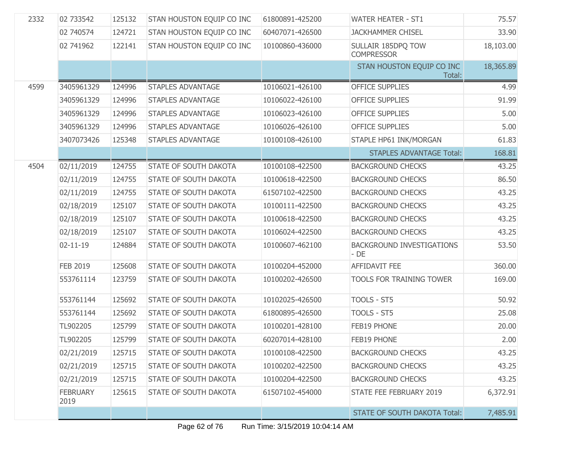| 2332 | 02 733542               | 125132 | STAN HOUSTON EQUIP CO INC    | 61800891-425200 | <b>WATER HEATER - ST1</b>                  | 75.57     |
|------|-------------------------|--------|------------------------------|-----------------|--------------------------------------------|-----------|
|      | 02 740574               | 124721 | STAN HOUSTON EQUIP CO INC    | 60407071-426500 | <b>JACKHAMMER CHISEL</b>                   | 33.90     |
|      | 02 741962               | 122141 | STAN HOUSTON EQUIP CO INC    | 10100860-436000 | SULLAIR 185DPQ TOW<br><b>COMPRESSOR</b>    | 18,103.00 |
|      |                         |        |                              |                 | STAN HOUSTON EQUIP CO INC<br>Total:        | 18,365.89 |
| 4599 | 3405961329              | 124996 | <b>STAPLES ADVANTAGE</b>     | 10106021-426100 | <b>OFFICE SUPPLIES</b>                     | 4.99      |
|      | 3405961329              | 124996 | <b>STAPLES ADVANTAGE</b>     | 10106022-426100 | <b>OFFICE SUPPLIES</b>                     | 91.99     |
|      | 3405961329              | 124996 | <b>STAPLES ADVANTAGE</b>     | 10106023-426100 | <b>OFFICE SUPPLIES</b>                     | 5.00      |
|      | 3405961329              | 124996 | <b>STAPLES ADVANTAGE</b>     | 10106026-426100 | <b>OFFICE SUPPLIES</b>                     | 5.00      |
|      | 3407073426              | 125348 | <b>STAPLES ADVANTAGE</b>     | 10100108-426100 | STAPLE HP61 INK/MORGAN                     | 61.83     |
|      |                         |        |                              |                 | <b>STAPLES ADVANTAGE Total:</b>            | 168.81    |
| 4504 | 02/11/2019              | 124755 | <b>STATE OF SOUTH DAKOTA</b> | 10100108-422500 | <b>BACKGROUND CHECKS</b>                   | 43.25     |
|      | 02/11/2019              | 124755 | STATE OF SOUTH DAKOTA        | 10100618-422500 | <b>BACKGROUND CHECKS</b>                   | 86.50     |
|      | 02/11/2019              | 124755 | STATE OF SOUTH DAKOTA        | 61507102-422500 | <b>BACKGROUND CHECKS</b>                   | 43.25     |
|      | 02/18/2019              | 125107 | STATE OF SOUTH DAKOTA        | 10100111-422500 | <b>BACKGROUND CHECKS</b>                   | 43.25     |
|      | 02/18/2019              | 125107 | STATE OF SOUTH DAKOTA        | 10100618-422500 | <b>BACKGROUND CHECKS</b>                   | 43.25     |
|      | 02/18/2019              | 125107 | STATE OF SOUTH DAKOTA        | 10106024-422500 | <b>BACKGROUND CHECKS</b>                   | 43.25     |
|      | $02 - 11 - 19$          | 124884 | STATE OF SOUTH DAKOTA        | 10100607-462100 | <b>BACKGROUND INVESTIGATIONS</b><br>$-$ DE | 53.50     |
|      | FEB 2019                | 125608 | STATE OF SOUTH DAKOTA        | 10100204-452000 | AFFIDAVIT FEE                              | 360.00    |
|      | 553761114               | 123759 | STATE OF SOUTH DAKOTA        | 10100202-426500 | TOOLS FOR TRAINING TOWER                   | 169.00    |
|      | 553761144               | 125692 | STATE OF SOUTH DAKOTA        | 10102025-426500 | TOOLS - ST5                                | 50.92     |
|      | 553761144               | 125692 | STATE OF SOUTH DAKOTA        | 61800895-426500 | TOOLS - ST5                                | 25.08     |
|      | TL902205                | 125799 | STATE OF SOUTH DAKOTA        | 10100201-428100 | FEB19 PHONE                                | 20.00     |
|      | TL902205                | 125799 | STATE OF SOUTH DAKOTA        | 60207014-428100 | FEB19 PHONE                                | 2.00      |
|      | 02/21/2019              | 125715 | <b>STATE OF SOUTH DAKOTA</b> | 10100108-422500 | <b>BACKGROUND CHECKS</b>                   | 43.25     |
|      | 02/21/2019              | 125715 | <b>STATE OF SOUTH DAKOTA</b> | 10100202-422500 | <b>BACKGROUND CHECKS</b>                   | 43.25     |
|      | 02/21/2019              | 125715 | <b>STATE OF SOUTH DAKOTA</b> | 10100204-422500 | <b>BACKGROUND CHECKS</b>                   | 43.25     |
|      | <b>FEBRUARY</b><br>2019 | 125615 | <b>STATE OF SOUTH DAKOTA</b> | 61507102-454000 | STATE FEE FEBRUARY 2019                    | 6,372.91  |
|      |                         |        |                              |                 | <b>STATE OF SOUTH DAKOTA Total:</b>        | 7,485.91  |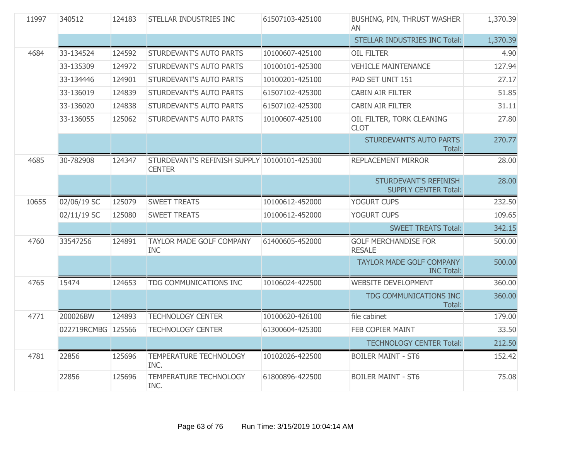| 11997<br>340512 |                    | 124183 | STELLAR INDUSTRIES INC                                        | 61507103-425100 | BUSHING, PIN, THRUST WASHER<br>AN                    | 1,370.39 |
|-----------------|--------------------|--------|---------------------------------------------------------------|-----------------|------------------------------------------------------|----------|
|                 |                    |        |                                                               |                 | STELLAR INDUSTRIES INC Total:                        | 1,370.39 |
| 4684            | 33-134524          | 124592 | STURDEVANT'S AUTO PARTS                                       | 10100607-425100 | <b>OIL FILTER</b>                                    | 4.90     |
|                 | 33-135309          | 124972 | <b>STURDEVANT'S AUTO PARTS</b>                                | 10100101-425300 | <b>VEHICLE MAINTENANCE</b>                           | 127.94   |
|                 | 33-134446          | 124901 | <b>STURDEVANT'S AUTO PARTS</b>                                | 10100201-425100 | PAD SET UNIT 151                                     | 27.17    |
|                 | 33-136019          | 124839 | STURDEVANT'S AUTO PARTS                                       | 61507102-425300 | <b>CABIN AIR FILTER</b>                              | 51.85    |
|                 | 33-136020          | 124838 | <b>STURDEVANT'S AUTO PARTS</b>                                | 61507102-425300 | <b>CABIN AIR FILTER</b>                              | 31.11    |
|                 | 33-136055          | 125062 | STURDEVANT'S AUTO PARTS                                       | 10100607-425100 | OIL FILTER, TORK CLEANING<br><b>CLOT</b>             | 27.80    |
|                 |                    |        |                                                               |                 | STURDEVANT'S AUTO PARTS<br>Total:                    | 270.77   |
| 4685            | 30-782908          | 124347 | STURDEVANT'S REFINISH SUPPLY 10100101-425300<br><b>CENTER</b> |                 | REPLACEMENT MIRROR                                   | 28.00    |
|                 |                    |        |                                                               |                 | STURDEVANT'S REFINISH<br><b>SUPPLY CENTER Total:</b> | 28.00    |
| 10655           | 02/06/19 SC        | 125079 | <b>SWEET TREATS</b>                                           | 10100612-452000 | YOGURT CUPS                                          | 232.50   |
|                 | 02/11/19 SC        | 125080 | <b>SWEET TREATS</b>                                           | 10100612-452000 | YOGURT CUPS                                          | 109.65   |
|                 |                    |        |                                                               |                 | <b>SWEET TREATS Total:</b>                           | 342.15   |
| 4760            | 33547256           | 124891 | <b>TAYLOR MADE GOLF COMPANY</b><br><b>INC</b>                 | 61400605-452000 | <b>GOLF MERCHANDISE FOR</b><br><b>RESALE</b>         | 500.00   |
|                 |                    |        |                                                               |                 | TAYLOR MADE GOLF COMPANY<br><b>INC Total:</b>        | 500.00   |
| 4765            | 15474              | 124653 | TDG COMMUNICATIONS INC                                        | 10106024-422500 | <b>WEBSITE DEVELOPMENT</b>                           | 360.00   |
|                 |                    |        |                                                               |                 | TDG COMMUNICATIONS INC<br>Total:                     | 360.00   |
| 4771            | 200026BW           | 124893 | <b>TECHNOLOGY CENTER</b>                                      | 10100620-426100 | file cabinet                                         | 179.00   |
|                 | 022719RCMBG 125566 |        | <b>TECHNOLOGY CENTER</b>                                      | 61300604-425300 | FEB COPIER MAINT                                     | 33.50    |
|                 |                    |        |                                                               |                 | <b>TECHNOLOGY CENTER Total:</b>                      | 212.50   |
| 4781            | 22856              | 125696 | <b>TEMPERATURE TECHNOLOGY</b><br>INC.                         | 10102026-422500 | <b>BOILER MAINT - ST6</b>                            | 152.42   |
|                 | 22856              | 125696 | TEMPERATURE TECHNOLOGY<br>INC.                                | 61800896-422500 | <b>BOILER MAINT - ST6</b>                            | 75.08    |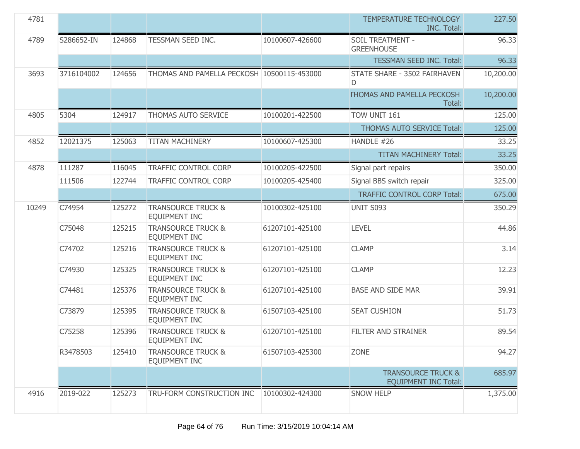| 4781  |            |        |                                                       |                 | <b>TEMPERATURE TECHNOLOGY</b><br><b>INC. Total:</b>          | 227.50    |
|-------|------------|--------|-------------------------------------------------------|-----------------|--------------------------------------------------------------|-----------|
| 4789  | S286652-IN | 124868 | TESSMAN SEED INC.                                     | 10100607-426600 | SOIL TREATMENT -<br><b>GREENHOUSE</b>                        | 96.33     |
|       |            |        |                                                       |                 | <b>TESSMAN SEED INC. Total:</b>                              | 96.33     |
| 3693  | 3716104002 | 124656 | THOMAS AND PAMELLA PECKOSH 10500115-453000            |                 | STATE SHARE - 3502 FAIRHAVEN<br>D                            | 10,200.00 |
|       |            |        |                                                       |                 | <b><i>FHOMAS AND PAMELLA PECKOSH</i></b><br>Total:           | 10,200.00 |
| 4805  | 5304       | 124917 | THOMAS AUTO SERVICE                                   | 10100201-422500 | TOW UNIT 161                                                 | 125.00    |
|       |            |        |                                                       |                 | <b>THOMAS AUTO SERVICE Total:</b>                            | 125.00    |
| 4852  | 12021375   | 125063 | <b>TITAN MACHINERY</b>                                | 10100607-425300 | HANDLE #26                                                   | 33.25     |
|       |            |        |                                                       |                 | <b>TITAN MACHINERY Total:</b>                                | 33.25     |
| 4878  | 111287     | 116045 | <b>TRAFFIC CONTROL CORP</b>                           | 10100205-422500 | Signal part repairs                                          | 350.00    |
|       | 111506     | 122744 | <b>TRAFFIC CONTROL CORP</b>                           | 10100205-425400 | Signal BBS switch repair                                     | 325.00    |
|       |            |        |                                                       |                 | <b>TRAFFIC CONTROL CORP Total:</b>                           | 675.00    |
| 10249 | C74954     | 125272 | <b>TRANSOURCE TRUCK &amp;</b><br><b>EQUIPMENT INC</b> | 10100302-425100 | <b>UNIT S093</b>                                             | 350.29    |
|       | C75048     | 125215 | <b>TRANSOURCE TRUCK &amp;</b><br><b>EQUIPMENT INC</b> | 61207101-425100 | <b>LEVEL</b>                                                 | 44.86     |
|       | C74702     | 125216 | <b>TRANSOURCE TRUCK &amp;</b><br>EQUIPMENT INC        | 61207101-425100 | <b>CLAMP</b>                                                 | 3.14      |
|       | C74930     | 125325 | <b>TRANSOURCE TRUCK &amp;</b><br><b>EQUIPMENT INC</b> | 61207101-425100 | <b>CLAMP</b>                                                 | 12.23     |
|       | C74481     | 125376 | <b>TRANSOURCE TRUCK &amp;</b><br><b>EQUIPMENT INC</b> | 61207101-425100 | <b>BASE AND SIDE MAR</b>                                     | 39.91     |
|       | C73879     | 125395 | <b>TRANSOURCE TRUCK &amp;</b><br><b>EQUIPMENT INC</b> | 61507103-425100 | <b>SEAT CUSHION</b>                                          | 51.73     |
|       | C75258     | 125396 | <b>TRANSOURCE TRUCK &amp;</b><br>EQUIPMENT INC        | 61207101-425100 | <b>FILTER AND STRAINER</b>                                   | 89.54     |
|       | R3478503   | 125410 | <b>TRANSOURCE TRUCK &amp;</b><br><b>EQUIPMENT INC</b> | 61507103-425300 | <b>ZONE</b>                                                  | 94.27     |
|       |            |        |                                                       |                 | <b>TRANSOURCE TRUCK &amp;</b><br><b>EQUIPMENT INC Total:</b> | 685.97    |
| 4916  | 2019-022   | 125273 | TRU-FORM CONSTRUCTION INC                             | 10100302-424300 | <b>SNOW HELP</b>                                             | 1,375.00  |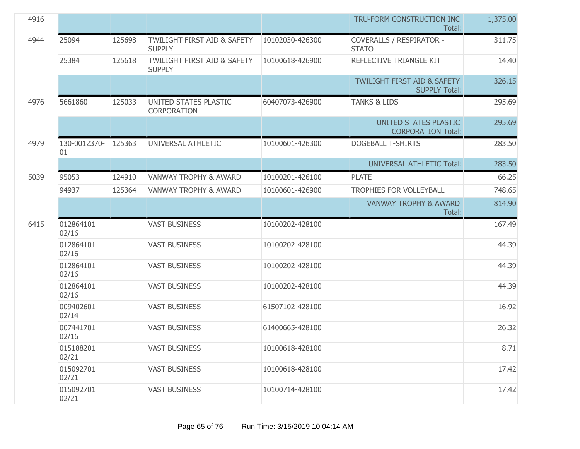| 4916 |                    |        |                                                         |                 | TRU-FORM CONSTRUCTION INC<br>Total:                            | 1,375.00 |
|------|--------------------|--------|---------------------------------------------------------|-----------------|----------------------------------------------------------------|----------|
| 4944 | 25094              | 125698 | TWILIGHT FIRST AID & SAFETY<br><b>SUPPLY</b>            | 10102030-426300 | <b>COVERALLS / RESPIRATOR -</b><br><b>STATO</b>                | 311.75   |
|      | 25384              | 125618 | <b>TWILIGHT FIRST AID &amp; SAFETY</b><br><b>SUPPLY</b> | 10100618-426900 | REFLECTIVE TRIANGLE KIT                                        | 14.40    |
|      |                    |        |                                                         |                 | <b>TWILIGHT FIRST AID &amp; SAFETY</b><br><b>SUPPLY Total:</b> | 326.15   |
| 4976 | 5661860            | 125033 | UNITED STATES PLASTIC<br>CORPORATION                    | 60407073-426900 | <b>TANKS &amp; LIDS</b>                                        | 295.69   |
|      |                    |        |                                                         |                 | UNITED STATES PLASTIC<br><b>CORPORATION Total:</b>             | 295.69   |
| 4979 | 130-0012370-<br>01 | 125363 | UNIVERSAL ATHLETIC                                      | 10100601-426300 | <b>DOGEBALL T-SHIRTS</b>                                       | 283.50   |
|      |                    |        |                                                         |                 | <b>UNIVERSAL ATHLETIC Total:</b>                               | 283.50   |
| 5039 | 95053              | 124910 | <b>VANWAY TROPHY &amp; AWARD</b>                        | 10100201-426100 | <b>PLATE</b>                                                   | 66.25    |
|      | 94937              | 125364 | <b>VANWAY TROPHY &amp; AWARD</b>                        | 10100601-426900 | TROPHIES FOR VOLLEYBALL                                        | 748.65   |
|      |                    |        |                                                         |                 | <b>VANWAY TROPHY &amp; AWARD</b><br>Total:                     | 814.90   |
| 6415 | 012864101<br>02/16 |        | <b>VAST BUSINESS</b>                                    | 10100202-428100 |                                                                | 167.49   |
|      | 012864101<br>02/16 |        | <b>VAST BUSINESS</b>                                    | 10100202-428100 |                                                                | 44.39    |
|      | 012864101<br>02/16 |        | <b>VAST BUSINESS</b>                                    | 10100202-428100 |                                                                | 44.39    |
|      | 012864101<br>02/16 |        | <b>VAST BUSINESS</b>                                    | 10100202-428100 |                                                                | 44.39    |
|      | 009402601<br>02/14 |        | <b>VAST BUSINESS</b>                                    | 61507102-428100 |                                                                | 16.92    |
|      | 007441701<br>02/16 |        | <b>VAST BUSINESS</b>                                    | 61400665-428100 |                                                                | 26.32    |
|      | 015188201<br>02/21 |        | <b>VAST BUSINESS</b>                                    | 10100618-428100 |                                                                | 8.71     |
|      | 015092701<br>02/21 |        | <b>VAST BUSINESS</b>                                    | 10100618-428100 |                                                                | 17.42    |
|      | 015092701<br>02/21 |        | <b>VAST BUSINESS</b>                                    | 10100714-428100 |                                                                | 17.42    |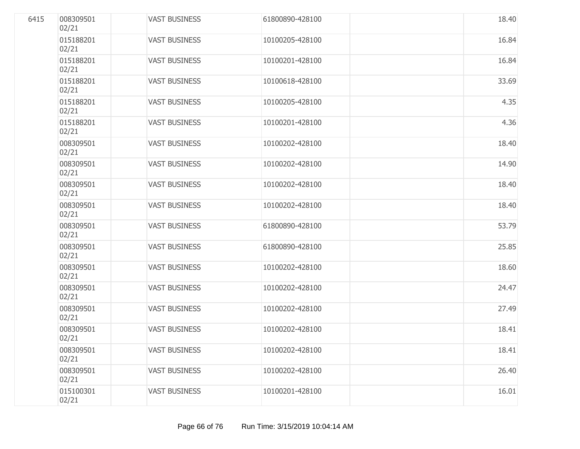| 6415 | 008309501<br>02/21 | <b>VAST BUSINESS</b> | 61800890-428100 | 18.40 |
|------|--------------------|----------------------|-----------------|-------|
|      | 015188201<br>02/21 | <b>VAST BUSINESS</b> | 10100205-428100 | 16.84 |
|      | 015188201<br>02/21 | <b>VAST BUSINESS</b> | 10100201-428100 | 16.84 |
|      | 015188201<br>02/21 | <b>VAST BUSINESS</b> | 10100618-428100 | 33.69 |
|      | 015188201<br>02/21 | <b>VAST BUSINESS</b> | 10100205-428100 | 4.35  |
|      | 015188201<br>02/21 | <b>VAST BUSINESS</b> | 10100201-428100 | 4.36  |
|      | 008309501<br>02/21 | <b>VAST BUSINESS</b> | 10100202-428100 | 18.40 |
|      | 008309501<br>02/21 | <b>VAST BUSINESS</b> | 10100202-428100 | 14.90 |
|      | 008309501<br>02/21 | <b>VAST BUSINESS</b> | 10100202-428100 | 18.40 |
|      | 008309501<br>02/21 | <b>VAST BUSINESS</b> | 10100202-428100 | 18.40 |
|      | 008309501<br>02/21 | <b>VAST BUSINESS</b> | 61800890-428100 | 53.79 |
|      | 008309501<br>02/21 | <b>VAST BUSINESS</b> | 61800890-428100 | 25.85 |
|      | 008309501<br>02/21 | <b>VAST BUSINESS</b> | 10100202-428100 | 18.60 |
|      | 008309501<br>02/21 | <b>VAST BUSINESS</b> | 10100202-428100 | 24.47 |
|      | 008309501<br>02/21 | <b>VAST BUSINESS</b> | 10100202-428100 | 27.49 |
|      | 008309501<br>02/21 | <b>VAST BUSINESS</b> | 10100202-428100 | 18.41 |
|      | 008309501<br>02/21 | <b>VAST BUSINESS</b> | 10100202-428100 | 18.41 |
|      | 008309501<br>02/21 | <b>VAST BUSINESS</b> | 10100202-428100 | 26.40 |
|      | 015100301<br>02/21 | <b>VAST BUSINESS</b> | 10100201-428100 | 16.01 |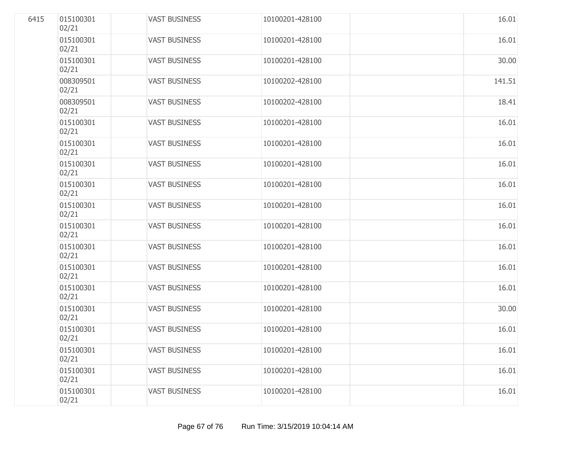| 6415 | 015100301<br>02/21 | <b>VAST BUSINESS</b> | 10100201-428100 | 16.01  |
|------|--------------------|----------------------|-----------------|--------|
|      | 015100301<br>02/21 | <b>VAST BUSINESS</b> | 10100201-428100 | 16.01  |
|      | 015100301<br>02/21 | <b>VAST BUSINESS</b> | 10100201-428100 | 30.00  |
|      | 008309501<br>02/21 | <b>VAST BUSINESS</b> | 10100202-428100 | 141.51 |
|      | 008309501<br>02/21 | <b>VAST BUSINESS</b> | 10100202-428100 | 18.41  |
|      | 015100301<br>02/21 | <b>VAST BUSINESS</b> | 10100201-428100 | 16.01  |
|      | 015100301<br>02/21 | <b>VAST BUSINESS</b> | 10100201-428100 | 16.01  |
|      | 015100301<br>02/21 | <b>VAST BUSINESS</b> | 10100201-428100 | 16.01  |
|      | 015100301<br>02/21 | <b>VAST BUSINESS</b> | 10100201-428100 | 16.01  |
|      | 015100301<br>02/21 | <b>VAST BUSINESS</b> | 10100201-428100 | 16.01  |
|      | 015100301<br>02/21 | <b>VAST BUSINESS</b> | 10100201-428100 | 16.01  |
|      | 015100301<br>02/21 | <b>VAST BUSINESS</b> | 10100201-428100 | 16.01  |
|      | 015100301<br>02/21 | <b>VAST BUSINESS</b> | 10100201-428100 | 16.01  |
|      | 015100301<br>02/21 | <b>VAST BUSINESS</b> | 10100201-428100 | 16.01  |
|      | 015100301<br>02/21 | <b>VAST BUSINESS</b> | 10100201-428100 | 30.00  |
|      | 015100301<br>02/21 | <b>VAST BUSINESS</b> | 10100201-428100 | 16.01  |
|      | 015100301<br>02/21 | <b>VAST BUSINESS</b> | 10100201-428100 | 16.01  |
|      | 015100301<br>02/21 | <b>VAST BUSINESS</b> | 10100201-428100 | 16.01  |
|      | 015100301<br>02/21 | <b>VAST BUSINESS</b> | 10100201-428100 | 16.01  |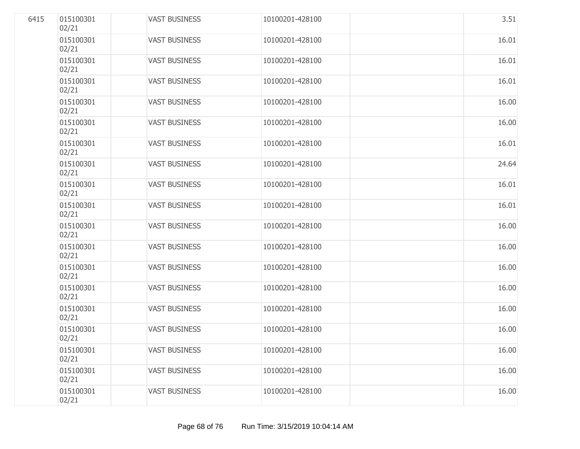| 6415 | 015100301<br>02/21 | <b>VAST BUSINESS</b> | 10100201-428100 | 3.51  |
|------|--------------------|----------------------|-----------------|-------|
|      | 015100301<br>02/21 | <b>VAST BUSINESS</b> | 10100201-428100 | 16.01 |
|      | 015100301<br>02/21 | <b>VAST BUSINESS</b> | 10100201-428100 | 16.01 |
|      | 015100301<br>02/21 | <b>VAST BUSINESS</b> | 10100201-428100 | 16.01 |
|      | 015100301<br>02/21 | <b>VAST BUSINESS</b> | 10100201-428100 | 16.00 |
|      | 015100301<br>02/21 | <b>VAST BUSINESS</b> | 10100201-428100 | 16.00 |
|      | 015100301<br>02/21 | <b>VAST BUSINESS</b> | 10100201-428100 | 16.01 |
|      | 015100301<br>02/21 | <b>VAST BUSINESS</b> | 10100201-428100 | 24.64 |
|      | 015100301<br>02/21 | <b>VAST BUSINESS</b> | 10100201-428100 | 16.01 |
|      | 015100301<br>02/21 | <b>VAST BUSINESS</b> | 10100201-428100 | 16.01 |
|      | 015100301<br>02/21 | <b>VAST BUSINESS</b> | 10100201-428100 | 16.00 |
|      | 015100301<br>02/21 | <b>VAST BUSINESS</b> | 10100201-428100 | 16.00 |
|      | 015100301<br>02/21 | <b>VAST BUSINESS</b> | 10100201-428100 | 16.00 |
|      | 015100301<br>02/21 | <b>VAST BUSINESS</b> | 10100201-428100 | 16.00 |
|      | 015100301<br>02/21 | <b>VAST BUSINESS</b> | 10100201-428100 | 16.00 |
|      | 015100301<br>02/21 | <b>VAST BUSINESS</b> | 10100201-428100 | 16.00 |
|      | 015100301<br>02/21 | <b>VAST BUSINESS</b> | 10100201-428100 | 16.00 |
|      | 015100301<br>02/21 | <b>VAST BUSINESS</b> | 10100201-428100 | 16.00 |
|      | 015100301<br>02/21 | <b>VAST BUSINESS</b> | 10100201-428100 | 16.00 |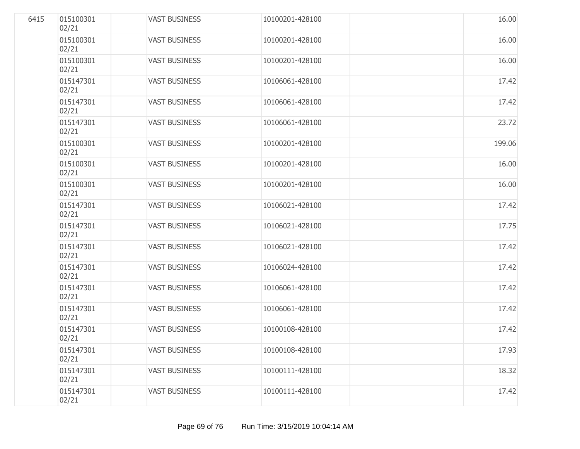| 6415 | 015100301<br>02/21 | <b>VAST BUSINESS</b> | 10100201-428100 | 16.00  |
|------|--------------------|----------------------|-----------------|--------|
|      | 015100301<br>02/21 | <b>VAST BUSINESS</b> | 10100201-428100 | 16.00  |
|      | 015100301<br>02/21 | <b>VAST BUSINESS</b> | 10100201-428100 | 16.00  |
|      | 015147301<br>02/21 | <b>VAST BUSINESS</b> | 10106061-428100 | 17.42  |
|      | 015147301<br>02/21 | <b>VAST BUSINESS</b> | 10106061-428100 | 17.42  |
|      | 015147301<br>02/21 | <b>VAST BUSINESS</b> | 10106061-428100 | 23.72  |
|      | 015100301<br>02/21 | <b>VAST BUSINESS</b> | 10100201-428100 | 199.06 |
|      | 015100301<br>02/21 | <b>VAST BUSINESS</b> | 10100201-428100 | 16.00  |
|      | 015100301<br>02/21 | <b>VAST BUSINESS</b> | 10100201-428100 | 16.00  |
|      | 015147301<br>02/21 | <b>VAST BUSINESS</b> | 10106021-428100 | 17.42  |
|      | 015147301<br>02/21 | <b>VAST BUSINESS</b> | 10106021-428100 | 17.75  |
|      | 015147301<br>02/21 | <b>VAST BUSINESS</b> | 10106021-428100 | 17.42  |
|      | 015147301<br>02/21 | <b>VAST BUSINESS</b> | 10106024-428100 | 17.42  |
|      | 015147301<br>02/21 | <b>VAST BUSINESS</b> | 10106061-428100 | 17.42  |
|      | 015147301<br>02/21 | <b>VAST BUSINESS</b> | 10106061-428100 | 17.42  |
|      | 015147301<br>02/21 | <b>VAST BUSINESS</b> | 10100108-428100 | 17.42  |
|      | 015147301<br>02/21 | <b>VAST BUSINESS</b> | 10100108-428100 | 17.93  |
|      | 015147301<br>02/21 | <b>VAST BUSINESS</b> | 10100111-428100 | 18.32  |
|      | 015147301<br>02/21 | <b>VAST BUSINESS</b> | 10100111-428100 | 17.42  |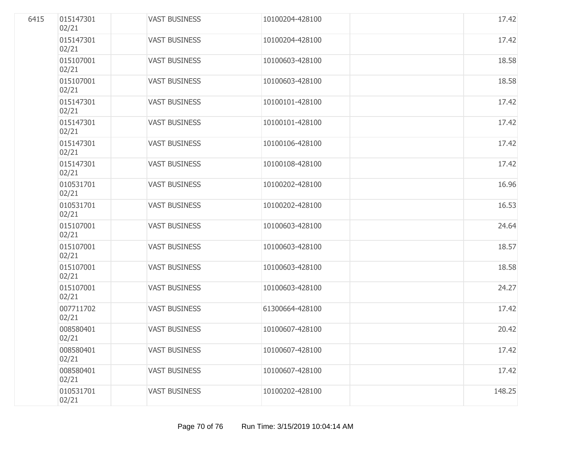| 6415 | 015147301<br>02/21 | <b>VAST BUSINESS</b> | 10100204-428100 | 17.42  |
|------|--------------------|----------------------|-----------------|--------|
|      | 015147301<br>02/21 | <b>VAST BUSINESS</b> | 10100204-428100 | 17.42  |
|      | 015107001<br>02/21 | <b>VAST BUSINESS</b> | 10100603-428100 | 18.58  |
|      | 015107001<br>02/21 | <b>VAST BUSINESS</b> | 10100603-428100 | 18.58  |
|      | 015147301<br>02/21 | <b>VAST BUSINESS</b> | 10100101-428100 | 17.42  |
|      | 015147301<br>02/21 | <b>VAST BUSINESS</b> | 10100101-428100 | 17.42  |
|      | 015147301<br>02/21 | <b>VAST BUSINESS</b> | 10100106-428100 | 17.42  |
|      | 015147301<br>02/21 | <b>VAST BUSINESS</b> | 10100108-428100 | 17.42  |
|      | 010531701<br>02/21 | <b>VAST BUSINESS</b> | 10100202-428100 | 16.96  |
|      | 010531701<br>02/21 | <b>VAST BUSINESS</b> | 10100202-428100 | 16.53  |
|      | 015107001<br>02/21 | <b>VAST BUSINESS</b> | 10100603-428100 | 24.64  |
|      | 015107001<br>02/21 | <b>VAST BUSINESS</b> | 10100603-428100 | 18.57  |
|      | 015107001<br>02/21 | <b>VAST BUSINESS</b> | 10100603-428100 | 18.58  |
|      | 015107001<br>02/21 | <b>VAST BUSINESS</b> | 10100603-428100 | 24.27  |
|      | 007711702<br>02/21 | <b>VAST BUSINESS</b> | 61300664-428100 | 17.42  |
|      | 008580401<br>02/21 | <b>VAST BUSINESS</b> | 10100607-428100 | 20.42  |
|      | 008580401<br>02/21 | <b>VAST BUSINESS</b> | 10100607-428100 | 17.42  |
|      | 008580401<br>02/21 | <b>VAST BUSINESS</b> | 10100607-428100 | 17.42  |
|      | 010531701<br>02/21 | <b>VAST BUSINESS</b> | 10100202-428100 | 148.25 |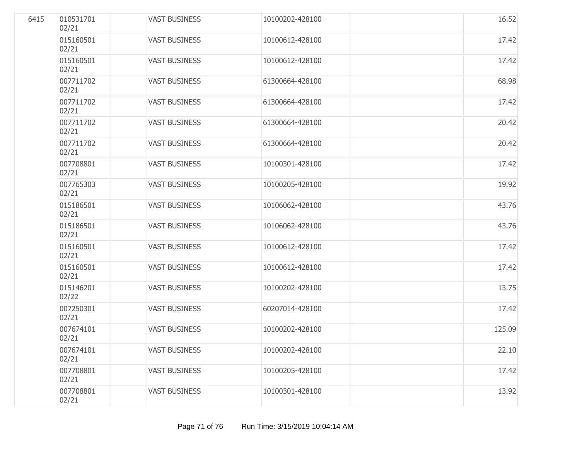| 6415 | 010531701<br>02/21 | <b>VAST BUSINESS</b> | 10100202-428100 | 16.52  |
|------|--------------------|----------------------|-----------------|--------|
|      | 015160501<br>02/21 | <b>VAST BUSINESS</b> | 10100612-428100 | 17.42  |
|      | 015160501<br>02/21 | <b>VAST BUSINESS</b> | 10100612-428100 | 17.42  |
|      | 007711702<br>02/21 | <b>VAST BUSINESS</b> | 61300664-428100 | 68.98  |
|      | 007711702<br>02/21 | <b>VAST BUSINESS</b> | 61300664-428100 | 17.42  |
|      | 007711702<br>02/21 | <b>VAST BUSINESS</b> | 61300664-428100 | 20.42  |
|      | 007711702<br>02/21 | <b>VAST BUSINESS</b> | 61300664-428100 | 20.42  |
|      | 007708801<br>02/21 | <b>VAST BUSINESS</b> | 10100301-428100 | 17.42  |
|      | 007765303<br>02/21 | <b>VAST BUSINESS</b> | 10100205-428100 | 19.92  |
|      | 015186501<br>02/21 | <b>VAST BUSINESS</b> | 10106062-428100 | 43.76  |
|      | 015186501<br>02/21 | <b>VAST BUSINESS</b> | 10106062-428100 | 43.76  |
|      | 015160501<br>02/21 | <b>VAST BUSINESS</b> | 10100612-428100 | 17.42  |
|      | 015160501<br>02/21 | <b>VAST BUSINESS</b> | 10100612-428100 | 17.42  |
|      | 015146201<br>02/22 | <b>VAST BUSINESS</b> | 10100202-428100 | 13.75  |
|      | 007250301<br>02/21 | <b>VAST BUSINESS</b> | 60207014-428100 | 17.42  |
|      | 007674101<br>02/21 | <b>VAST BUSINESS</b> | 10100202-428100 | 125.09 |
|      | 007674101<br>02/21 | <b>VAST BUSINESS</b> | 10100202-428100 | 22.10  |
|      | 007708801<br>02/21 | <b>VAST BUSINESS</b> | 10100205-428100 | 17.42  |
|      | 007708801<br>02/21 | <b>VAST BUSINESS</b> | 10100301-428100 | 13.92  |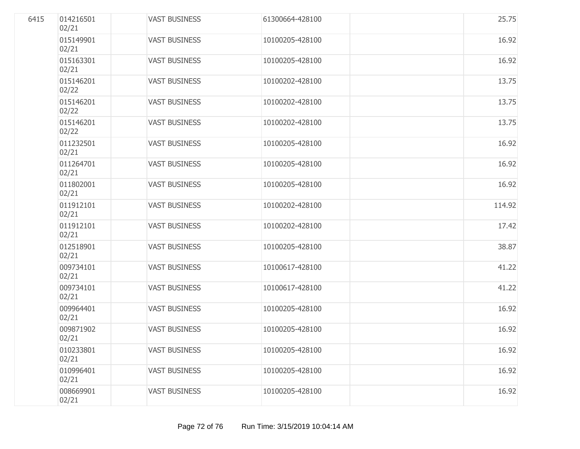| 6415 | 014216501<br>02/21 | <b>VAST BUSINESS</b> | 61300664-428100 | 25.75  |
|------|--------------------|----------------------|-----------------|--------|
|      | 015149901<br>02/21 | <b>VAST BUSINESS</b> | 10100205-428100 | 16.92  |
|      | 015163301<br>02/21 | <b>VAST BUSINESS</b> | 10100205-428100 | 16.92  |
|      | 015146201<br>02/22 | <b>VAST BUSINESS</b> | 10100202-428100 | 13.75  |
|      | 015146201<br>02/22 | <b>VAST BUSINESS</b> | 10100202-428100 | 13.75  |
|      | 015146201<br>02/22 | <b>VAST BUSINESS</b> | 10100202-428100 | 13.75  |
|      | 011232501<br>02/21 | <b>VAST BUSINESS</b> | 10100205-428100 | 16.92  |
|      | 011264701<br>02/21 | <b>VAST BUSINESS</b> | 10100205-428100 | 16.92  |
|      | 011802001<br>02/21 | <b>VAST BUSINESS</b> | 10100205-428100 | 16.92  |
|      | 011912101<br>02/21 | <b>VAST BUSINESS</b> | 10100202-428100 | 114.92 |
|      | 011912101<br>02/21 | <b>VAST BUSINESS</b> | 10100202-428100 | 17.42  |
|      | 012518901<br>02/21 | <b>VAST BUSINESS</b> | 10100205-428100 | 38.87  |
|      | 009734101<br>02/21 | <b>VAST BUSINESS</b> | 10100617-428100 | 41.22  |
|      | 009734101<br>02/21 | <b>VAST BUSINESS</b> | 10100617-428100 | 41.22  |
|      | 009964401<br>02/21 | <b>VAST BUSINESS</b> | 10100205-428100 | 16.92  |
|      | 009871902<br>02/21 | <b>VAST BUSINESS</b> | 10100205-428100 | 16.92  |
|      | 010233801<br>02/21 | <b>VAST BUSINESS</b> | 10100205-428100 | 16.92  |
|      | 010996401<br>02/21 | <b>VAST BUSINESS</b> | 10100205-428100 | 16.92  |
|      | 008669901<br>02/21 | <b>VAST BUSINESS</b> | 10100205-428100 | 16.92  |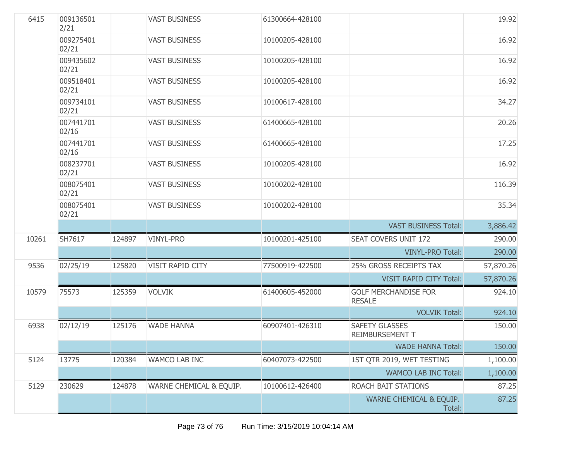| 6415  | 009136501<br>2/21  |        | <b>VAST BUSINESS</b>    | 61300664-428100 |                                              | 19.92     |
|-------|--------------------|--------|-------------------------|-----------------|----------------------------------------------|-----------|
|       | 009275401<br>02/21 |        | <b>VAST BUSINESS</b>    | 10100205-428100 |                                              | 16.92     |
|       | 009435602<br>02/21 |        | <b>VAST BUSINESS</b>    | 10100205-428100 |                                              | 16.92     |
|       | 009518401<br>02/21 |        | <b>VAST BUSINESS</b>    | 10100205-428100 |                                              | 16.92     |
|       | 009734101<br>02/21 |        | <b>VAST BUSINESS</b>    | 10100617-428100 |                                              | 34.27     |
|       | 007441701<br>02/16 |        | <b>VAST BUSINESS</b>    | 61400665-428100 |                                              | 20.26     |
|       | 007441701<br>02/16 |        | <b>VAST BUSINESS</b>    | 61400665-428100 |                                              | 17.25     |
|       | 008237701<br>02/21 |        | <b>VAST BUSINESS</b>    | 10100205-428100 |                                              | 16.92     |
|       | 008075401<br>02/21 |        | <b>VAST BUSINESS</b>    | 10100202-428100 |                                              | 116.39    |
|       | 008075401<br>02/21 |        | <b>VAST BUSINESS</b>    | 10100202-428100 |                                              | 35.34     |
|       |                    |        |                         |                 | <b>VAST BUSINESS Total:</b>                  | 3,886.42  |
| 10261 | SH7617             | 124897 | VINYL-PRO               | 10100201-425100 | <b>SEAT COVERS UNIT 172</b>                  | 290.00    |
|       |                    |        |                         |                 | <b>VINYL-PRO Total:</b>                      | 290.00    |
| 9536  | 02/25/19           | 125820 | VISIT RAPID CITY        | 77500919-422500 | 25% GROSS RECEIPTS TAX                       | 57,870.26 |
|       |                    |        |                         |                 | <b>VISIT RAPID CITY Total:</b>               | 57,870.26 |
| 10579 | 75573              | 125359 | <b>VOLVIK</b>           | 61400605-452000 | <b>GOLF MERCHANDISE FOR</b><br><b>RESALE</b> | 924.10    |
|       |                    |        |                         |                 | <b>VOLVIK Total:</b>                         | 924.10    |
| 6938  | 02/12/19           | 125176 | <b>WADE HANNA</b>       | 60907401-426310 | SAFETY GLASSES<br><b>REIMBURSEMENT T</b>     | 150.00    |
|       |                    |        |                         |                 | <b>WADE HANNA Total:</b>                     | 150.00    |
| 5124  | 13775              | 120384 | <b>WAMCO LAB INC</b>    | 60407073-422500 | 1ST QTR 2019, WET TESTING                    | 1,100.00  |
|       |                    |        |                         |                 | <b>WAMCO LAB INC Total:</b>                  | 1,100.00  |
| 5129  | 230629             | 124878 | WARNE CHEMICAL & EQUIP. | 10100612-426400 | ROACH BAIT STATIONS                          | 87.25     |
|       |                    |        |                         |                 | WARNE CHEMICAL & EQUIP.<br>Total:            | 87.25     |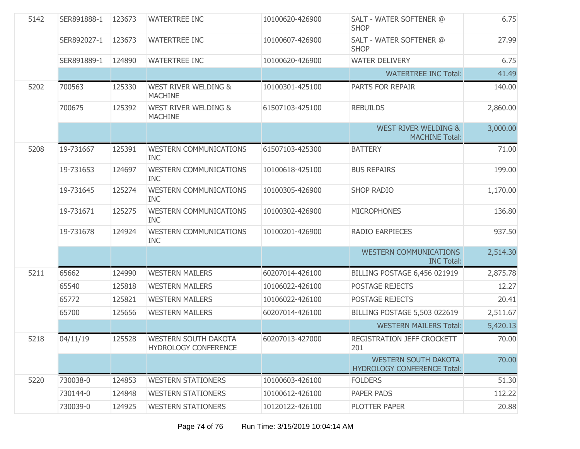| 5142 | SER891888-1 | 123673 | <b>WATERTREE INC</b>                              | 10100620-426900 | SALT - WATER SOFTENER @<br><b>SHOP</b>                            | 6.75     |
|------|-------------|--------|---------------------------------------------------|-----------------|-------------------------------------------------------------------|----------|
|      | SER892027-1 | 123673 | <b>WATERTREE INC</b>                              | 10100607-426900 | SALT - WATER SOFTENER @<br><b>SHOP</b>                            | 27.99    |
|      | SER891889-1 | 124890 | <b>WATERTREE INC</b>                              | 10100620-426900 | <b>WATER DELIVERY</b>                                             | 6.75     |
|      |             |        |                                                   |                 | <b>WATERTREE INC Total:</b>                                       | 41.49    |
| 5202 | 700563      | 125330 | <b>WEST RIVER WELDING &amp;</b><br><b>MACHINE</b> | 10100301-425100 | PARTS FOR REPAIR                                                  | 140.00   |
|      | 700675      | 125392 | <b>WEST RIVER WELDING &amp;</b><br><b>MACHINE</b> | 61507103-425100 | <b>REBUILDS</b>                                                   | 2,860.00 |
|      |             |        |                                                   |                 | <b>WEST RIVER WELDING &amp;</b><br><b>MACHINE Total:</b>          | 3,000.00 |
| 5208 | 19-731667   | 125391 | <b>WESTERN COMMUNICATIONS</b><br><b>INC</b>       | 61507103-425300 | <b>BATTERY</b>                                                    | 71.00    |
|      | 19-731653   | 124697 | <b>WESTERN COMMUNICATIONS</b><br><b>INC</b>       | 10100618-425100 | <b>BUS REPAIRS</b>                                                | 199.00   |
|      | 19-731645   | 125274 | <b>WESTERN COMMUNICATIONS</b><br><b>INC</b>       | 10100305-426900 | <b>SHOP RADIO</b>                                                 | 1,170.00 |
|      | 19-731671   | 125275 | <b>WESTERN COMMUNICATIONS</b><br><b>INC</b>       | 10100302-426900 | <b>MICROPHONES</b>                                                | 136.80   |
|      | 19-731678   | 124924 | <b>WESTERN COMMUNICATIONS</b><br><b>INC</b>       | 10100201-426900 | <b>RADIO EARPIECES</b>                                            | 937.50   |
|      |             |        |                                                   |                 | <b>WESTERN COMMUNICATIONS</b><br><b>INC Total:</b>                | 2,514.30 |
| 5211 | 65662       | 124990 | <b>WESTERN MAILERS</b>                            | 60207014-426100 | BILLING POSTAGE 6,456 021919                                      | 2,875.78 |
|      | 65540       | 125818 | <b>WESTERN MAILERS</b>                            | 10106022-426100 | POSTAGE REJECTS                                                   | 12.27    |
|      | 65772       | 125821 | <b>WESTERN MAILERS</b>                            | 10106022-426100 | POSTAGE REJECTS                                                   | 20.41    |
|      | 65700       | 125656 | <b>WESTERN MAILERS</b>                            | 60207014-426100 | <b>BILLING POSTAGE 5,503 022619</b>                               | 2,511.67 |
|      |             |        |                                                   |                 | <b>WESTERN MAILERS Total:</b>                                     | 5,420.13 |
| 5218 | 04/11/19    | 125528 | WESTERN SOUTH DAKOTA<br>HYDROLOGY CONFERENCE      | 60207013-427000 | REGISTRATION JEFF CROCKETT<br>201                                 | 70.00    |
|      |             |        |                                                   |                 | <b>WESTERN SOUTH DAKOTA</b><br><b>HYDROLOGY CONFERENCE Total:</b> | 70.00    |
| 5220 | 730038-0    | 124853 | <b>WESTERN STATIONERS</b>                         | 10100603-426100 | <b>FOLDERS</b>                                                    | 51.30    |
|      | 730144-0    | 124848 | <b>WESTERN STATIONERS</b>                         | 10100612-426100 | PAPER PADS                                                        | 112.22   |
|      | 730039-0    | 124925 | <b>WESTERN STATIONERS</b>                         | 10120122-426100 | PLOTTER PAPER                                                     | 20.88    |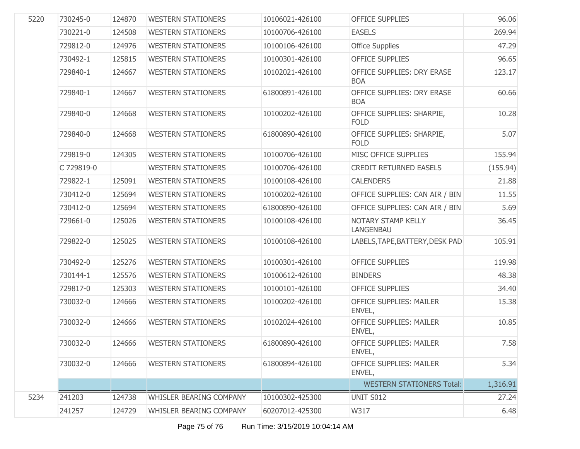| 5220 | 730245-0   | 124870 | <b>WESTERN STATIONERS</b> | 10106021-426100 | <b>OFFICE SUPPLIES</b>                          | 96.06    |
|------|------------|--------|---------------------------|-----------------|-------------------------------------------------|----------|
|      | 730221-0   | 124508 | <b>WESTERN STATIONERS</b> | 10100706-426100 | <b>EASELS</b>                                   | 269.94   |
|      | 729812-0   | 124976 | <b>WESTERN STATIONERS</b> | 10100106-426100 | <b>Office Supplies</b>                          | 47.29    |
|      | 730492-1   | 125815 | <b>WESTERN STATIONERS</b> | 10100301-426100 | <b>OFFICE SUPPLIES</b>                          | 96.65    |
|      | 729840-1   | 124667 | <b>WESTERN STATIONERS</b> | 10102021-426100 | OFFICE SUPPLIES: DRY ERASE<br><b>BOA</b>        | 123.17   |
|      | 729840-1   | 124667 | <b>WESTERN STATIONERS</b> | 61800891-426100 | <b>OFFICE SUPPLIES: DRY ERASE</b><br><b>BOA</b> | 60.66    |
|      | 729840-0   | 124668 | <b>WESTERN STATIONERS</b> | 10100202-426100 | OFFICE SUPPLIES: SHARPIE,<br><b>FOLD</b>        | 10.28    |
|      | 729840-0   | 124668 | <b>WESTERN STATIONERS</b> | 61800890-426100 | OFFICE SUPPLIES: SHARPIE,<br><b>FOLD</b>        | 5.07     |
|      | 729819-0   | 124305 | <b>WESTERN STATIONERS</b> | 10100706-426100 | MISC OFFICE SUPPLIES                            | 155.94   |
|      | C 729819-0 |        | <b>WESTERN STATIONERS</b> | 10100706-426100 | <b>CREDIT RETURNED EASELS</b>                   | (155.94) |
|      | 729822-1   | 125091 | <b>WESTERN STATIONERS</b> | 10100108-426100 | <b>CALENDERS</b>                                | 21.88    |
|      | 730412-0   | 125694 | <b>WESTERN STATIONERS</b> | 10100202-426100 | OFFICE SUPPLIES: CAN AIR / BIN                  | 11.55    |
|      | 730412-0   | 125694 | <b>WESTERN STATIONERS</b> | 61800890-426100 | OFFICE SUPPLIES: CAN AIR / BIN                  | 5.69     |
|      | 729661-0   | 125026 | <b>WESTERN STATIONERS</b> | 10100108-426100 | NOTARY STAMP KELLY<br>LANGENBAU                 | 36.45    |
|      | 729822-0   | 125025 | <b>WESTERN STATIONERS</b> | 10100108-426100 | LABELS, TAPE, BATTERY, DESK PAD                 | 105.91   |
|      | 730492-0   | 125276 | <b>WESTERN STATIONERS</b> | 10100301-426100 | <b>OFFICE SUPPLIES</b>                          | 119.98   |
|      | 730144-1   | 125576 | <b>WESTERN STATIONERS</b> | 10100612-426100 | <b>BINDERS</b>                                  | 48.38    |
|      | 729817-0   | 125303 | <b>WESTERN STATIONERS</b> | 10100101-426100 | <b>OFFICE SUPPLIES</b>                          | 34.40    |
|      | 730032-0   | 124666 | <b>WESTERN STATIONERS</b> | 10100202-426100 | <b>OFFICE SUPPLIES: MAILER</b><br>ENVEL,        | 15.38    |
|      | 730032-0   | 124666 | <b>WESTERN STATIONERS</b> | 10102024-426100 | <b>OFFICE SUPPLIES: MAILER</b><br>ENVEL,        | 10.85    |
|      | 730032-0   | 124666 | <b>WESTERN STATIONERS</b> | 61800890-426100 | <b>OFFICE SUPPLIES: MAILER</b><br>ENVEL,        | 7.58     |
|      | 730032-0   | 124666 | <b>WESTERN STATIONERS</b> | 61800894-426100 | <b>OFFICE SUPPLIES: MAILER</b><br>ENVEL,        | 5.34     |
|      |            |        |                           |                 | <b>WESTERN STATIONERS Total:</b>                | 1,316.91 |
| 5234 | 241203     | 124738 | WHISLER BEARING COMPANY   | 10100302-425300 | UNIT S012                                       | 27.24    |
|      | 241257     | 124729 | WHISLER BEARING COMPANY   | 60207012-425300 | W317                                            | 6.48     |
|      |            |        |                           |                 |                                                 |          |